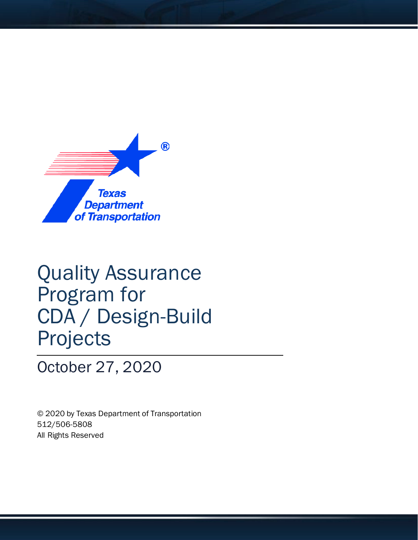

# Quality Assurance Program for CDA / Design-Build Projects

October 27, 2020

© 2020 by Texas Department of Transportation 512/506-5808 All Rights Reserved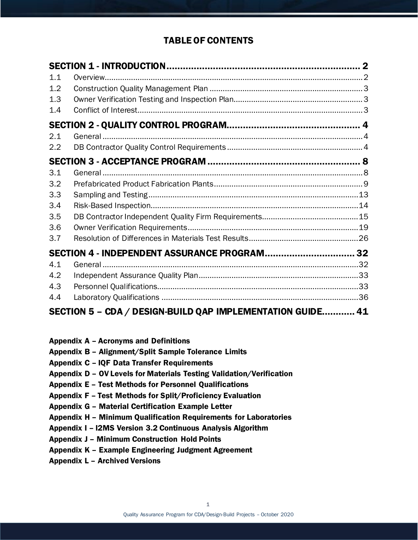## TABLE OF CONTENTS

| 1.1 |                                                            |  |
|-----|------------------------------------------------------------|--|
| 1.2 |                                                            |  |
| 1.3 |                                                            |  |
| 1.4 |                                                            |  |
|     |                                                            |  |
| 2.1 |                                                            |  |
| 2.2 |                                                            |  |
|     |                                                            |  |
| 3.1 |                                                            |  |
| 3.2 |                                                            |  |
| 3.3 |                                                            |  |
| 3.4 |                                                            |  |
| 3.5 |                                                            |  |
| 3.6 |                                                            |  |
| 3.7 |                                                            |  |
|     | SECTION 4 - INDEPENDENT ASSURANCE PROGRAM 32               |  |
| 4.1 |                                                            |  |
| 4.2 |                                                            |  |
| 4.3 |                                                            |  |
| 4.4 |                                                            |  |
|     | SECTION 5 - CDA / DESIGN-BUILD QAP IMPLEMENTATION GUIDE 41 |  |

|  |  |  |  | Appendix A - Acronyms and Definitions |
|--|--|--|--|---------------------------------------|
|--|--|--|--|---------------------------------------|

- Appendix B Alignment/Split Sample Tolerance Limits
- Appendix C IQF Data Transfer Requirements
- Appendix D OV Levels for Materials Testing Validation/Verification
- Appendix E Test Methods for Personnel Qualifications
- Appendix F Test Methods for Split/Proficiency Evaluation
- Appendix G Material Certification Example Letter
- Appendix H Minimum Qualification Requirements for Laboratories
- Appendix I I2MS Version 3.2 Continuous Analysis Algorithm
- Appendix J Minimum Construction Hold Points
- Appendix K Example Engineering Judgment Agreement
- Appendix L Archived Versions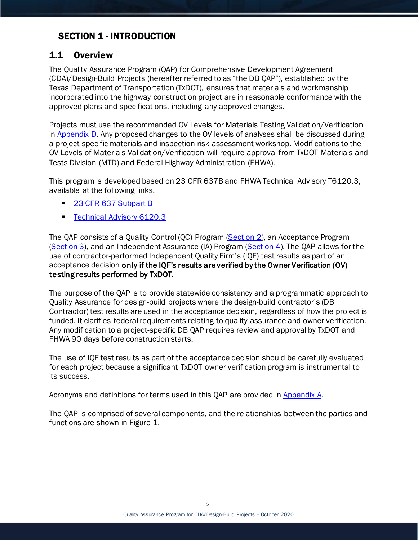# <span id="page-2-0"></span>SECTION 1 - INTRODUCTION

## <span id="page-2-1"></span>1.1 Overview

The Quality Assurance Program (QAP) for Comprehensive Development Agreement (CDA)/Design-Build Projects (hereafter referred to as "the DB QAP"), established by the Texas Department of Transportation (TxDOT), ensures that materials and workmanship incorporated into the highway construction project are in reasonable conformance with the approved plans and specifications, including any approved changes.

Projects must use the recommended OV Levels for Materials Testing Validation/Verification in [Appendix D.](#page-52-0) Any proposed changes to the OV levels of analyses shall be discussed during a project-specific materials and inspection risk assessment workshop. Modifications to the OV Levels of Materials Validation/Verification will require approval from TxDOT Materials and Tests Division (MTD) and Federal Highway Administration (FHWA).

This program is developed based on 23 CFR 637B and FHWA Technical Advisory T6120.3, available at the following links.

- [23 CFR 637 Subpart B](http://www.ecfr.gov/cgi-bin/text-idx?SID=8da335130ef51b0426ce060318ffc421&mc=true&node=pt23.1.637&rgn=div5)
- [Technical Advisory 6120.3](http://www.fhwa.dot.gov/construction/t61203.cfm)

The QAP consists of a Quality Control (QC) Program [\(Section 2\)](#page-4-0), an Acceptance Program [\(Section 3\)](#page-7-0), and an Independent Assurance (IA) Program [\(Section 4\)](#page-31-0). The QAP allows for the use of contractor-performed Independent Quality Firm's (IQF) test results as part of an acceptance decision only if the IQF's results are verified by the Owner Verification (OV) testing results performed by TxDOT.

The purpose of the QAP is to provide statewide consistency and a programmatic approach to Quality Assurance for design-build projects where the design-build contractor's (DB Contractor) test results are used in the acceptance decision, regardless of how the project is funded. It clarifies federal requirements relating to quality assurance and owner verification. Any modification to a project-specific DB QAP requires review and approval by TxDOT and FHWA 90 days before construction starts.

The use of IQF test results as part of the acceptance decision should be carefully evaluated for each project because a significant TxDOT owner verification program is instrumental to its success.

Acronyms and definitions for terms used in this QAP are provided in [Appendix A.](#page-42-0)

The QAP is comprised of several components, and the relationships between the parties and functions are shown in Figure 1.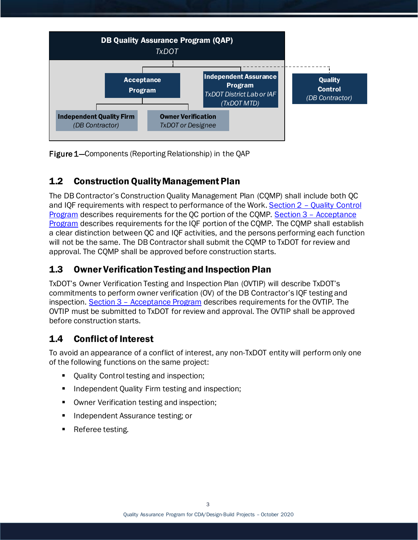

Figure 1—Components (Reporting Relationship) in the QAP

# <span id="page-3-0"></span>1.2 Construction Quality Management Plan

The DB Contractor's Construction Quality Management Plan (CQMP) shall include both QC and IQF requirements with respect to performance of the Work. Section 2 – [Quality Control](#page-4-0)  [Program](#page-4-0) describes requirements for the QC portion of the CQMP. Section 3 – [Acceptance](#page-7-0)  [Program](#page-7-0) describes requirements for the IQF portion of the CQMP. The CQMP shall establish a clear distinction between QC and IQF activities, and the persons performing each function will not be the same. The DB Contractor shall submit the CQMP to TxDOT for review and approval. The CQMP shall be approved before construction starts.

# <span id="page-3-1"></span>1.3 Owner Verification Testing and Inspection Plan

TxDOT's Owner Verification Testing and Inspection Plan (OVTIP) will describe TxDOT's commitments to perform owner verification (OV) of the DB Contractor's IQF testing and inspection. Section 3 – [Acceptance Program](#page-7-0) describes requirements for the OVTIP. The OVTIP must be submitted to TxDOT for review and approval. The OVTIP shall be approved before construction starts.

# <span id="page-3-2"></span>1.4 Conflict of Interest

To avoid an appearance of a conflict of interest, any non-TxDOT entity will perform only one of the following functions on the same project:

- Quality Control testing and inspection;
- Independent Quality Firm testing and inspection;
- Owner Verification testing and inspection;
- **Independent Assurance testing; or**
- Referee testing.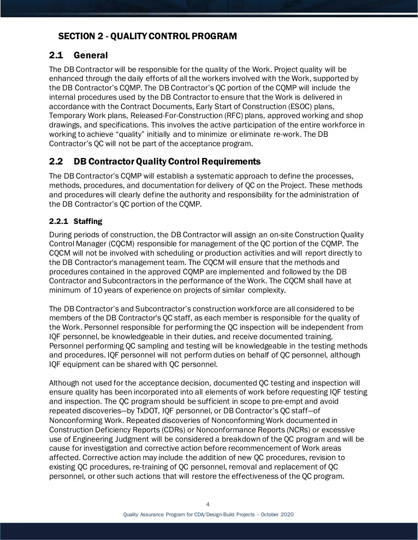# <span id="page-4-0"></span>SECTION 2 - QUALITY CONTROL PROGRAM

# <span id="page-4-1"></span>2.1 General

The DB Contractor will be responsible for the quality of the Work. Project quality will be enhanced through the daily efforts of all the workers involved with the Work, supported by the DB Contractor's CQMP. The DB Contractor's QC portion of the CQMP will include the internal procedures used by the DB Contractor to ensure that the Work is delivered in accordance with the Contract Documents, Early Start of Construction (ESOC) plans, Temporary Work plans, Released-For-Construction (RFC) plans, approved working and shop drawings, and specifications. This involves the active participation of the entire workforce in working to achieve "quality" initially and to minimize or eliminate re-work. The DB Contractor's QC will not be part of the acceptance program.

# <span id="page-4-2"></span>2.2 DB Contractor Quality Control Requirements

The DB Contractor's CQMP will establish a systematic approach to define the processes, methods, procedures, and documentation for delivery of QC on the Project. These methods and procedures will clearly define the authority and responsibility for the administration of the DB Contractor's QC portion of the CQMP.

## 2.2.1 Staffing

During periods of construction, the DB Contractor will assign an on-site Construction Quality Control Manager (CQCM) responsible for management of the QC portion of the CQMP. The CQCM will not be involved with scheduling or production activities and will report directly to the DB Contractor's management team. The CQCM will ensure that the methods and procedures contained in the approved CQMP are implemented and followed by the DB Contractor and Subcontractors in the performance of the Work. The CQCM shall have at minimum of 10 years of experience on projects of similar complexity.

The DB Contractor's and Subcontractor's construction workforce are all considered to be members of the DB Contractor's QC staff, as each member is responsible for the quality of the Work. Personnel responsible for performing the QC inspection will be independent from IQF personnel, be knowledgeable in their duties, and receive documented training. Personnel performing QC sampling and testing will be knowledgeable in the testing methods and procedures. IQF personnel will not perform duties on behalf of QC personnel, although IQF equipment can be shared with QC personnel.

Although not used for the acceptance decision, documented QC testing and inspection will ensure quality has been incorporated into all elements of work before requesting IQF testing and inspection. The QC program should be sufficient in scope to pre-empt and avoid repeated discoveries—by TxDOT, IQF personnel, or DB Contractor's QC staff—of Nonconforming Work. Repeated discoveries of Nonconforming Work documented in Construction Deficiency Reports (CDRs) or Nonconformance Reports (NCRs) or excessive use of Engineering Judgment will be considered a breakdown of the QC program and will be cause for investigation and corrective action before recommencement of Work areas affected. Corrective action may include the addition of new QC procedures, revision to existing QC procedures, re-training of QC personnel, removal and replacement of QC personnel, or other such actions that will restore the effectiveness of the QC program.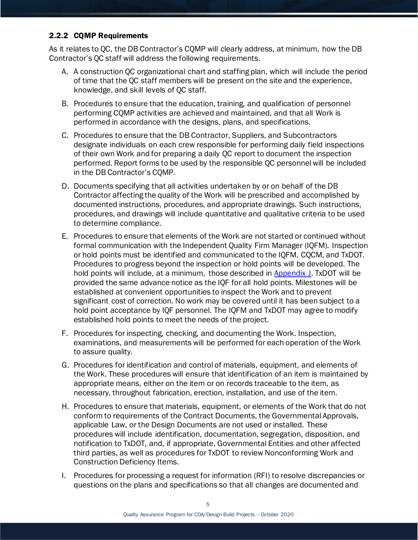#### 2.2.2 CQMP Requirements

As it relates to QC, the DB Contractor's CQMP will clearly address, at minimum, how the DB Contractor's QC staff will address the following requirements.

- A. A construction QC organizational chart and staffing plan, which will include the period of time that the QC staff members will be present on the site and the experience, knowledge, and skill levels of QC staff.
- B. Procedures to ensure that the education, training, and qualification of personnel performing CQMP activities are achieved and maintained, and that all Work is performed in accordance with the designs, plans, and specifications.
- C. Procedures to ensure that the DB Contractor, Suppliers, and Subcontractors designate individuals on each crew responsible for performing daily field inspections of their own Work and for preparing a daily QC report to document the inspection performed. Report forms to be used by the responsible QC personnel will be included in the DB Contractor's CQMP.
- D. Documents specifying that all activities undertaken by or on behalf of the DB Contractor affecting the quality of the Work will be prescribed and accomplished by documented instructions, procedures, and appropriate drawings. Such instructions, procedures, and drawings will include quantitative and qualitative criteria to be used to determine compliance.
- E. Procedures to ensure that elements of the Work are not started or continued without formal communication with the Independent Quality Firm Manager (IQFM). Inspection or hold points must be identified and communicated to the IQFM, CQCM, and TxDOT. Procedures to progress beyond the inspection or hold points will be developed. The hold points will include, at a minimum, those described in [Appendix](#page-75-0) J. TxDOT will be provided the same advance notice as the IQF for all hold points. Milestones will be established at convenient opportunities to inspect the Work and to prevent significant cost of correction. No work may be covered until it has been subject to a hold point acceptance by IQF personnel. The IQFM and TxDOT may agree to modify established hold points to meet the needs of the project.
- F. Procedures for inspecting, checking, and documenting the Work. Inspection, examinations, and measurements will be performed for each operation of the Work to assure quality.
- G. Procedures for identification and control of materials, equipment, and elements of the Work. These procedures will ensure that identification of an item is maintained by appropriate means, either on the item or on records traceable to the item, as necessary, throughout fabrication, erection, installation, and use of the item.
- H. Procedures to ensure that materials, equipment, or elements of the Work that do not conform to requirements of the Contract Documents, the Governmental Approvals, applicable Law, or the Design Documents are not used or installed. These procedures will include identification, documentation, segregation, disposition, and notification to TxDOT, and, if appropriate, Governmental Entities and other affected third parties, as well as procedures for TxDOT to review Nonconforming Work and Construction Deficiency Items.
- I. Procedures for processing a request for information (RFI) to resolve discrepancies or questions on the plans and specifications so that all changes are documented and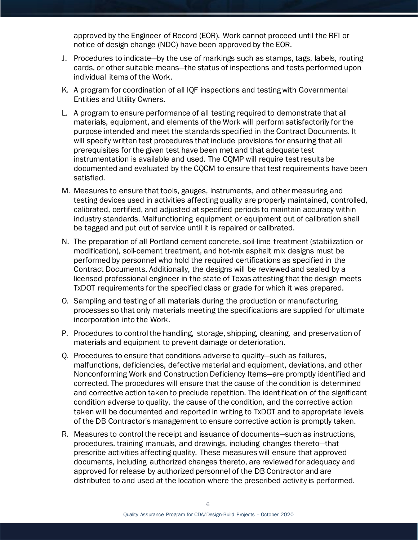approved by the Engineer of Record (EOR). Work cannot proceed until the RFI or notice of design change (NDC) have been approved by the EOR.

- J. Procedures to indicate—by the use of markings such as stamps, tags, labels, routing cards, or other suitable means—the status of inspections and tests performed upon individual items of the Work.
- K. A program for coordination of all IQF inspections and testing with Governmental Entities and Utility Owners.
- L. A program to ensure performance of all testing required to demonstrate that all materials, equipment, and elements of the Work will perform satisfactorily for the purpose intended and meet the standards specified in the Contract Documents. It will specify written test procedures that include provisions for ensuring that all prerequisites for the given test have been met and that adequate test instrumentation is available and used. The CQMP will require test results be documented and evaluated by the CQCM to ensure that test requirements have been satisfied.
- M. Measures to ensure that tools, gauges, instruments, and other measuring and testing devices used in activities affecting quality are properly maintained, controlled, calibrated, certified, and adjusted at specified periods to maintain accuracy within industry standards. Malfunctioning equipment or equipment out of calibration shall be tagged and put out of service until it is repaired or calibrated.
- N. The preparation of all Portland cement concrete, soil-lime treatment (stabilization or modification), soil-cement treatment, and hot-mix asphalt mix designs must be performed by personnel who hold the required certifications as specified in the Contract Documents. Additionally, the designs will be reviewed and sealed by a licensed professional engineer in the state of Texas attesting that the design meets TxDOT requirements for the specified class or grade for which it was prepared.
- O. Sampling and testing of all materials during the production or manufacturing processes so that only materials meeting the specifications are supplied for ultimate incorporation into the Work.
- P. Procedures to control the handling, storage, shipping, cleaning, and preservation of materials and equipment to prevent damage or deterioration.
- Q. Procedures to ensure that conditions adverse to quality—such as failures, malfunctions, deficiencies, defective material and equipment, deviations, and other Nonconforming Work and Construction Deficiency Items—are promptly identified and corrected. The procedures will ensure that the cause of the condition is determined and corrective action taken to preclude repetition. The identification of the significant condition adverse to quality, the cause of the condition, and the corrective action taken will be documented and reported in writing to TxDOT and to appropriate levels of the DB Contractor's management to ensure corrective action is promptly taken.
- R. Measures to control the receipt and issuance of documents—such as instructions, procedures, training manuals, and drawings, including changes thereto—that prescribe activities affecting quality. These measures will ensure that approved documents, including authorized changes thereto, are reviewed for adequacy and approved for release by authorized personnel of the DB Contractor and are distributed to and used at the location where the prescribed activity is performed.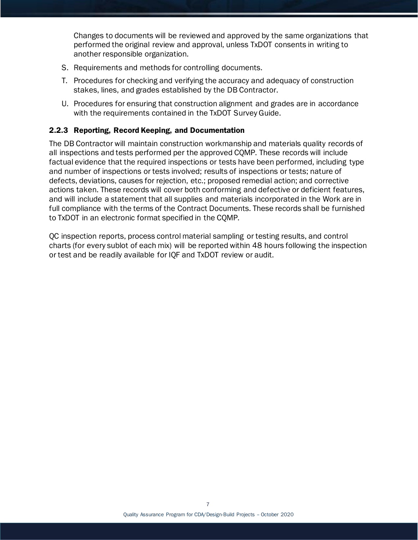Changes to documents will be reviewed and approved by the same organizations that performed the original review and approval, unless TxDOT consents in writing to another responsible organization.

- S. Requirements and methods for controlling documents.
- T. Procedures for checking and verifying the accuracy and adequacy of construction stakes, lines, and grades established by the DB Contractor.
- U. Procedures for ensuring that construction alignment and grades are in accordance with the requirements contained in the TxDOT Survey Guide.

#### 2.2.3 Reporting, Record Keeping, and Documentation

The DB Contractor will maintain construction workmanship and materials quality records of all inspections and tests performed per the approved CQMP. These records will include factual evidence that the required inspections or tests have been performed, including type and number of inspections or tests involved; results of inspections or tests; nature of defects, deviations, causes for rejection, etc.; proposed remedial action; and corrective actions taken. These records will cover both conforming and defective or deficient features, and will include a statement that all supplies and materials incorporated in the Work are in full compliance with the terms of the Contract Documents. These records shall be furnished to TxDOT in an electronic format specified in the CQMP.

<span id="page-7-0"></span>QC inspection reports, process control material sampling or testing results, and control charts (for every sublot of each mix) will be reported within 48 hours following the inspection or test and be readily available for IQF and TxDOT review or audit.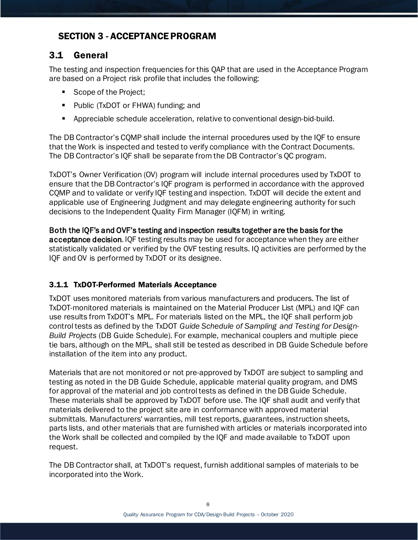# <span id="page-8-0"></span>SECTION 3 - ACCEPTANCE PROGRAM

# <span id="page-8-1"></span>3.1 General

The testing and inspection frequencies for this QAP that are used in the Acceptance Program are based on a Project risk profile that includes the following:

- Scope of the Project;
- **Public (TxDOT or FHWA) funding; and**
- Appreciable schedule acceleration, relative to conventional design-bid-build.

The DB Contractor's CQMP shall include the internal procedures used by the IQF to ensure that the Work is inspected and tested to verify compliance with the Contract Documents. The DB Contractor's IQF shall be separate from the DB Contractor's QC program.

TxDOT's Owner Verification (OV) program will include internal procedures used by TxDOT to ensure that the DB Contractor's IQF program is performed in accordance with the approved CQMP and to validate or verify IQF testing and inspection. TxDOT will decide the extent and applicable use of Engineering Judgment and may delegate engineering authority for such decisions to the Independent Quality Firm Manager (IQFM) in writing.

Both the IQF's and OVF's testing and inspection results together are the basis for the acceptance decision. IQF testing results may be used for acceptance when they are either statistically validated or verified by the OVF testing results. IQ activities are performed by the IQF and OV is performed by TxDOT or its designee.

## <span id="page-8-2"></span>3.1.1 TxDOT-Performed Materials Acceptance

TxDOT uses monitored materials from various manufacturers and producers. The list of TxDOT-monitored materials is maintained on the Material Producer List (MPL) and IQF can use results from TxDOT's MPL. For materials listed on the MPL, the IQF shall perform job control tests as defined by the TxDOT *Guide Schedule of Sampling and Testing for Design-Build Projects* (DB Guide Schedule). For example, mechanical couplers and multiple piece tie bars, although on the MPL, shall still be tested as described in DB Guide Schedule before installation of the item into any product.

Materials that are not monitored or not pre-approved by TxDOT are subject to sampling and testing as noted in the DB Guide Schedule, applicable material quality program, and DMS for approval of the material and job control tests as defined in the DB Guide Schedule. These materials shall be approved by TxDOT before use. The IQF shall audit and verify that materials delivered to the project site are in conformance with approved material submittals. Manufacturers' warranties, mill test reports, guarantees, instruction sheets, parts lists, and other materials that are furnished with articles or materials incorporated into the Work shall be collected and compiled by the IQF and made available to TxDOT upon request.

The DB Contractor shall, at TxDOT's request, furnish additional samples of materials to be incorporated into the Work.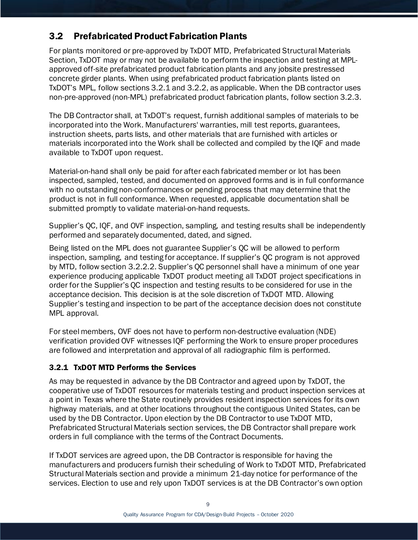# <span id="page-9-0"></span>3.2 Prefabricated Product Fabrication Plants

For plants monitored or pre-approved by TxDOT MTD, Prefabricated Structural Materials Section, TxDOT may or may not be available to perform the inspection and testing at MPLapproved off-site prefabricated product fabrication plants and any jobsite prestressed concrete girder plants. When using prefabricated product fabrication plants listed on TxDOT's MPL, follow sections 3.2.1 and 3.2.2, as applicable. When the DB contractor uses non-pre-approved (non-MPL) prefabricated product fabrication plants, follow section 3.2.3.

The DB Contractor shall, at TxDOT's request, furnish additional samples of materials to be incorporated into the Work. Manufacturers' warranties, mill test reports, guarantees, instruction sheets, parts lists, and other materials that are furnished with articles or materials incorporated into the Work shall be collected and compiled by the IQF and made available to TxDOT upon request.

Material-on-hand shall only be paid for after each fabricated member or lot has been inspected, sampled, tested, and documented on approved forms and is in full conformance with no outstanding non-conformances or pending process that may determine that the product is not in full conformance. When requested, applicable documentation shall be submitted promptly to validate material-on-hand requests.

Supplier's QC, IQF, and OVF inspection, sampling, and testing results shall be independently performed and separately documented, dated, and signed.

Being listed on the MPL does not guarantee Supplier's QC will be allowed to perform inspection, sampling, and testing for acceptance. If supplier's QC program is not approved by MTD, follow section 3.2.2.2. Supplier's QC personnel shall have a minimum of one year experience producing applicable TxDOT product meeting all TxDOT project specifications in order for the Supplier's QC inspection and testing results to be considered for use in the acceptance decision. This decision is at the sole discretion of TxDOT MTD. Allowing Supplier's testing and inspection to be part of the acceptance decision does not constitute MPL approval.

For steel members, OVF does not have to perform non-destructive evaluation (NDE) verification provided OVF witnesses IQF performing the Work to ensure proper procedures are followed and interpretation and approval of all radiographic film is performed.

#### 3.2.1 TxDOT MTD Performs the Services

As may be requested in advance by the DB Contractor and agreed upon by TxDOT, the cooperative use of TxDOT resources for materials testing and product inspection services at a point in Texas where the State routinely provides resident inspection services for its own highway materials, and at other locations throughout the contiguous United States, can be used by the DB Contractor. Upon election by the DB Contractor to use TxDOT MTD, Prefabricated Structural Materials section services, the DB Contractor shall prepare work orders in full compliance with the terms of the Contract Documents.

If TxDOT services are agreed upon, the DB Contractor is responsible for having the manufacturers and producers furnish their scheduling of Work to TxDOT MTD, Prefabricated Structural Materials section and provide a minimum 21-day notice for performance of the services. Election to use and rely upon TxDOT services is at the DB Contractor's own option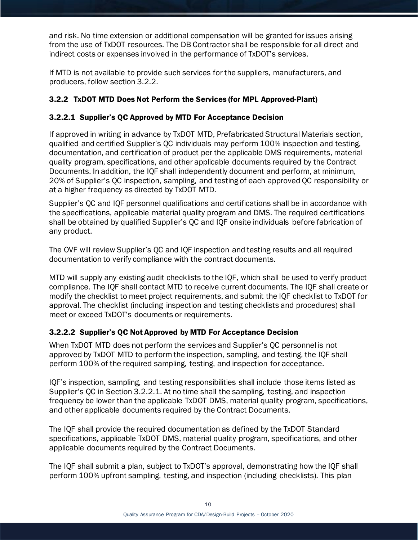and risk. No time extension or additional compensation will be granted for issues arising from the use of TxDOT resources. The DB Contractor shall be responsible for all direct and indirect costs or expenses involved in the performance of TxDOT's services.

If MTD is not available to provide such services for the suppliers, manufacturers, and producers, follow section 3.2.2.

## <span id="page-10-0"></span>3.2.2 TxDOT MTD Does Not Perform the Services (for MPL Approved-Plant)

#### 3.2.2.1 Supplier's QC Approved by MTD For Acceptance Decision

If approved in writing in advance by TxDOT MTD, Prefabricated Structural Materials section, qualified and certified Supplier's QC individuals may perform 100% inspection and testing, documentation, and certification of product per the applicable DMS requirements, material quality program, specifications, and other applicable documents required by the Contract Documents. In addition, the IQF shall independently document and perform, at minimum, 20% of Supplier's QC inspection, sampling, and testing of each approved QC responsibility or at a higher frequency as directed by TxDOT MTD.

Supplier's QC and IQF personnel qualifications and certifications shall be in accordance with the specifications, applicable material quality program and DMS. The required certifications shall be obtained by qualified Supplier's QC and IQF onsite individuals before fabrication of any product.

The OVF will review Supplier's QC and IQF inspection and testing results and all required documentation to verify compliance with the contract documents.

MTD will supply any existing audit checklists to the IQF, which shall be used to verify product compliance. The IQF shall contact MTD to receive current documents. The IQF shall create or modify the checklist to meet project requirements, and submit the IQF checklist to TxDOT for approval. The checklist (including inspection and testing checklists and procedures) shall meet or exceed TxDOT's documents or requirements.

#### 3.2.2.2 Supplier's QC Not Approved by MTD For Acceptance Decision

When TxDOT MTD does not perform the services and Supplier's QC personnel is not approved by TxDOT MTD to perform the inspection, sampling, and testing, the IQF shall perform 100% of the required sampling, testing, and inspection for acceptance.

IQF's inspection, sampling, and testing responsibilities shall include those items listed as Supplier's QC in Section 3.2.2.1. At no time shall the sampling, testing, and inspection frequency be lower than the applicable TxDOT DMS, material quality program, specifications, and other applicable documents required by the Contract Documents.

The IQF shall provide the required documentation as defined by the TxDOT Standard specifications, applicable TxDOT DMS, material quality program, specifications, and other applicable documents required by the Contract Documents.

The IQF shall submit a plan, subject to TxDOT's approval, demonstrating how the IQF shall perform 100% upfront sampling, testing, and inspection (including checklists). This plan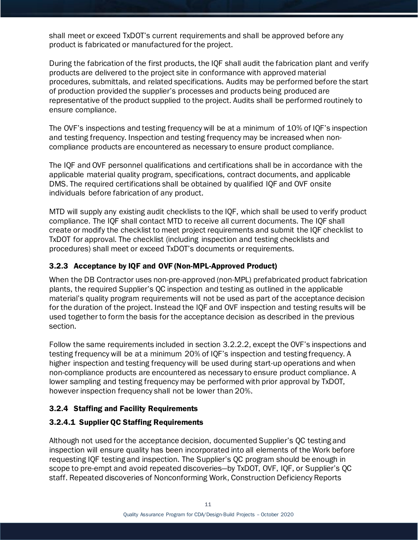shall meet or exceed TxDOT's current requirements and shall be approved before any product is fabricated or manufactured for the project.

During the fabrication of the first products, the IQF shall audit the fabrication plant and verify products are delivered to the project site in conformance with approved material procedures, submittals, and related specifications. Audits may be performed before the start of production provided the supplier's processes and products being produced are representative of the product supplied to the project. Audits shall be performed routinely to ensure compliance.

The OVF's inspections and testing frequency will be at a minimum of 10% of IQF's inspection and testing frequency. Inspection and testing frequency may be increased when noncompliance products are encountered as necessary to ensure product compliance.

The IQF and OVF personnel qualifications and certifications shall be in accordance with the applicable material quality program, specifications, contract documents, and applicable DMS. The required certifications shall be obtained by qualified IQF and OVF onsite individuals before fabrication of any product.

MTD will supply any existing audit checklists to the IQF, which shall be used to verify product compliance. The IQF shall contact MTD to receive all current documents. The IQF shall create or modify the checklist to meet project requirements and submit the IQF checklist to TxDOT for approval. The checklist (including inspection and testing checklists and procedures) shall meet or exceed TxDOT's documents or requirements.

#### 3.2.3 Acceptance by IQF and OVF (Non-MPL-Approved Product)

When the DB Contractor uses non-pre-approved (non-MPL) prefabricated product fabrication plants, the required Supplier's QC inspection and testing as outlined in the applicable material's quality program requirements will not be used as part of the acceptance decision for the duration of the project. Instead the IQF and OVF inspection and testing results will be used together to form the basis for the acceptance decision as described in the previous section.

Follow the same requirements included in section 3.2.2.2, except the OVF's inspections and testing frequency will be at a minimum 20% of IQF's inspection and testing frequency. A higher inspection and testing frequency will be used during start-up operations and when non-compliance products are encountered as necessary to ensure product compliance. A lower sampling and testing frequency may be performed with prior approval by TxDOT, however inspection frequency shall not be lower than 20%.

## 3.2.4 Staffing and Facility Requirements

#### 3.2.4.1 Supplier QC Staffing Requirements

Although not used for the acceptance decision, documented Supplier's QC testing and inspection will ensure quality has been incorporated into all elements of the Work before requesting IQF testing and inspection. The Supplier's QC program should be enough in scope to pre-empt and avoid repeated discoveries—by TxDOT, OVF, IQF, or Supplier's QC staff. Repeated discoveries of Nonconforming Work, Construction Deficiency Reports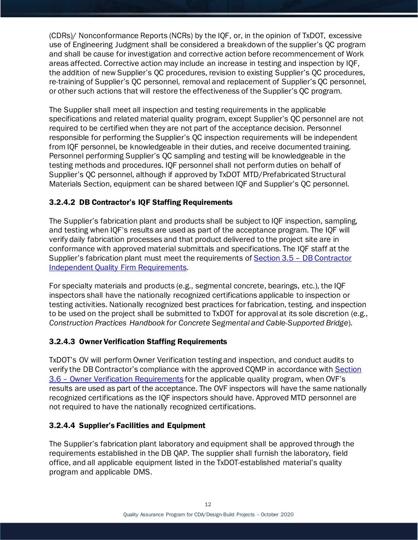(CDRs)/ Nonconformance Reports (NCRs) by the IQF, or, in the opinion of TxDOT, excessive use of Engineering Judgment shall be considered a breakdown of the supplier's QC program and shall be cause for investigation and corrective action before recommencement of Work areas affected. Corrective action may include an increase in testing and inspection by IQF, the addition of new Supplier's QC procedures, revision to existing Supplier's QC procedures, re-training of Supplier's QC personnel, removal and replacement of Supplier's QC personnel, or other such actions that will restore the effectiveness of the Supplier's QC program.

The Supplier shall meet all inspection and testing requirements in the applicable specifications and related material quality program, except Supplier's QC personnel are not required to be certified when they are not part of the acceptance decision. Personnel responsible for performing the Supplier's QC inspection requirements will be independent from IQF personnel, be knowledgeable in their duties, and receive documented training. Personnel performing Supplier's QC sampling and testing will be knowledgeable in the testing methods and procedures. IQF personnel shall not perform duties on behalf of Supplier's QC personnel, although if approved by TxDOT MTD/Prefabricated Structural Materials Section, equipment can be shared between IQF and Supplier's QC personnel.

#### 3.2.4.2 DB Contractor's IQF Staffing Requirements

The Supplier's fabrication plant and products shall be subject to IQF inspection, sampling, and testing when IQF's results are used as part of the acceptance program. The IQF will verify daily fabrication processes and that product delivered to the project site are in conformance with approved material submittals and specifications. The IQF staff at the Supplier's fabrication plant must meet the requirements of Section 3.5 - DB Contractor [Independent Quality Firm Requirements.](#page-15-0)

For specialty materials and products (e.g., segmental concrete, bearings, etc.), the IQF inspectors shall have the nationally recognized certifications applicable to inspection or testing activities. Nationally recognized best practices for fabrication, testing, and inspection to be used on the project shall be submitted to TxDOT for approval at its sole discretion (e.g., *Construction Practices Handbook for Concrete Segmental and Cable-Supported Bridge*).

#### 3.2.4.3 Owner Verification Staffing Requirements

TxDOT's OV will perform Owner Verification testing and inspection, and conduct audits to verify the DB Contractor's compliance with the approved CQMP in accordance with [Section](#page-19-0)  3.6 – [Owner Verification Requirements](#page-19-0) for the applicable quality program, when OVF's results are used as part of the acceptance. The OVF inspectors will have the same nationally recognized certifications as the IQF inspectors should have. Approved MTD personnel are not required to have the nationally recognized certifications.

#### 3.2.4.4 Supplier's Facilities and Equipment

The Supplier's fabrication plant laboratory and equipment shall be approved through the requirements established in the DB QAP. The supplier shall furnish the laboratory, field office, and all applicable equipment listed in the TxDOT-established material's quality program and applicable DMS.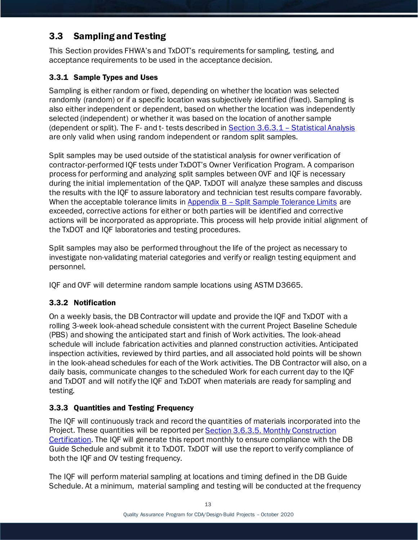# <span id="page-13-0"></span>3.3 Sampling and Testing

This Section provides FHWA's and TxDOT's requirements for sampling, testing, and acceptance requirements to be used in the acceptance decision.

## <span id="page-13-1"></span>3.3.1 Sample Types and Uses

Sampling is either random or fixed, depending on whether the location was selected randomly (random) or if a specific location was subjectively identified (fixed). Sampling is also either independent or dependent, based on whether the location was independently selected (independent) or whether it was based on the location of another sample (dependent or split). The F- and t- tests described in Section 3.6.3.1 – [Statistical Analysis](#page-21-0) are only valid when using random independent or random split samples.

Split samples may be used outside of the statistical analysis for owner verification of contractor-performed IQF tests under TxDOT's Owner Verification Program. A comparison process for performing and analyzing split samples between OVF and IQF is necessary during the initial implementation of the QAP. TxDOT will analyze these samples and discuss the results with the IQF to assure laboratory and technician test results compare favorably. When the acceptable tolerance limits in  $Appendix B - Split Sample Tolerance Limits$  $Appendix B - Split Sample Tolerance Limits$  are exceeded, corrective actions for either or both parties will be identified and corrective actions will be incorporated as appropriate. This process will help provide initial alignment of the TxDOT and IQF laboratories and testing procedures.

Split samples may also be performed throughout the life of the project as necessary to investigate non-validating material categories and verify or realign testing equipment and personnel.

IQF and OVF will determine random sample locations using ASTM D3665.

## 3.3.2 Notification

On a weekly basis, the DB Contractor will update and provide the IQF and TxDOT with a rolling 3-week look-ahead schedule consistent with the current Project Baseline Schedule (PBS) and showing the anticipated start and finish of Work activities. The look-ahead schedule will include fabrication activities and planned construction activities. Anticipated inspection activities, reviewed by third parties, and all associated hold points will be shown in the look-ahead schedules for each of the Work activities. The DB Contractor will also, on a daily basis, communicate changes to the scheduled Work for each current day to the IQF and TxDOT and will notify the IQF and TxDOT when materials are ready for sampling and testing.

## 3.3.3 Quantities and Testing Frequency

The IQF will continuously track and record the quantities of materials incorporated into the Project. These quantities will be reported per **Section 3.6.3.5. Monthly Construction** [Certification.](#page-25-0) The IQF will generate this report monthly to ensure compliance with the DB Guide Schedule and submit it to TxDOT*.* TxDOT will use the report to verify compliance of both the IQF and OV testing frequency.

The IQF will perform material sampling at locations and timing defined in the DB Guide Schedule. At a minimum, material sampling and testing will be conducted at the frequency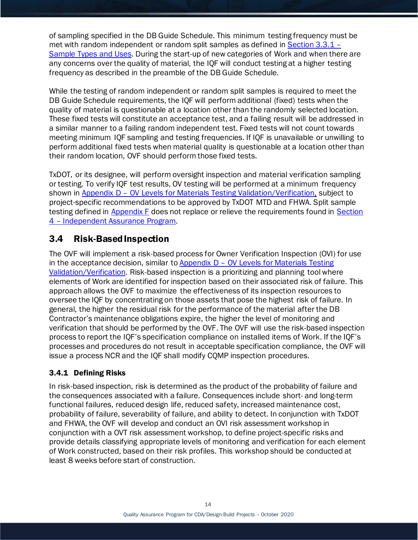of sampling specified in the DB Guide Schedule. This minimum testing frequency must be met with random independent or random split samples as defined in [Section 3.3.1](#page-13-1) – [Sample Types](#page-13-1) and Uses. During the start-up of new categories of Work and when there are any concerns over the quality of material, the IQF will conduct testing at a higher testing frequency as described in the preamble of the DB Guide Schedule.

While the testing of random independent or random split samples is required to meet the DB Guide Schedule requirements, the IQF will perform additional (fixed) tests when the quality of material is questionable at a location other than the randomly selected location. These fixed tests will constitute an acceptance test, and a failing result will be addressed in a similar manner to a failing random independent test. Fixed tests will not count towards meeting minimum IQF sampling and testing frequencies. If IQF is unavailable or unwilling to perform additional fixed tests when material quality is questionable at a location other than their random location, OVF should perform those fixed tests.

TxDOT, or its designee, will perform oversight inspection and material verification sampling or testing. To verify IQF test results, OV testing will be performed at a minimum frequency shown in Appendix D - [OV Levels for Materials Testing Validation/Verification,](#page-52-0) subject to project-specific recommendations to be approved by TxDOT MTD and FHWA. Split sample testing defined in [Appendix F](#page-65-0) does not replace or relieve the requirements found in [Section](#page-19-1)  4 – [Independent Assurance Program.](#page-19-1)

# <span id="page-14-0"></span>3.4 Risk-Based Inspection

The OVF will implement a risk-based process for Owner Verification Inspection (OVI) for use in the acceptance decision, similar to Appendix D – [OV Levels for Materials Testing](#page-52-0)  [Validation/Verification.](#page-52-0) Risk-based inspection is a prioritizing and planning tool where elements of Work are identified for inspection based on their associated risk of failure. This approach allows the OVF to maximize the effectiveness of its inspection resources to oversee the IQF by concentrating on those assets that pose the highest risk of failure. In general, the higher the residual risk for the performance of the material after the DB Contractor's maintenance obligations expire, the higher the level of monitoring and verification that should be performed by the OVF. The OVF will use the risk-based inspection process to report the IQF's specification compliance on installed items of Work. If the IQF's processes and procedures do not result in acceptable specification compliance, the OVF will issue a process NCR and the IQF shall modify CQMP inspection procedures.

## 3.4.1 Defining Risks

In risk-based inspection, risk is determined as the product of the probability of failure and the consequences associated with a failure. Consequences include short- and long-term functional failures, reduced design life, reduced safety, increased maintenance cost, probability of failure, severability of failure, and ability to detect. In conjunction with TxDOT and FHWA, the OVF will develop and conduct an OVI risk assessment workshop in conjunction with a OVT risk assessment workshop, to define project-specific risks and provide details classifying appropriate levels of monitoring and verification for each element of Work constructed, based on their risk profiles. This workshop should be conducted at least 8 weeks before start of construction.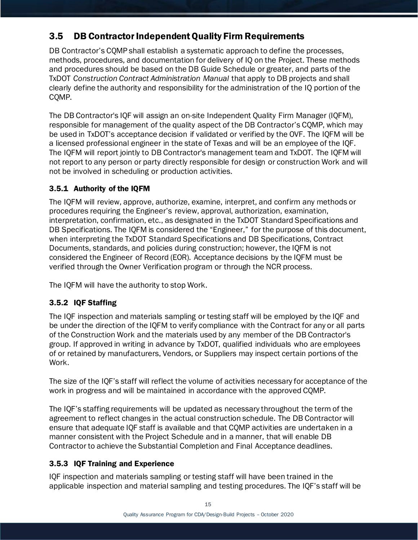# <span id="page-15-0"></span>3.5 DB Contractor Independent Quality Firm Requirements

DB Contractor's CQMP shall establish a systematic approach to define the processes, methods, procedures, and documentation for delivery of IQ on the Project. These methods and procedures should be based on the DB Guide Schedule or greater, and parts of the TxDOT *Construction Contract Administration Manual* that apply to DB projects and shall clearly define the authority and responsibility for the administration of the IQ portion of the CQMP.

The DB Contractor's IQF will assign an on-site Independent Quality Firm Manager (IQFM), responsible for management of the quality aspect of the DB Contractor's CQMP, which may be used in TxDOT's acceptance decision if validated or verified by the OVF. The IQFM will be a licensed professional engineer in the state of Texas and will be an employee of the IQF. The IQFM will report jointly to DB Contractor's management team and TxDOT. The IQFM will not report to any person or party directly responsible for design or construction Work and will not be involved in scheduling or production activities.

#### 3.5.1 Authority of the IQFM

The IQFM will review, approve, authorize, examine, interpret, and confirm any methods or procedures requiring the Engineer's review, approval, authorization, examination, interpretation, confirmation, etc., as designated in the TxDOT Standard Specifications and DB Specifications. The IQFM is considered the "Engineer," for the purpose of this document, when interpreting the TxDOT Standard Specifications and DB Specifications, Contract Documents, standards, and policies during construction; however, the IQFM is not considered the Engineer of Record (EOR). Acceptance decisions by the IQFM must be verified through the Owner Verification program or through the NCR process.

The IQFM will have the authority to stop Work.

#### 3.5.2 IQF Staffing

The IQF inspection and materials sampling or testing staff will be employed by the IQF and be under the direction of the IQFM to verify compliance with the Contract for any or all parts of the Construction Work and the materials used by any member of the DB Contractor's group. If approved in writing in advance by TxDOT, qualified individuals who are employees of or retained by manufacturers, Vendors, or Suppliers may inspect certain portions of the Work.

The size of the IQF's staff will reflect the volume of activities necessary for acceptance of the work in progress and will be maintained in accordance with the approved CQMP.

The IQF's staffing requirements will be updated as necessary throughout the term of the agreement to reflect changes in the actual construction schedule. The DB Contractor will ensure that adequate IQF staff is available and that CQMP activities are undertaken in a manner consistent with the Project Schedule and in a manner, that will enable DB Contractor to achieve the Substantial Completion and Final Acceptance deadlines.

#### 3.5.3 IQF Training and Experience

IQF inspection and materials sampling or testing staff will have been trained in the applicable inspection and material sampling and testing procedures. The IQF's staff will be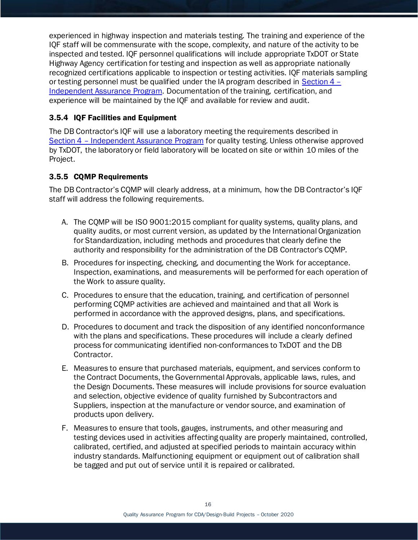experienced in highway inspection and materials testing. The training and experience of the IQF staff will be commensurate with the scope, complexity, and nature of the activity to be inspected and tested. IQF personnel qualifications will include appropriate TxDOT or State Highway Agency certification for testing and inspection as well as appropriate nationally recognized certifications applicable to inspection or testing activities. IQF materials sampling or testing personnel must be qualified under the IA program described in [Section 4 –](#page-19-1) [Independent Assurance Program.](#page-19-1) Documentation of the training, certification, and experience will be maintained by the IQF and available for review and audit.

#### 3.5.4 IQF Facilities and Equipment

The DB Contractor's IQF will use a laboratory meeting the requirements described in Section 4 – [Independent Assurance Program](#page-19-1) for quality testing. Unless otherwise approved by TxDOT, the laboratory or field laboratory will be located on site or within 10 miles of the Project.

#### <span id="page-16-0"></span>3.5.5 CQMP Requirements

The DB Contractor's CQMP will clearly address, at a minimum, how the DB Contractor's IQF staff will address the following requirements.

- A. The CQMP will be ISO 9001:2015 compliant for quality systems, quality plans, and quality audits, or most current version, as updated by the International Organization for Standardization, including methods and procedures that clearly define the authority and responsibility for the administration of the DB Contractor's CQMP.
- B. Procedures for inspecting, checking, and documenting the Work for acceptance. Inspection, examinations, and measurements will be performed for each operation of the Work to assure quality.
- C. Procedures to ensure that the education, training, and certification of personnel performing CQMP activities are achieved and maintained and that all Work is performed in accordance with the approved designs, plans, and specifications.
- D. Procedures to document and track the disposition of any identified nonconformance with the plans and specifications. These procedures will include a clearly defined process for communicating identified non-conformances to TxDOT and the DB Contractor.
- E. Measures to ensure that purchased materials, equipment, and services conform to the Contract Documents, the Governmental Approvals, applicable laws, rules, and the Design Documents. These measures will include provisions for source evaluation and selection, objective evidence of quality furnished by Subcontractors and Suppliers, inspection at the manufacture or vendor source, and examination of products upon delivery.
- F. Measures to ensure that tools, gauges, instruments, and other measuring and testing devices used in activities affecting quality are properly maintained, controlled, calibrated, certified, and adjusted at specified periods to maintain accuracy within industry standards. Malfunctioning equipment or equipment out of calibration shall be tagged and put out of service until it is repaired or calibrated.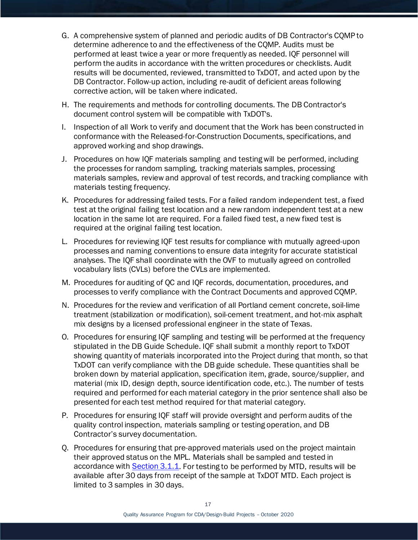- G. A comprehensive system of planned and periodic audits of DB Contractor's CQMP to determine adherence to and the effectiveness of the CQMP. Audits must be performed at least twice a year or more frequently as needed. IQF personnel will perform the audits in accordance with the written procedures or checklists. Audit results will be documented, reviewed, transmitted to TxDOT, and acted upon by the DB Contractor. Follow-up action, including re-audit of deficient areas following corrective action, will be taken where indicated.
- H. The requirements and methods for controlling documents. The DB Contractor's document control system will be compatible with TxDOT's.
- I. Inspection of all Work to verify and document that the Work has been constructed in conformance with the Released-for-Construction Documents, specifications, and approved working and shop drawings.
- J. Procedures on how IQF materials sampling and testing will be performed, including the processes for random sampling, tracking materials samples, processing materials samples, review and approval of test records, and tracking compliance with materials testing frequency.
- K. Procedures for addressing failed tests. For a failed random independent test, a fixed test at the original failing test location and a new random independent test at a new location in the same lot are required. For a failed fixed test, a new fixed test is required at the original failing test location.
- L. Procedures for reviewing IQF test results for compliance with mutually agreed-upon processes and naming conventions to ensure data integrity for accurate statistical analyses. The IQF shall coordinate with the OVF to mutually agreed on controlled vocabulary lists (CVLs) before the CVLs are implemented.
- M. Procedures for auditing of QC and IQF records, documentation, procedures, and processes to verify compliance with the Contract Documents and approved CQMP.
- N. Procedures for the review and verification of all Portland cement concrete, soil-lime treatment (stabilization or modification), soil-cement treatment, and hot-mix asphalt mix designs by a licensed professional engineer in the state of Texas.
- O. Procedures for ensuring IQF sampling and testing will be performed at the frequency stipulated in the DB Guide Schedule. IQF shall submit a monthly report to TxDOT showing quantity of materials incorporated into the Project during that month, so that TxDOT can verify compliance with the DB guide schedule. These quantities shall be broken down by material application, specification item, grade, source/supplier, and material (mix ID, design depth, source identification code, etc.). The number of tests required and performed for each material category in the prior sentence shall also be presented for each test method required for that material category.
- P. Procedures for ensuring IQF staff will provide oversight and perform audits of the quality control inspection, materials sampling or testing operation, and DB Contractor's survey documentation.
- Q. Procedures for ensuring that pre-approved materials used on the project maintain their approved status on the MPL. Materials shall be sampled and tested in accordance with [Section 3.1.1.](#page-8-2) For testing to be performed by MTD, results will be available after 30 days from receipt of the sample at TxDOT MTD. Each project is limited to 3 samples in 30 days.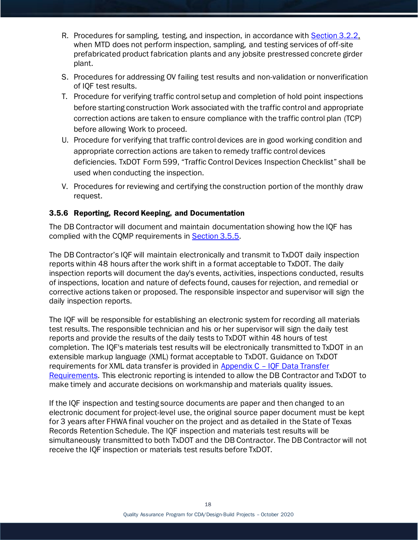- R. Procedures for sampling, testing, and inspection, in accordance with [Section 3.2.2,](#page-10-0) when MTD does not perform inspection, sampling, and testing services of off-site prefabricated product fabrication plants and any jobsite prestressed concrete girder plant.
- S. Procedures for addressing OV failing test results and non-validation or nonverification of IQF test results.
- T. Procedure for verifying traffic control setup and completion of hold point inspections before starting construction Work associated with the traffic control and appropriate correction actions are taken to ensure compliance with the traffic control plan (TCP) before allowing Work to proceed.
- U. Procedure for verifying that traffic control devices are in good working condition and appropriate correction actions are taken to remedy traffic control devices deficiencies. TxDOT Form 599, "Traffic Control Devices Inspection Checklist" shall be used when conducting the inspection.
- V. Procedures for reviewing and certifying the construction portion of the monthly draw request.

## 3.5.6 Reporting, Record Keeping, and Documentation

The DB Contractor will document and maintain documentation showing how the IQF has complied with the CQMP requirements in **Section 3.5.5.** 

The DB Contractor's IQF will maintain electronically and transmit to TxDOT daily inspection reports within 48 hours after the work shift in a format acceptable to TxDOT. The daily inspection reports will document the day's events, activities, inspections conducted, results of inspections, location and nature of defects found, causes for rejection, and remedial or corrective actions taken or proposed. The responsible inspector and supervisor will sign the daily inspection reports.

The IQF will be responsible for establishing an electronic system for recording all materials test results. The responsible technician and his or her supervisor will sign the daily test reports and provide the results of the daily tests to TxDOT within 48 hours of test completion. The IQF's materials test results will be electronically transmitted to TxDOT in an extensible markup language (XML) format acceptable to TxDOT. Guidance on TxDOT requirements for XML data transfer is provided in Appendix C – [IQF Data Transfer](#page-51-0)  [Requirements.](#page-51-0) This electronic reporting is intended to allow the DB Contractor and TxDOT to make timely and accurate decisions on workmanship and materials quality issues.

If the IQF inspection and testing source documents are paper and then changed to an electronic document for project-level use, the original source paper document must be kept for 3 years after FHWA final voucher on the project and as detailed in the State of Texas Records Retention Schedule. The IQF inspection and materials test results will be simultaneously transmitted to both TxDOT and the DB Contractor. The DB Contractor will not receive the IQF inspection or materials test results before TxDOT.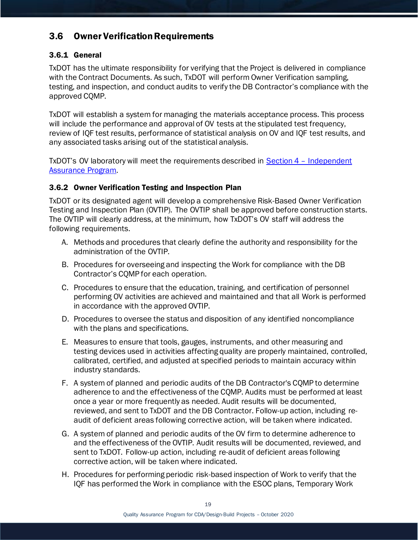# <span id="page-19-0"></span>3.6 Owner Verification Requirements

#### 3.6.1 General

TxDOT has the ultimate responsibility for verifying that the Project is delivered in compliance with the Contract Documents. As such, TxDOT will perform Owner Verification sampling, testing, and inspection, and conduct audits to verify the DB Contractor's compliance with the approved CQMP.

TxDOT will establish a system for managing the materials acceptance process. This process will include the performance and approval of OV tests at the stipulated test frequency, review of IQF test results, performance of statistical analysis on OV and IQF test results, and any associated tasks arising out of the statistical analysis.

<span id="page-19-1"></span>TxDOT's OV laboratory will meet the requirements described in **Section 4 - Independent** [Assurance Program.](#page-19-1)

#### 3.6.2 Owner Verification Testing and Inspection Plan

TxDOT or its designated agent will develop a comprehensive Risk-Based Owner Verification Testing and Inspection Plan (OVTIP). The OVTIP shall be approved before construction starts. The OVTIP will clearly address, at the minimum, how TxDOT's OV staff will address the following requirements.

- A. Methods and procedures that clearly define the authority and responsibility for the administration of the OVTIP.
- B. Procedures for overseeing and inspecting the Work for compliance with the DB Contractor's CQMP for each operation.
- C. Procedures to ensure that the education, training, and certification of personnel performing OV activities are achieved and maintained and that all Work is performed in accordance with the approved OVTIP.
- D. Procedures to oversee the status and disposition of any identified noncompliance with the plans and specifications.
- E. Measures to ensure that tools, gauges, instruments, and other measuring and testing devices used in activities affecting quality are properly maintained, controlled, calibrated, certified, and adjusted at specified periods to maintain accuracy within industry standards.
- F. A system of planned and periodic audits of the DB Contractor's CQMP to determine adherence to and the effectiveness of the CQMP. Audits must be performed at least once a year or more frequently as needed. Audit results will be documented, reviewed, and sent to TxDOT and the DB Contractor. Follow-up action, including reaudit of deficient areas following corrective action, will be taken where indicated.
- G. A system of planned and periodic audits of the OV firm to determine adherence to and the effectiveness of the OVTIP. Audit results will be documented, reviewed, and sent to TxDOT. Follow-up action, including re-audit of deficient areas following corrective action, will be taken where indicated.
- H. Procedures for performing periodic risk-based inspection of Work to verify that the IQF has performed the Work in compliance with the ESOC plans, Temporary Work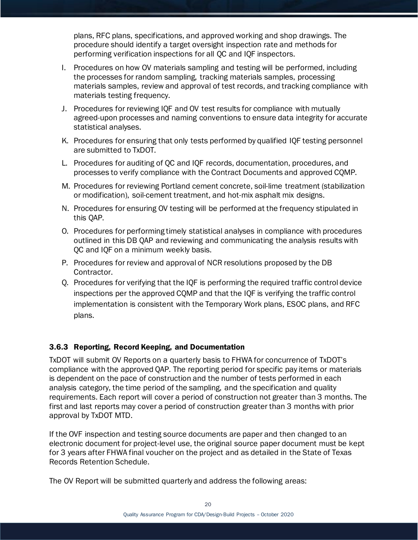plans, RFC plans, specifications, and approved working and shop drawings. The procedure should identify a target oversight inspection rate and methods for performing verification inspections for all QC and IQF inspectors.

- I. Procedures on how OV materials sampling and testing will be performed, including the processes for random sampling, tracking materials samples, processing materials samples, review and approval of test records, and tracking compliance with materials testing frequency.
- J. Procedures for reviewing IQF and OV test results for compliance with mutually agreed-upon processes and naming conventions to ensure data integrity for accurate statistical analyses.
- K. Procedures for ensuring that only tests performed by qualified IQF testing personnel are submitted to TxDOT.
- L. Procedures for auditing of QC and IQF records, documentation, procedures, and processes to verify compliance with the Contract Documents and approved CQMP.
- M. Procedures for reviewing Portland cement concrete, soil-lime treatment (stabilization or modification), soil-cement treatment, and hot-mix asphalt mix designs.
- N. Procedures for ensuring OV testing will be performed at the frequency stipulated in this QAP.
- O. Procedures for performing timely statistical analyses in compliance with procedures outlined in this DB QAP and reviewing and communicating the analysis results with QC and IQF on a minimum weekly basis.
- P. Procedures for review and approval of NCR resolutions proposed by the DB Contractor.
- Q. Procedures for verifying that the IQF is performing the required traffic control device inspections per the approved CQMP and that the IQF is verifying the traffic control implementation is consistent with the Temporary Work plans, ESOC plans, and RFC plans.

#### 3.6.3 Reporting, Record Keeping, and Documentation

TxDOT will submit OV Reports on a quarterly basis to FHWA for concurrence of TxDOT's compliance with the approved QAP. The reporting period for specific pay items or materials is dependent on the pace of construction and the number of tests performed in each analysis category, the time period of the sampling, and the specification and quality requirements. Each report will cover a period of construction not greater than 3 months. The first and last reports may cover a period of construction greater than 3 months with prior approval by TxDOT MTD.

If the OVF inspection and testing source documents are paper and then changed to an electronic document for project-level use, the original source paper document must be kept for 3 years after FHWA final voucher on the project and as detailed in the State of Texas Records Retention Schedule.

The OV Report will be submitted quarterly and address the following areas: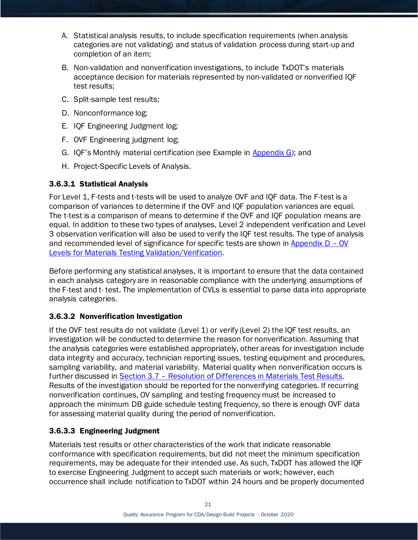- A. Statistical analysis results, to include specification requirements (when analysis categories are not validating) and status of validation process during start-up and completion of an item;
- B. Non-validation and nonverification investigations, to include TxDOT's materials acceptance decision for materials represented by non-validated or nonverified IQF test results;
- C. Split-sample test results;
- D. Nonconformance log;
- E. IQF Engineering Judgment log;
- F. OVF Engineering judgment log;
- G. IQF's Monthly material certification (see Example in [Appendix G\)](#page-66-0); and
- H. Project-Specific Levels of Analysis.

#### <span id="page-21-0"></span>3.6.3.1 Statistical Analysis

For Level 1, F-tests and t-tests will be used to analyze OVF and IQF data. The F-test is a comparison of variances to determine if the OVF and IQF population variances are equal. The t-test is a comparison of means to determine if the OVF and IQF population means are equal. In addition to these two types of analyses, Level 2 independent verification and Level 3 observation verification will also be used to verify the IQF test results. The type of analysis and recommended level of significance for specific tests are shown in Appendix  $D - OV$ [Levels for Materials Testing Validation/Verification.](#page-52-0)

Before performing any statistical analyses, it is important to ensure that the data contained in each analysis category are in reasonable compliance with the underlying assumptions of the F-test and t- test. The implementation of CVLs is essential to parse data into appropriate analysis categories.

#### 3.6.3.2 Nonverification Investigation

If the OVF test results do not validate (Level 1) or verify (Level 2) the IQF test results, an investigation will be conducted to determine the reason for nonverification. Assuming that the analysis categories were established appropriately, other areas for investigation include data integrity and accuracy, technician reporting issues, testing equipment and procedures, sampling variability, and material variability. Material quality when nonverification occurs is further discussed in Section 3.7 – [Resolution of Differences in Materials](#page-26-0) Test Results. Results of the investigation should be reported for the nonverifying categories. If recurring nonverification continues, OV sampling and testing frequency must be increased to approach the minimum DB guide schedule testing frequency, so there is enough OVF data for assessing material quality during the period of nonverification.

#### <span id="page-21-1"></span>3.6.3.3 Engineering Judgment

Materials test results or other characteristics of the work that indicate reasonable conformance with specification requirements, but did not meet the minimum specification requirements, may be adequate for their intended use. As such, TxDOT has allowed the IQF to exercise Engineering Judgment to accept such materials or work; however, each occurrence shall include notification to TxDOT within 24 hours and be properly documented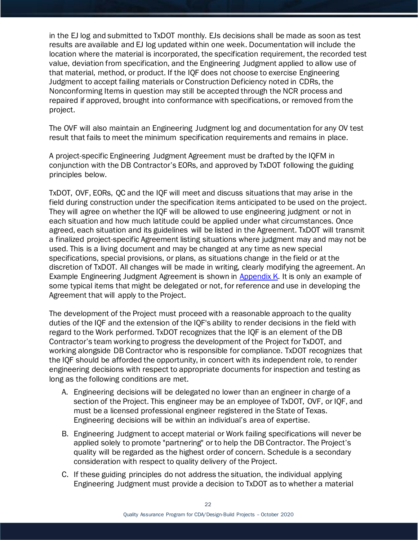in the EJ log and submitted to TxDOT monthly. EJs decisions shall be made as soon as test results are available and EJ log updated within one week. Documentation will include the location where the material is incorporated, the specification requirement, the recorded test value, deviation from specification, and the Engineering Judgment applied to allow use of that material, method, or product. If the IQF does not choose to exercise Engineering Judgment to accept failing materials or Construction Deficiency noted in CDRs, the Nonconforming Items in question may still be accepted through the NCR process and repaired if approved, brought into conformance with specifications, or removed from the project.

The OVF will also maintain an Engineering Judgment log and documentation for any OV test result that fails to meet the minimum specification requirements and remains in place.

A project-specific Engineering Judgment Agreement must be drafted by the IQFM in conjunction with the DB Contractor's EORs, and approved by TxDOT following the guiding principles below.

TxDOT, OVF, EORs, QC and the IQF will meet and discuss situations that may arise in the field during construction under the specification items anticipated to be used on the project. They will agree on whether the IQF will be allowed to use engineering judgment or not in each situation and how much latitude could be applied under what circumstances. Once agreed, each situation and its guidelines will be listed in the Agreement. TxDOT will transmit a finalized project-specific Agreement listing situations where judgment may and may not be used. This is a living document and may be changed at any time as new special specifications, special provisions, or plans, as situations change in the field or at the discretion of TxDOT. All changes will be made in writing, clearly modifying the agreement. An Example Engineering Judgment Agreement is shown in [Appendix K.](#page-78-0) It is only an example of some typical items that might be delegated or not, for reference and use in developing the Agreement that will apply to the Project.

The development of the Project must proceed with a reasonable approach to the quality duties of the IQF and the extension of the IQF's ability to render decisions in the field with regard to the Work performed. TxDOT recognizes that the IQF is an element of the DB Contractor's team working to progress the development of the Project for TxDOT, and working alongside DB Contractor who is responsible for compliance. TxDOT recognizes that the IQF should be afforded the opportunity, in concert with its independent role, to render engineering decisions with respect to appropriate documents for inspection and testing as long as the following conditions are met.

- A. Engineering decisions will be delegated no lower than an engineer in charge of a section of the Project. This engineer may be an employee of TxDOT, OVF, or IQF, and must be a licensed professional engineer registered in the State of Texas. Engineering decisions will be within an individual's area of expertise.
- B. Engineering Judgment to accept material or Work failing specifications will never be applied solely to promote "partnering" or to help the DB Contractor. The Project's quality will be regarded as the highest order of concern. Schedule is a secondary consideration with respect to quality delivery of the Project.
- C. If these guiding principles do not address the situation, the individual applying Engineering Judgment must provide a decision to TxDOT as to whether a material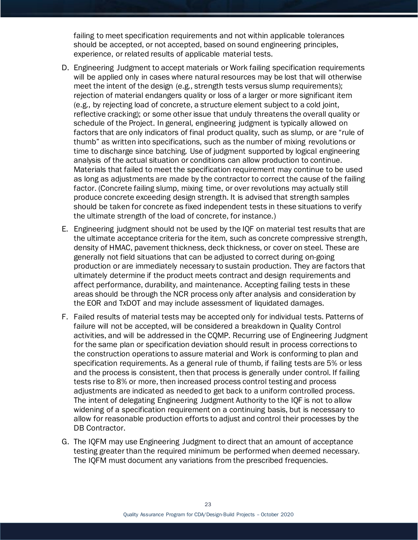failing to meet specification requirements and not within applicable tolerances should be accepted, or not accepted, based on sound engineering principles, experience, or related results of applicable material tests.

- D. Engineering Judgment to accept materials or Work failing specification requirements will be applied only in cases where natural resources may be lost that will otherwise meet the intent of the design (e.g., strength tests versus slump requirements); rejection of material endangers quality or loss of a larger or more significant item (e.g., by rejecting load of concrete, a structure element subject to a cold joint, reflective cracking); or some other issue that unduly threatens the overall quality or schedule of the Project. In general, engineering judgment is typically allowed on factors that are only indicators of final product quality, such as slump, or are "rule of thumb" as written into specifications, such as the number of mixing revolutions or time to discharge since batching. Use of judgment supported by logical engineering analysis of the actual situation or conditions can allow production to continue. Materials that failed to meet the specification requirement may continue to be used as long as adjustments are made by the contractor to correct the cause of the failing factor. (Concrete failing slump, mixing time, or over revolutions may actually still produce concrete exceeding design strength. It is advised that strength samples should be taken for concrete as fixed independent tests in these situations to verify the ultimate strength of the load of concrete, for instance.)
- E. Engineering judgment should not be used by the IQF on material test results that are the ultimate acceptance criteria for the item, such as concrete compressive strength, density of HMAC, pavement thickness, deck thickness, or cover on steel. These are generally not field situations that can be adjusted to correct during on-going production or are immediately necessary to sustain production. They are factors that ultimately determine if the product meets contract and design requirements and affect performance, durability, and maintenance. Accepting failing tests in these areas should be through the NCR process only after analysis and consideration by the EOR and TxDOT and may include assessment of liquidated damages.
- F. Failed results of material tests may be accepted only for individual tests. Patterns of failure will not be accepted, will be considered a breakdown in Quality Control activities, and will be addressed in the CQMP. Recurring use of Engineering Judgment for the same plan or specification deviation should result in process corrections to the construction operations to assure material and Work is conforming to plan and specification requirements. As a general rule of thumb, if failing tests are 5% or less and the process is consistent, then that process is generally under control. If failing tests rise to 8% or more, then increased process control testing and process adjustments are indicated as needed to get back to a uniform controlled process. The intent of delegating Engineering Judgment Authority to the IQF is not to allow widening of a specification requirement on a continuing basis, but is necessary to allow for reasonable production efforts to adjust and control their processes by the DB Contractor.
- G. The IQFM may use Engineering Judgment to direct that an amount of acceptance testing greater than the required minimum be performed when deemed necessary. The IQFM must document any variations from the prescribed frequencies.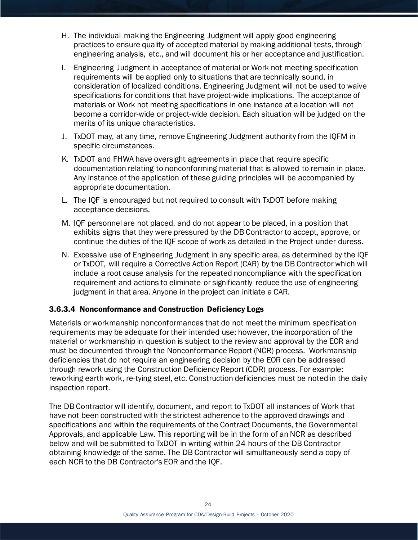- H. The individual making the Engineering Judgment will apply good engineering practices to ensure quality of accepted material by making additional tests, through engineering analysis, etc., and will document his or her acceptance and justification.
- I. Engineering Judgment in acceptance of material or Work not meeting specification requirements will be applied only to situations that are technically sound, in consideration of localized conditions. Engineering Judgment will not be used to waive specifications for conditions that have project-wide implications. The acceptance of materials or Work not meeting specifications in one instance at a location will not become a corridor-wide or project-wide decision. Each situation will be judged on the merits of its unique characteristics.
- J. TxDOT may, at any time, remove Engineering Judgment authority from the IQFM in specific circumstances.
- K. TxDOT and FHWA have oversight agreements in place that require specific documentation relating to nonconforming material that is allowed to remain in place. Any instance of the application of these guiding principles will be accompanied by appropriate documentation.
- L. The IQF is encouraged but not required to consult with TxDOT before making acceptance decisions.
- M. IQF personnel are not placed, and do not appear to be placed, in a position that exhibits signs that they were pressured by the DB Contractor to accept, approve, or continue the duties of the IQF scope of work as detailed in the Project under duress.
- N. Excessive use of Engineering Judgment in any specific area, as determined by the IQF or TxDOT, will require a Corrective Action Report (CAR) by the DB Contractor which will include a root cause analysis for the repeated noncompliance with the specification requirement and actions to eliminate or significantly reduce the use of engineering judgment in that area. Anyone in the project can initiate a CAR.

#### 3.6.3.4 Nonconformance and Construction Deficiency Logs

Materials or workmanship nonconformances that do not meet the minimum specification requirements may be adequate for their intended use; however, the incorporation of the material or workmanship in question is subject to the review and approval by the EOR and must be documented through the Nonconformance Report (NCR) process. Workmanship deficiencies that do not require an engineering decision by the EOR can be addressed through rework using the Construction Deficiency Report (CDR) process. For example: reworking earth work, re-tying steel, etc. Construction deficiencies must be noted in the daily inspection report.

The DB Contractor will identify, document, and report to TxDOT all instances of Work that have not been constructed with the strictest adherence to the approved drawings and specifications and within the requirements of the Contract Documents, the Governmental Approvals, and applicable Law. This reporting will be in the form of an NCR as described below and will be submitted to TxDOT in writing within 24 hours of the DB Contractor obtaining knowledge of the same. The DB Contractor will simultaneously send a copy of each NCR to the DB Contractor's EOR and the IQF.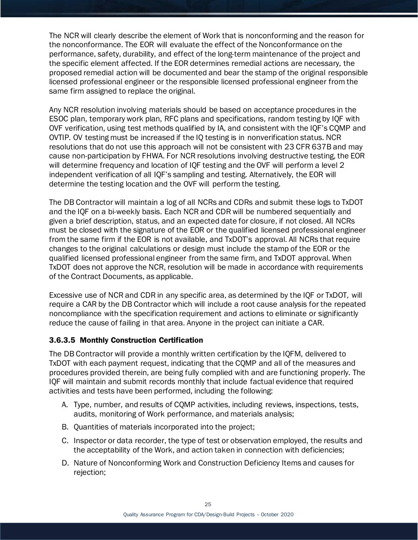The NCR will clearly describe the element of Work that is nonconforming and the reason for the nonconformance. The EOR will evaluate the effect of the Nonconformance on the performance, safety, durability, and effect of the long-term maintenance of the project and the specific element affected. If the EOR determines remedial actions are necessary, the proposed remedial action will be documented and bear the stamp of the original responsible licensed professional engineer or the responsible licensed professional engineer from the same firm assigned to replace the original.

Any NCR resolution involving materials should be based on acceptance procedures in the ESOC plan, temporary work plan, RFC plans and specifications, random testing by IQF with OVF verification, using test methods qualified by IA, and consistent with the IQF's CQMP and OVTIP. OV testing must be increased if the IQ testing is in nonverification status. NCR resolutions that do not use this approach will not be consistent with 23 CFR 637B and may cause non-participation by FHWA. For NCR resolutions involving destructive testing, the EOR will determine frequency and location of IQF testing and the OVF will perform a level 2 independent verification of all IQF's sampling and testing. Alternatively, the EOR will determine the testing location and the OVF will perform the testing.

The DB Contractor will maintain a log of all NCRs and CDRs and submit these logs to TxDOT and the IQF on a bi-weekly basis. Each NCR and CDR will be numbered sequentially and given a brief description, status, and an expected date for closure, if not closed. All NCRs must be closed with the signature of the EOR or the qualified licensed professional engineer from the same firm if the EOR is not available, and TxDOT's approval. All NCRs that require changes to the original calculations or design must include the stamp of the EOR or the qualified licensed professional engineer from the same firm, and TxDOT approval. When TxDOT does not approve the NCR, resolution will be made in accordance with requirements of the Contract Documents, as applicable.

Excessive use of NCR and CDR in any specific area, as determined by the IQF or TxDOT, will require a CAR by the DB Contractor which will include a root cause analysis for the repeated noncompliance with the specification requirement and actions to eliminate or significantly reduce the cause of failing in that area. Anyone in the project can initiate a CAR.

#### <span id="page-25-0"></span>3.6.3.5 Monthly Construction Certification

The DB Contractor will provide a monthly written certification by the IQFM, delivered to TxDOT with each payment request, indicating that the CQMP and all of the measures and procedures provided therein, are being fully complied with and are functioning properly. The IQF will maintain and submit records monthly that include factual evidence that required activities and tests have been performed, including the following:

- A. Type, number, and results of CQMP activities, including reviews, inspections, tests, audits, monitoring of Work performance, and materials analysis;
- B. Quantities of materials incorporated into the project;
- C. Inspector or data recorder, the type of test or observation employed, the results and the acceptability of the Work, and action taken in connection with deficiencies;
- D. Nature of Nonconforming Work and Construction Deficiency Items and causes for rejection;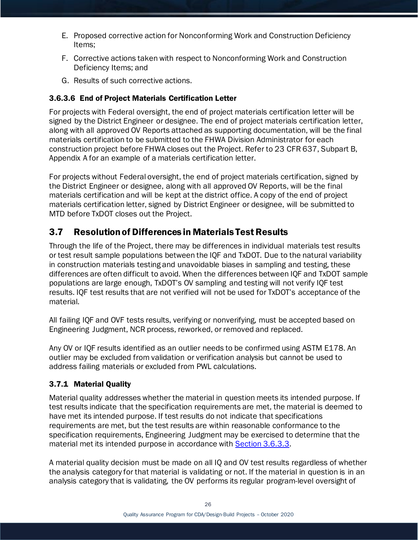- E. Proposed corrective action for Nonconforming Work and Construction Deficiency Items;
- F. Corrective actions taken with respect to Nonconforming Work and Construction Deficiency Items; and
- G. Results of such corrective actions.

## 3.6.3.6 End of Project Materials Certification Letter

For projects with Federal oversight, the end of project materials certification letter will be signed by the District Engineer or designee. The end of project materials certification letter, along with all approved OV Reports attached as supporting documentation, will be the final materials certification to be submitted to the FHWA Division Administrator for each construction project before FHWA closes out the Project. Refer to 23 CFR 637, Subpart B, Appendix A for an example of a materials certification letter.

For projects without Federal oversight, the end of project materials certification, signed by the District Engineer or designee, along with all approved OV Reports, will be the final materials certification and will be kept at the district office. A copy of the end of project materials certification letter, signed by District Engineer or designee, will be submitted to MTD before TxDOT closes out the Project.

# <span id="page-26-0"></span>3.7 Resolution of Differences in Materials Test Results

Through the life of the Project, there may be differences in individual materials test results or test result sample populations between the IQF and TxDOT. Due to the natural variability in construction materials testing and unavoidable biases in sampling and testing, these differences are often difficult to avoid. When the differences between IQF and TxDOT sample populations are large enough, TxDOT's OV sampling and testing will not verify IQF test results. IQF test results that are not verified will not be used for TxDOT's acceptance of the material.

All failing IQF and OVF tests results, verifying or nonverifying, must be accepted based on Engineering Judgment, NCR process, reworked, or removed and replaced.

Any OV or IQF results identified as an outlier needs to be confirmed using ASTM E178. An outlier may be excluded from validation or verification analysis but cannot be used to address failing materials or excluded from PWL calculations.

## 3.7.1 Material Quality

Material quality addresses whether the material in question meets its intended purpose. If test results indicate that the specification requirements are met, the material is deemed to have met its intended purpose. If test results do not indicate that specifications requirements are met, but the test results are within reasonable conformance to the specification requirements, Engineering Judgment may be exercised to determine that the material met its intended purpose in accordance with **Section 3.6.3.3.** 

A material quality decision must be made on all IQ and OV test results regardless of whether the analysis category for that material is validating or not. If the material in question is in an analysis category that is validating, the OV performs its regular program-level oversight of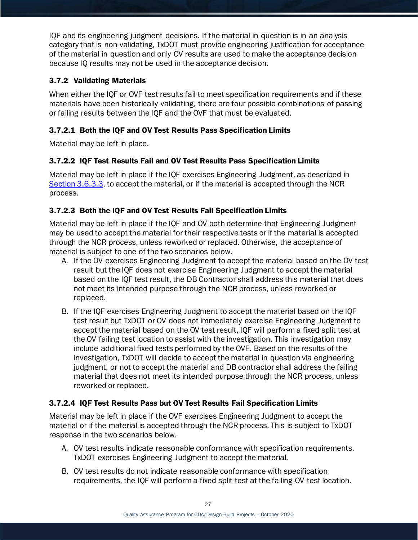IQF and its engineering judgment decisions. If the material in question is in an analysis category that is non-validating, TxDOT must provide engineering justification for acceptance of the material in question and only OV results are used to make the acceptance decision because IQ results may not be used in the acceptance decision.

#### 3.7.2 Validating Materials

When either the IQF or OVF test results fail to meet specification requirements and if these materials have been historically validating, there are four possible combinations of passing or failing results between the IQF and the OVF that must be evaluated.

## 3.7.2.1 Both the IQF and OV Test Results Pass Specification Limits

Material may be left in place.

#### 3.7.2.2 IQF Test Results Fail and OV Test Results Pass Specification Limits

Material may be left in place if the IQF exercises Engineering Judgment, as described in [Section 3.6.3.3,](#page-21-1) to accept the material, or if the material is accepted through the NCR process.

## 3.7.2.3 Both the IQF and OV Test Results Fail Specification Limits

Material may be left in place if the IQF and OV both determine that Engineering Judgment may be used to accept the material for their respective tests or if the material is accepted through the NCR process, unless reworked or replaced. Otherwise, the acceptance of material is subject to one of the two scenarios below.

- A. If the OV exercises Engineering Judgment to accept the material based on the OV test result but the IQF does not exercise Engineering Judgment to accept the material based on the IQF test result, the DB Contractor shall address this material that does not meet its intended purpose through the NCR process, unless reworked or replaced.
- B. If the IQF exercises Engineering Judgment to accept the material based on the IQF test result but TxDOT or OV does not immediately exercise Engineering Judgment to accept the material based on the OV test result, IQF will perform a fixed split test at the OV failing test location to assist with the investigation. This investigation may include additional fixed tests performed by the OVF. Based on the results of the investigation, TxDOT will decide to accept the material in question via engineering judgment, or not to accept the material and DB contractor shall address the failing material that does not meet its intended purpose through the NCR process, unless reworked or replaced.

#### 3.7.2.4 IQF Test Results Pass but OV Test Results Fail Specification Limits

Material may be left in place if the OVF exercises Engineering Judgment to accept the material or if the material is accepted through the NCR process. This is subject to TxDOT response in the two scenarios below.

- A. OV test results indicate reasonable conformance with specification requirements, TxDOT exercises Engineering Judgment to accept the material.
- B. OV test results do not indicate reasonable conformance with specification requirements, the IQF will perform a fixed split test at the failing OV test location.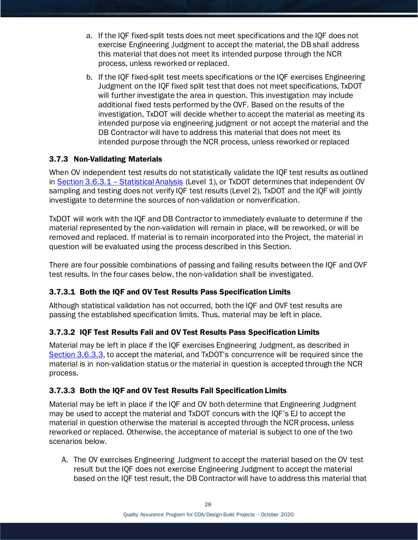- a. If the IQF fixed-split tests does not meet specifications and the IQF does not exercise Engineering Judgment to accept the material, the DB shall address this material that does not meet its intended purpose through the NCR process, unless reworked or replaced.
- b. If the IQF fixed-split test meets specifications or the IQF exercises Engineering Judgment on the IQF fixed split test that does not meet specifications, TxDOT will further investigate the area in question. This investigation may include additional fixed tests performed by the OVF. Based on the results of the investigation, TxDOT will decide whether to accept the material as meeting its intended purpose via engineering judgment or not accept the material and the DB Contractor will have to address this material that does not meet its intended purpose through the NCR process, unless reworked or replaced

#### 3.7.3 Non-Validating Materials

When OV independent test results do not statistically validate the IQF test results as outlined in Section 3.6.3.1 – [Statistical Analysis](#page-21-0) (Level 1), or TxDOT determines that independent OV sampling and testing does not verify IQF test results (Level 2), TxDOT and the IQF will jointly investigate to determine the sources of non-validation or nonverification.

TxDOT will work with the IQF and DB Contractor to immediately evaluate to determine if the material represented by the non-validation will remain in place, will be reworked, or will be removed and replaced. If material is to remain incorporated into the Project, the material in question will be evaluated using the process described in this Section.

There are four possible combinations of passing and failing results between the IQF and OVF test results. In the four cases below, the non-validation shall be investigated.

#### 3.7.3.1 Both the IQF and OV Test Results Pass Specification Limits

Although statistical validation has not occurred, both the IQF and OVF test results are passing the established specification limits. Thus, material may be left in place.

#### 3.7.3.2 IQF Test Results Fail and OV Test Results Pass Specification Limits

Material may be left in place if the IQF exercises Engineering Judgment, as described in [Section 3.6.3.3,](#page-21-1) to accept the material, and TxDOT's concurrence will be required since the material is in non-validation status or the material in question is accepted through the NCR process.

#### 3.7.3.3 Both the IQF and OV Test Results Fail Specification Limits

Material may be left in place if the IQF and OV both determine that Engineering Judgment may be used to accept the material and TxDOT concurs with the IQF's EJ to accept the material in question otherwise the material is accepted through the NCR process, unless reworked or replaced. Otherwise, the acceptance of material is subject to one of the two scenarios below.

A. The OV exercises Engineering Judgment to accept the material based on the OV test result but the IQF does not exercise Engineering Judgment to accept the material based on the IQF test result, the DB Contractor will have to address this material that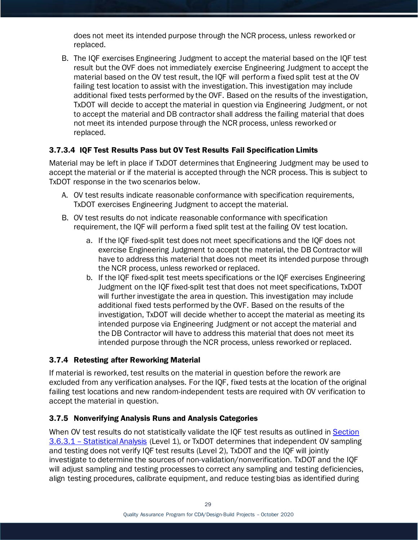does not meet its intended purpose through the NCR process, unless reworked or replaced.

B. The IQF exercises Engineering Judgment to accept the material based on the IQF test result but the OVF does not immediately exercise Engineering Judgment to accept the material based on the OV test result, the IQF will perform a fixed split test at the OV failing test location to assist with the investigation. This investigation may include additional fixed tests performed by the OVF. Based on the results of the investigation, TxDOT will decide to accept the material in question via Engineering Judgment, or not to accept the material and DB contractor shall address the failing material that does not meet its intended purpose through the NCR process, unless reworked or replaced.

## 3.7.3.4 IQF Test Results Pass but OV Test Results Fail Specification Limits

Material may be left in place if TxDOT determines that Engineering Judgment may be used to accept the material or if the material is accepted through the NCR process. This is subject to TxDOT response in the two scenarios below.

- A. OV test results indicate reasonable conformance with specification requirements, TxDOT exercises Engineering Judgment to accept the material.
- B. OV test results do not indicate reasonable conformance with specification requirement, the IQF will perform a fixed split test at the failing OV test location.
	- a. If the IQF fixed-split test does not meet specifications and the IQF does not exercise Engineering Judgment to accept the material, the DB Contractor will have to address this material that does not meet its intended purpose through the NCR process, unless reworked or replaced.
	- b. If the IQF fixed-split test meets specifications or the IQF exercises Engineering Judgment on the IQF fixed-split test that does not meet specifications, TxDOT will further investigate the area in question. This investigation may include additional fixed tests performed by the OVF. Based on the results of the investigation, TxDOT will decide whether to accept the material as meeting its intended purpose via Engineering Judgment or not accept the material and the DB Contractor will have to address this material that does not meet its intended purpose through the NCR process, unless reworked or replaced.

#### 3.7.4 Retesting after Reworking Material

If material is reworked, test results on the material in question before the rework are excluded from any verification analyses. For the IQF, fixed tests at the location of the original failing test locations and new random-independent tests are required with OV verification to accept the material in question.

#### 3.7.5 Nonverifying Analysis Runs and Analysis Categories

When OV test results do not statistically validate the IQF test results as outlined in [Section](#page-21-0)  3.6.3.1 – [Statistical Analysis](#page-21-0) (Level 1), or TxDOT determines that independent OV sampling and testing does not verify IQF test results (Level 2), TxDOT and the IQF will jointly investigate to determine the sources of non-validation/nonverification. TxDOT and the IQF will adjust sampling and testing processes to correct any sampling and testing deficiencies, align testing procedures, calibrate equipment, and reduce testing bias as identified during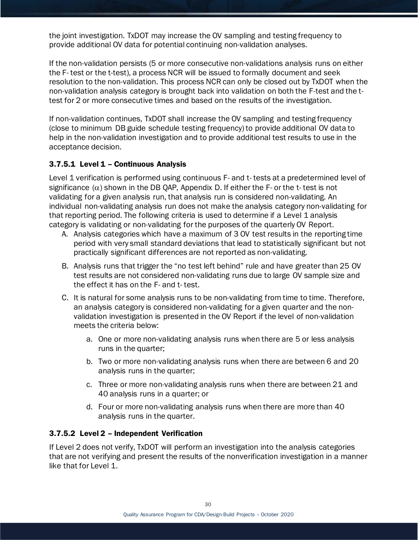the joint investigation. TxDOT may increase the OV sampling and testing frequency to provide additional OV data for potential continuing non-validation analyses.

If the non-validation persists (5 or more consecutive non-validations analysis runs on either the F- test or the t-test), a process NCR will be issued to formally document and seek resolution to the non-validation. This process NCR can only be closed out by TxDOT when the non-validation analysis category is brought back into validation on both the F-test and the ttest for 2 or more consecutive times and based on the results of the investigation.

If non-validation continues, TxDOT shall increase the OV sampling and testing frequency (close to minimum DB guide schedule testing frequency) to provide additional OV data to help in the non-validation investigation and to provide additional test results to use in the acceptance decision.

#### 3.7.5.1 Level 1 - Continuous Analysis

Level 1 verification is performed using continuous F- and t- tests at a predetermined level of significance  $(\alpha)$  shown in the DB QAP, Appendix D. If either the F- or the t- test is not validating for a given analysis run, that analysis run is considered non-validating. An individual non-validating analysis run does not make the analysis category non-validating for that reporting period. The following criteria is used to determine if a Level 1 analysis category is validating or non-validating for the purposes of the quarterly OV Report.

- A. Analysis categories which have a maximum of 3 OV test results in the reporting time period with very small standard deviations that lead to statistically significant but not practically significant differences are not reported as non-validating.
- B. Analysis runs that trigger the "no test left behind" rule and have greater than 25 OV test results are not considered non-validating runs due to large OV sample size and the effect it has on the F- and t- test.
- C. It is natural for some analysis runs to be non-validating from time to time. Therefore, an analysis category is considered non-validating for a given quarter and the nonvalidation investigation is presented in the OV Report if the level of non-validation meets the criteria below:
	- a. One or more non-validating analysis runs when there are 5 or less analysis runs in the quarter;
	- b. Two or more non-validating analysis runs when there are between 6 and 20 analysis runs in the quarter;
	- c. Three or more non-validating analysis runs when there are between 21 and 40 analysis runs in a quarter; or
	- d. Four or more non-validating analysis runs when there are more than 40 analysis runs in the quarter.

#### 3.7.5.2 Level 2 – Independent Verification

If Level 2 does not verify, TxDOT will perform an investigation into the analysis categories that are not verifying and present the results of the nonverification investigation in a manner like that for Level 1.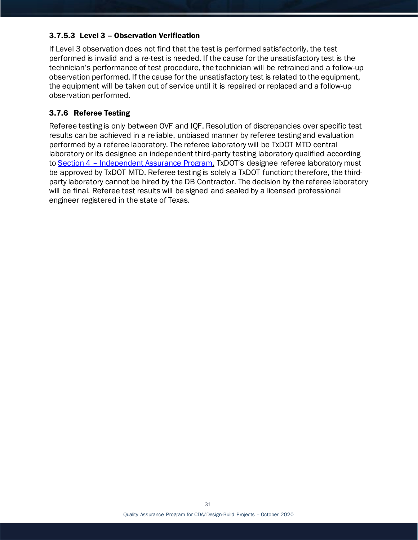#### 3.7.5.3 Level 3 – Observation Verification

If Level 3 observation does not find that the test is performed satisfactorily, the test performed is invalid and a re-test is needed. If the cause for the unsatisfactory test is the technician's performance of test procedure, the technician will be retrained and a follow-up observation performed. If the cause for the unsatisfactory test is related to the equipment, the equipment will be taken out of service until it is repaired or replaced and a follow-up observation performed.

#### 3.7.6 Referee Testing

<span id="page-31-0"></span>Referee testing is only between OVF and IQF. Resolution of discrepancies over specific test results can be achieved in a reliable, unbiased manner by referee testing and evaluation performed by a referee laboratory. The referee laboratory will be TxDOT MTD central laboratory or its designee an independent third-party testing laboratory qualified according to Section 4 – [Independent Assurance Program.](#page-19-1) TxDOT's designee referee laboratory must be approved by TxDOT MTD. Referee testing is solely a TxDOT function; therefore, the thirdparty laboratory cannot be hired by the DB Contractor. The decision by the referee laboratory will be final. Referee test results will be signed and sealed by a licensed professional engineer registered in the state of Texas.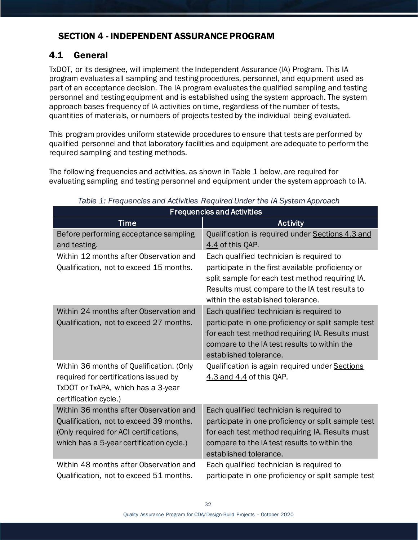# <span id="page-32-0"></span>SECTION 4 - INDEPENDENT ASSURANCE PROGRAM

# <span id="page-32-1"></span>4.1 General

TxDOT, or its designee, will implement the Independent Assurance (IA) Program. This IA program evaluates all sampling and testing procedures, personnel, and equipment used as part of an acceptance decision. The IA program evaluates the qualified sampling and testing personnel and testing equipment and is established using the system approach. The system approach bases frequency of IA activities on time, regardless of the number of tests, quantities of materials, or numbers of projects tested by the individual being evaluated.

This program provides uniform statewide procedures to ensure that tests are performed by qualified personnel and that laboratory facilities and equipment are adequate to perform the required sampling and testing methods.

The following frequencies and activities, as shown in Table 1 below, are required for evaluating sampling and testing personnel and equipment under the system approach to IA.

| <b>Frequencies and Activities</b>                                                                                                                                       |                                                                                                                                                                                                                                         |  |  |  |  |  |
|-------------------------------------------------------------------------------------------------------------------------------------------------------------------------|-----------------------------------------------------------------------------------------------------------------------------------------------------------------------------------------------------------------------------------------|--|--|--|--|--|
| <b>Time</b>                                                                                                                                                             | <b>Activity</b>                                                                                                                                                                                                                         |  |  |  |  |  |
| Before performing acceptance sampling<br>and testing.                                                                                                                   | Qualification is required under Sections 4.3 and<br>4.4 of this QAP.                                                                                                                                                                    |  |  |  |  |  |
| Within 12 months after Observation and<br>Qualification, not to exceed 15 months.                                                                                       | Each qualified technician is required to<br>participate in the first available proficiency or<br>split sample for each test method requiring IA.<br>Results must compare to the IA test results to<br>within the established tolerance. |  |  |  |  |  |
| Within 24 months after Observation and<br>Qualification, not to exceed 27 months.                                                                                       | Each qualified technician is required to<br>participate in one proficiency or split sample test<br>for each test method requiring IA. Results must<br>compare to the IA test results to within the<br>established tolerance.            |  |  |  |  |  |
| Within 36 months of Qualification. (Only<br>required for certifications issued by<br>TxDOT or TxAPA, which has a 3-year<br>certification cycle.)                        | Qualification is again required under Sections<br>4.3 and 4.4 of this QAP.                                                                                                                                                              |  |  |  |  |  |
| Within 36 months after Observation and<br>Qualification, not to exceed 39 months.<br>(Only required for ACI certifications,<br>which has a 5-year certification cycle.) | Each qualified technician is required to<br>participate in one proficiency or split sample test<br>for each test method requiring IA. Results must<br>compare to the IA test results to within the<br>established tolerance.            |  |  |  |  |  |
| Within 48 months after Observation and<br>Qualification, not to exceed 51 months.                                                                                       | Each qualified technician is required to<br>participate in one proficiency or split sample test                                                                                                                                         |  |  |  |  |  |

*Table 1: Frequencies and Activities Required Under the IA System Approach*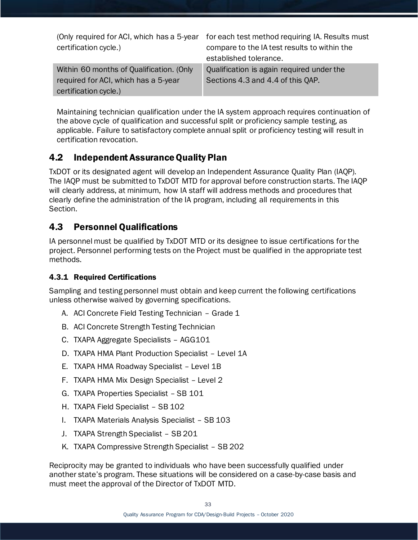|                                          | (Only required for ACI, which has a 5-year for each test method requiring IA. Results must |
|------------------------------------------|--------------------------------------------------------------------------------------------|
| certification cycle.)                    | compare to the IA test results to within the                                               |
|                                          | established tolerance.                                                                     |
| Within 60 months of Qualification. (Only | Qualification is again required under the                                                  |
| required for ACI, which has a 5-year     | Sections 4.3 and 4.4 of this QAP.                                                          |
| certification cycle.)                    |                                                                                            |

Maintaining technician qualification under the IA system approach requires continuation of the above cycle of qualification and successful split or proficiency sample testing, as applicable. Failure to satisfactory complete annual split or proficiency testing will result in certification revocation.

# <span id="page-33-0"></span>4.2 Independent Assurance Quality Plan

TxDOT or its designated agent will develop an Independent Assurance Quality Plan (IAQP). The IAQP must be submitted to TxDOT MTD for approval before construction starts. The IAQP will clearly address, at minimum, how IA staff will address methods and procedures that clearly define the administration of the IA program, including all requirements in this Section.

## <span id="page-33-1"></span>4.3 Personnel Qualifications

IA personnel must be qualified by TxDOT MTD or its designee to issue certifications for the project. Personnel performing tests on the Project must be qualified in the appropriate test methods.

## 4.3.1 Required Certifications

Sampling and testing personnel must obtain and keep current the following certifications unless otherwise waived by governing specifications.

- A. ACI Concrete Field Testing Technician Grade 1
- B. ACI Concrete Strength Testing Technician
- C. TXAPA Aggregate Specialists AGG101
- D. TXAPA HMA Plant Production Specialist Level 1A
- E. TXAPA HMA Roadway Specialist Level 1B
- F. TXAPA HMA Mix Design Specialist Level 2
- G. TXAPA Properties Specialist SB 101
- H. TXAPA Field Specialist SB 102
- I. TXAPA Materials Analysis Specialist SB 103
- J. TXAPA Strength Specialist SB 201
- K. TXAPA Compressive Strength Specialist SB 202

Reciprocity may be granted to individuals who have been successfully qualified under another state's program. These situations will be considered on a case-by-case basis and must meet the approval of the Director of TxDOT MTD.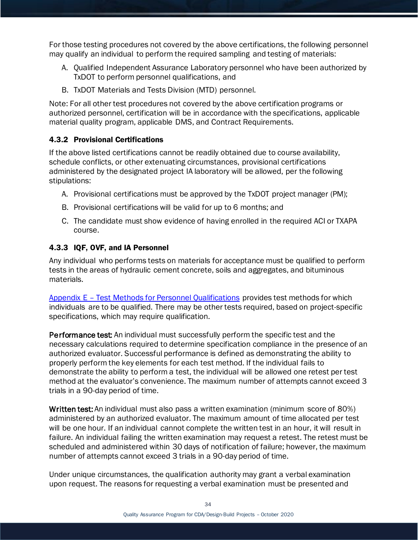For those testing procedures not covered by the above certifications, the following personnel may qualify an individual to perform the required sampling and testing of materials:

- A. Qualified Independent Assurance Laboratory personnel who have been authorized by TxDOT to perform personnel qualifications, and
- B. TxDOT Materials and Tests Division (MTD) personnel.

Note: For all other test procedures not covered by the above certification programs or authorized personnel, certification will be in accordance with the specifications, applicable material quality program, applicable DMS, and Contract Requirements.

#### 4.3.2 Provisional Certifications

If the above listed certifications cannot be readily obtained due to course availability, schedule conflicts, or other extenuating circumstances, provisional certifications administered by the designated project IA laboratory will be allowed, per the following stipulations:

- A. Provisional certifications must be approved by the TxDOT project manager (PM);
- B. Provisional certifications will be valid for up to 6 months; and
- C. The candidate must show evidence of having enrolled in the required ACI or TXAPA course.

#### 4.3.3 IQF, OVF, and IA Personnel

Any individual who performs tests on materials for acceptance must be qualified to perform tests in the areas of hydraulic cement concrete, soils and aggregates, and bituminous materials.

Appendix E – [Test Methods for Personnel Qualifications](#page-61-0) provides test methods for which individuals are to be qualified. There may be other tests required, based on project-specific specifications, which may require qualification.

Performance test: An individual must successfully perform the specific test and the necessary calculations required to determine specification compliance in the presence of an authorized evaluator. Successful performance is defined as demonstrating the ability to properly perform the key elements for each test method. If the individual fails to demonstrate the ability to perform a test, the individual will be allowed one retest per test method at the evaluator's convenience. The maximum number of attempts cannot exceed 3 trials in a 90-day period of time.

Written test: An individual must also pass a written examination (minimum score of 80%) administered by an authorized evaluator. The maximum amount of time allocated per test will be one hour. If an individual cannot complete the written test in an hour, it will result in failure. An individual failing the written examination may request a retest. The retest must be scheduled and administered within 30 days of notification of failure; however, the maximum number of attempts cannot exceed 3 trials in a 90-day period of time.

Under unique circumstances, the qualification authority may grant a verbal examination upon request. The reasons for requesting a verbal examination must be presented and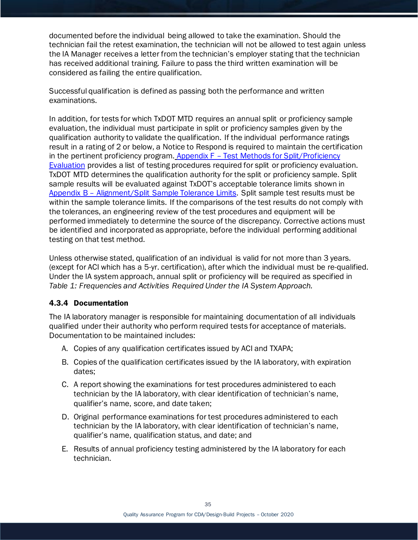documented before the individual being allowed to take the examination. Should the technician fail the retest examination, the technician will not be allowed to test again unless the IA Manager receives a letter from the technician's employer stating that the technician has received additional training. Failure to pass the third written examination will be considered as failing the entire qualification.

Successful qualification is defined as passing both the performance and written examinations.

In addition, for tests for which TxDOT MTD requires an annual split or proficiency sample evaluation, the individual must participate in split or proficiency samples given by the qualification authority to validate the qualification. If the individual performance ratings result in a rating of 2 or below, a Notice to Respond is required to maintain the certification in the pertinent proficiency program. Appendix F – [Test Methods for Split/Proficiency](#page-65-0)  [Evaluation](#page-65-0) provides a list of testing procedures required for split or proficiency evaluation. TxDOT MTD determines the qualification authority for the split or proficiency sample. Split sample results will be evaluated against TxDOT's acceptable tolerance limits shown in Appendix B – [Alignment/Split Sample Tolerance Limits.](#page-48-0) Split sample test results must be within the sample tolerance limits. If the comparisons of the test results do not comply with the tolerances, an engineering review of the test procedures and equipment will be performed immediately to determine the source of the discrepancy. Corrective actions must be identified and incorporated as appropriate, before the individual performing additional testing on that test method.

Unless otherwise stated, qualification of an individual is valid for not more than 3 years. (except for ACI which has a 5-yr. certification), after which the individual must be re-qualified. Under the IA system approach, annual split or proficiency will be required as specified in *Table 1: Frequencies and Activities Required Under the IA System Approach.*

#### 4.3.4 Documentation

The IA laboratory manager is responsible for maintaining documentation of all individuals qualified under their authority who perform required tests for acceptance of materials. Documentation to be maintained includes:

- A. Copies of any qualification certificates issued by ACI and TXAPA;
- B. Copies of the qualification certificates issued by the IA laboratory, with expiration dates;
- C. A report showing the examinations for test procedures administered to each technician by the IA laboratory, with clear identification of technician's name, qualifier's name, score, and date taken;
- D. Original performance examinations for test procedures administered to each technician by the IA laboratory, with clear identification of technician's name, qualifier's name, qualification status, and date; and
- E. Results of annual proficiency testing administered by the IA laboratory for each technician.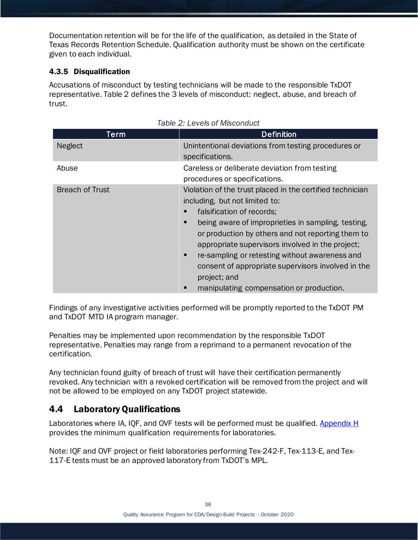Documentation retention will be for the life of the qualification, as detailed in the State of Texas Records Retention Schedule. Qualification authority must be shown on the certificate given to each individual.

### 4.3.5 Disqualification

Accusations of misconduct by testing technicians will be made to the responsible TxDOT representative. Table 2 defines the 3 levels of misconduct: neglect, abuse, and breach of trust.

| Term                   | <b>Definition</b>                                                                                                                                                                                                                                                                                                                                                                                                                                                               |
|------------------------|---------------------------------------------------------------------------------------------------------------------------------------------------------------------------------------------------------------------------------------------------------------------------------------------------------------------------------------------------------------------------------------------------------------------------------------------------------------------------------|
| <b>Neglect</b>         | Unintentional deviations from testing procedures or<br>specifications.                                                                                                                                                                                                                                                                                                                                                                                                          |
| Abuse                  | Careless or deliberate deviation from testing<br>procedures or specifications.                                                                                                                                                                                                                                                                                                                                                                                                  |
| <b>Breach of Trust</b> | Violation of the trust placed in the certified technician<br>including, but not limited to:<br>falsification of records;<br>п<br>being aware of improprieties in sampling, testing,<br>п<br>or production by others and not reporting them to<br>appropriate supervisors involved in the project;<br>re-sampling or retesting without awareness and<br>п<br>consent of appropriate supervisors involved in the<br>project; and<br>manipulating compensation or production.<br>п |

|  |  | Table 2: Levels of Misconduct |
|--|--|-------------------------------|
|--|--|-------------------------------|

Findings of any investigative activities performed will be promptly reported to the TxDOT PM and TxDOT MTD IA program manager.

Penalties may be implemented upon recommendation by the responsible TxDOT representative. Penalties may range from a reprimand to a permanent revocation of the certification.

Any technician found guilty of breach of trust will have their certification permanently revoked. Any technician with a revoked certification will be removed from the project and will not be allowed to be employed on any TxDOT project statewide.

## <span id="page-36-0"></span>4.4 Laboratory Qualifications

Laboratories where IA, IQF, and OVF tests will be performed must be qualified. [Appendix H](#page-68-0) provides the minimum qualification requirements for laboratories.

Note: IQF and OVF project or field laboratories performing Tex-242-F, Tex-113-E, and Tex-117-E tests must be an approved laboratory from TxDOT's MPL.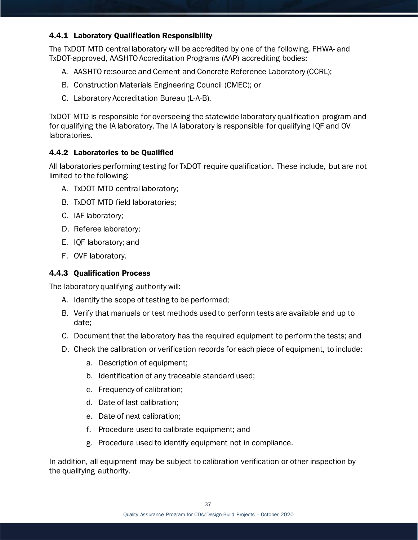### 4.4.1 Laboratory Qualification Responsibility

The TxDOT MTD central laboratory will be accredited by one of the following, FHWA- and TxDOT-approved, AASHTO Accreditation Programs (AAP) accrediting bodies:

- A. AASHTO re:source and Cement and Concrete Reference Laboratory (CCRL);
- B. Construction Materials Engineering Council (CMEC); or
- C. Laboratory Accreditation Bureau (L-A-B).

TxDOT MTD is responsible for overseeing the statewide laboratory qualification program and for qualifying the IA laboratory. The IA laboratory is responsible for qualifying IQF and OV laboratories.

### 4.4.2 Laboratories to be Qualified

All laboratories performing testing for TxDOT require qualification. These include, but are not limited to the following:

- A. TxDOT MTD central laboratory;
- B. TxDOT MTD field laboratories;
- C. IAF laboratory;
- D. Referee laboratory;
- E. IQF laboratory; and
- F. OVF laboratory.

### 4.4.3 Qualification Process

The laboratory qualifying authority will:

- A. Identify the scope of testing to be performed;
- B. Verify that manuals or test methods used to perform tests are available and up to date;
- C. Document that the laboratory has the required equipment to perform the tests; and
- D. Check the calibration or verification records for each piece of equipment, to include:
	- a. Description of equipment;
	- b. Identification of any traceable standard used;
	- c. Frequency of calibration;
	- d. Date of last calibration;
	- e. Date of next calibration;
	- f. Procedure used to calibrate equipment; and
	- g. Procedure used to identify equipment not in compliance.

In addition, all equipment may be subject to calibration verification or other inspection by the qualifying authority.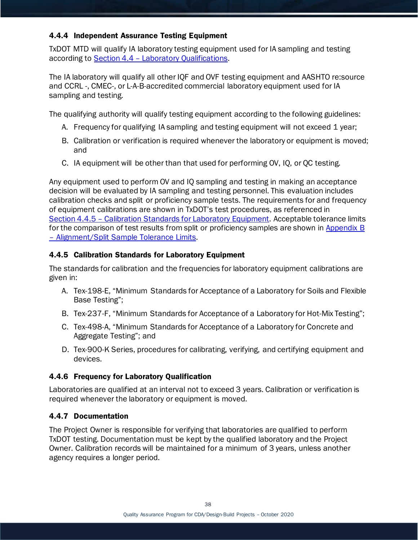### 4.4.4 Independent Assurance Testing Equipment

TxDOT MTD will qualify IA laboratory testing equipment used for IA sampling and testing according to Section 4.4 – [Laboratory Qualifications.](#page-36-0)

The IA laboratory will qualify all other IQF and OVF testing equipment and AASHTO re:source and CCRL -, CMEC-, or L-A-B-accredited commercial laboratory equipment used for IA sampling and testing.

The qualifying authority will qualify testing equipment according to the following guidelines:

- A. Frequency for qualifying IA sampling and testing equipment will not exceed 1 year;
- B. Calibration or verification is required whenever the laboratory or equipment is moved; and
- C. IA equipment will be other than that used for performing OV, IQ, or QC testing.

Any equipment used to perform OV and IQ sampling and testing in making an acceptance decision will be evaluated by IA sampling and testing personnel. This evaluation includes calibration checks and split or proficiency sample tests. The requirements for and frequency of equipment calibrations are shown in TxDOT's test procedures, as referenced in Section 4.4.5 – [Calibration Standards for Laboratory Equipment.](#page-38-0) Acceptable tolerance limits for the comparison of test results from split or proficiency samples are shown in [Appendix B](#page-48-0)  – [Alignment/Split Sample Tolerance Limits.](#page-48-0)

### <span id="page-38-0"></span>4.4.5 Calibration Standards for Laboratory Equipment

The standards for calibration and the frequencies for laboratory equipment calibrations are given in:

- A. Tex-198-E, "Minimum Standards for Acceptance of a Laboratory for Soils and Flexible Base Testing";
- B. Tex-237-F, "Minimum Standards for Acceptance of a Laboratory for Hot-Mix Testing";
- C. Tex-498-A, "Minimum Standards for Acceptance of a Laboratory for Concrete and Aggregate Testing"; and
- D. Tex-900-K Series, procedures for calibrating, verifying, and certifying equipment and devices.

### 4.4.6 Frequency for Laboratory Qualification

Laboratories are qualified at an interval not to exceed 3 years. Calibration or verification is required whenever the laboratory or equipment is moved.

#### 4.4.7 Documentation

The Project Owner is responsible for verifying that laboratories are qualified to perform TxDOT testing. Documentation must be kept by the qualified laboratory and the Project Owner. Calibration records will be maintained for a minimum of 3 years, unless another agency requires a longer period.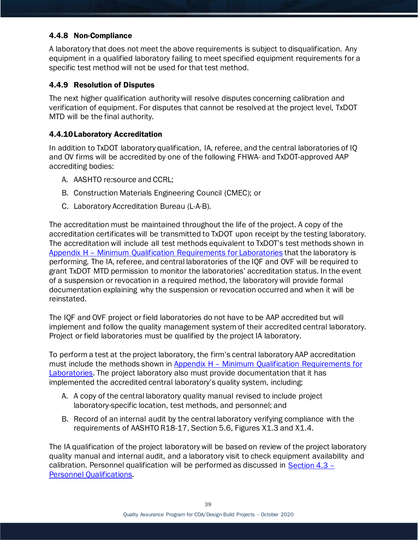### 4.4.8 Non-Compliance

A laboratory that does not meet the above requirements is subject to disqualification. Any equipment in a qualified laboratory failing to meet specified equipment requirements for a specific test method will not be used for that test method.

### 4.4.9 Resolution of Disputes

The next higher qualification authority will resolve disputes concerning calibration and verification of equipment. For disputes that cannot be resolved at the project level, TxDOT MTD will be the final authority.

### 4.4.10Laboratory Accreditation

In addition to TxDOT laboratory qualification, IA, referee, and the central laboratories of IQ and OV firms will be accredited by one of the following FHWA- and TxDOT-approved AAP accrediting bodies:

- A. AASHTO re:source and CCRL;
- B. Construction Materials Engineering Council (CMEC); or
- C. Laboratory Accreditation Bureau (L-A-B).

The accreditation must be maintained throughout the life of the project. A copy of the accreditation certificates will be transmitted to TxDOT upon receipt by the testing laboratory. The accreditation will include all test methods equivalent to TxDOT's test methods shown in Appendix H – [Minimum Qualification Requirements for Laboratories](#page-68-0) that the laboratory is performing. The IA, referee, and central laboratories of the IQF and OVF will be required to grant TxDOT MTD permission to monitor the laboratories' accreditation status. In the event of a suspension or revocation in a required method, the laboratory will provide formal documentation explaining why the suspension or revocation occurred and when it will be reinstated.

The IQF and OVF project or field laboratories do not have to be AAP accredited but will implement and follow the quality management system of their accredited central laboratory. Project or field laboratories must be qualified by the project IA laboratory.

To perform a test at the project laboratory, the firm's central laboratory AAP accreditation must include the methods shown in Appendix H – Minimum Qualification Requirements for [Laboratories.](#page-68-0) The project laboratory also must provide documentation that it has implemented the accredited central laboratory's quality system, including:

- A. A copy of the central laboratory quality manual revised to include project laboratory-specific location, test methods, and personnel; and
- B. Record of an internal audit by the central laboratory verifying compliance with the requirements of AASHTO R18-17, Section 5.6, Figures X1.3 and X1.4.

The IA qualification of the project laboratory will be based on review of the project laboratory quality manual and internal audit, and a laboratory visit to check equipment availability and calibration. Personnel qualification will be performed as discussed in [Section 4.3](#page-33-0) – [Personnel Qualifications.](#page-33-0)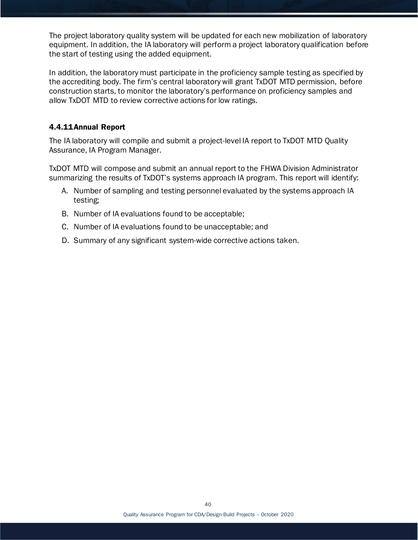The project laboratory quality system will be updated for each new mobilization of laboratory equipment. In addition, the IA laboratory will perform a project laboratory qualification before the start of testing using the added equipment.

In addition, the laboratory must participate in the proficiency sample testing as specified by the accrediting body. The firm's central laboratory will grant TxDOT MTD permission, before construction starts, to monitor the laboratory's performance on proficiency samples and allow TxDOT MTD to review corrective actions for low ratings.

### 4.4.11Annual Report

The IA laboratory will compile and submit a project-level IA report to TxDOT MTD Quality Assurance, IA Program Manager.

TxDOT MTD will compose and submit an annual report to the FHWA Division Administrator summarizing the results of TxDOT's systems approach IA program. This report will identify:

- A. Number of sampling and testing personnel evaluated by the systems approach IA testing;
- B. Number of IA evaluations found to be acceptable;
- C. Number of IA evaluations found to be unacceptable; and
- D. Summary of any significant system-wide corrective actions taken.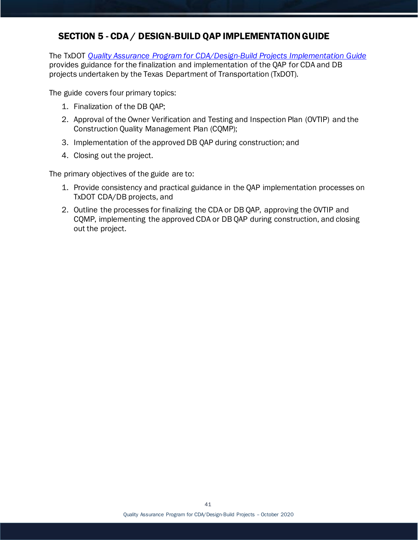## SECTION 5 - CDA / DESIGN-BUILD QAP IMPLEMENTATION GUIDE

The TxDOT *[Quality Assurance Program for CDA/Design-Build Projects Implementation Guide](https://ftp.dot.state.tx.us/pub/txdot-info/cst/db_qap_guide.pdf)* provides guidance for the finalization and implementation of the QAP for CDA and DB projects undertaken by the Texas Department of Transportation (TxDOT).

The guide covers four primary topics:

- 1. Finalization of the DB QAP;
- 2. Approval of the Owner Verification and Testing and Inspection Plan (OVTIP) and the Construction Quality Management Plan (CQMP);
- 3. Implementation of the approved DB QAP during construction; and
- 4. Closing out the project.

The primary objectives of the guide are to:

- 1. Provide consistency and practical guidance in the QAP implementation processes on TxDOT CDA/DB projects, and
- 2. Outline the processes for finalizing the CDA or DB QAP, approving the OVTIP and CQMP, implementing the approved CDA or DB QAP during construction, and closing out the project.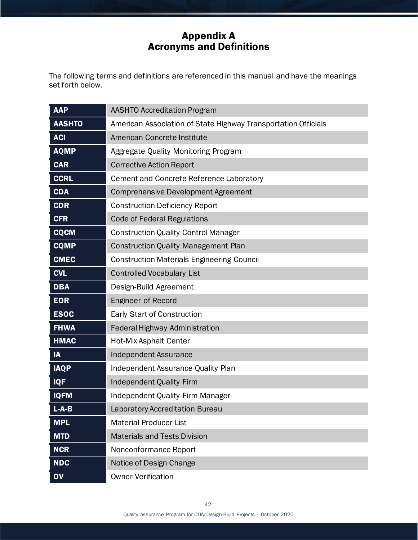# Appendix A Acronyms and Definitions

The following terms and definitions are referenced in this manual and have the meanings set forth below.

| <b>AAP</b>    | <b>AASHTO Accreditation Program</b>                            |
|---------------|----------------------------------------------------------------|
| <b>AASHTO</b> | American Association of State Highway Transportation Officials |
| <b>ACI</b>    | American Concrete Institute                                    |
| <b>AQMP</b>   | Aggregate Quality Monitoring Program                           |
| <b>CAR</b>    | <b>Corrective Action Report</b>                                |
| <b>CCRL</b>   | Cement and Concrete Reference Laboratory                       |
| <b>CDA</b>    | <b>Comprehensive Development Agreement</b>                     |
| <b>CDR</b>    | <b>Construction Deficiency Report</b>                          |
| <b>CFR</b>    | <b>Code of Federal Regulations</b>                             |
| <b>CQCM</b>   | <b>Construction Quality Control Manager</b>                    |
| <b>CQMP</b>   | <b>Construction Quality Management Plan</b>                    |
| <b>CMEC</b>   | <b>Construction Materials Engineering Council</b>              |
| <b>CVL</b>    | <b>Controlled Vocabulary List</b>                              |
| <b>DBA</b>    | Design-Build Agreement                                         |
| <b>EOR</b>    | <b>Engineer of Record</b>                                      |
| <b>ESOC</b>   | Early Start of Construction                                    |
| <b>FHWA</b>   | <b>Federal Highway Administration</b>                          |
| <b>HMAC</b>   | <b>Hot-Mix Asphalt Center</b>                                  |
| IA            | <b>Independent Assurance</b>                                   |
| <b>IAQP</b>   | Independent Assurance Quality Plan                             |
| <b>IQF</b>    | <b>Independent Quality Firm</b>                                |
| <b>IQFM</b>   | <b>Independent Quality Firm Manager</b>                        |
| $L-A-B$       | Laboratory Accreditation Bureau                                |
| <b>MPL</b>    | <b>Material Producer List</b>                                  |
| <b>MTD</b>    | <b>Materials and Tests Division</b>                            |
| <b>NCR</b>    | Nonconformance Report                                          |
| <b>NDC</b>    | Notice of Design Change                                        |
| $\mathbf{O}$  | <b>Owner Verification</b>                                      |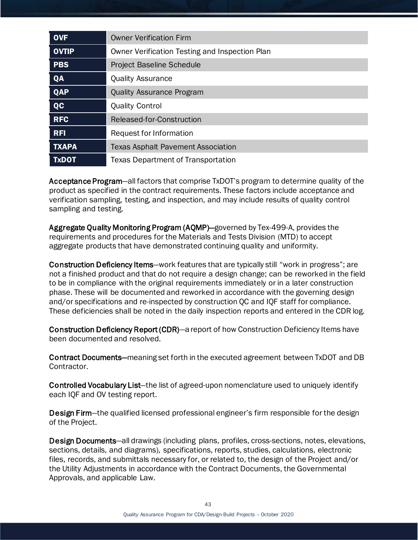| <b>OVF</b>   | <b>Owner Verification Firm</b>                 |
|--------------|------------------------------------------------|
| <b>OVTIP</b> | Owner Verification Testing and Inspection Plan |
| <b>PBS</b>   | <b>Project Baseline Schedule</b>               |
| QA           | <b>Quality Assurance</b>                       |
| QAP          | <b>Quality Assurance Program</b>               |
| <b>QC</b>    | <b>Quality Control</b>                         |
| <b>RFC</b>   | Released-for-Construction                      |
| <b>RFI</b>   | Request for Information                        |
| <b>TXAPA</b> | <b>Texas Asphalt Pavement Association</b>      |
| <b>TxDOT</b> | <b>Texas Department of Transportation</b>      |

Acceptance Program—all factors that comprise TxDOT's program to determine quality of the product as specified in the contract requirements. These factors include acceptance and verification sampling, testing, and inspection, and may include results of quality control sampling and testing.

Aggregate Quality Monitoring Program (AQMP)—governed by Tex-499-A, provides the requirements and procedures for the Materials and Tests Division (MTD) to accept aggregate products that have demonstrated continuing quality and uniformity.

Construction Deficiency Items—work features that are typically still "work in progress"; are not a finished product and that do not require a design change; can be reworked in the field to be in compliance with the original requirements immediately or in a later construction phase. These will be documented and reworked in accordance with the governing design and/or specifications and re-inspected by construction QC and IQF staff for compliance. These deficiencies shall be noted in the daily inspection reports and entered in the CDR log.

Construction Deficiency Report (CDR)—a report of how Construction Deficiency Items have been documented and resolved.

Contract Documents—meaning set forth in the executed agreement between TxDOT and DB Contractor.

Controlled Vocabulary List—the list of agreed-upon nomenclature used to uniquely identify each IQF and OV testing report.

Design Firm—the qualified licensed professional engineer's firm responsible for the design of the Project.

Design Documents—all drawings (including plans, profiles, cross-sections, notes, elevations, sections, details, and diagrams), specifications, reports, studies, calculations, electronic files, records, and submittals necessary for, or related to, the design of the Project and/or the Utility Adjustments in accordance with the Contract Documents, the Governmental Approvals, and applicable Law.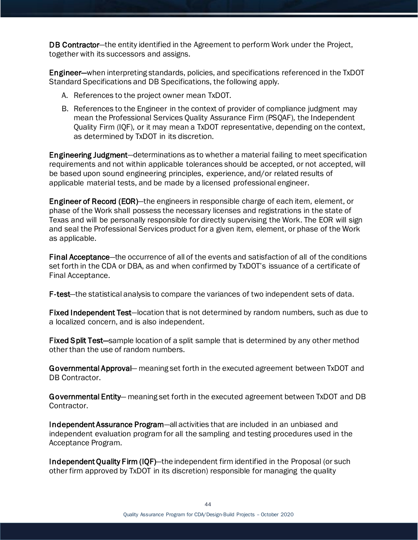DB Contractor—the entity identified in the Agreement to perform Work under the Project, together with its successors and assigns.

Engineer—when interpreting standards, policies, and specifications referenced in the TxDOT Standard Specifications and DB Specifications, the following apply.

- A. References to the project owner mean TxDOT.
- B. References to the Engineer in the context of provider of compliance judgment may mean the Professional Services Quality Assurance Firm (PSQAF), the Independent Quality Firm (IQF), or it may mean a TxDOT representative, depending on the context, as determined by TxDOT in its discretion.

Engineering Judgment—determinations as to whether a material failing to meet specification requirements and not within applicable tolerances should be accepted, or not accepted, will be based upon sound engineering principles, experience, and/or related results of applicable material tests, and be made by a licensed professional engineer.

Engineer of Record (EOR)—the engineers in responsible charge of each item, element, or phase of the Work shall possess the necessary licenses and registrations in the state of Texas and will be personally responsible for directly supervising the Work. The EOR will sign and seal the Professional Services product for a given item, element, or phase of the Work as applicable.

Final Acceptance—the occurrence of all of the events and satisfaction of all of the conditions set forth in the CDA or DBA, as and when confirmed by TxDOT's issuance of a certificate of Final Acceptance.

F-test—the statistical analysis to compare the variances of two independent sets of data.

Fixed Independent Test—location that is not determined by random numbers, such as due to a localized concern, and is also independent.

Fixed Split Test—sample location of a split sample that is determined by any other method other than the use of random numbers.

Governmental Approval— meaning set forth in the executed agreement between TxDOT and DB Contractor.

Governmental Entity— meaning set forth in the executed agreement between TxDOT and DB Contractor.

Independent Assurance Program—all activities that are included in an unbiased and independent evaluation program for all the sampling and testing procedures used in the Acceptance Program.

Independent Quality Firm (IQF)—the independent firm identified in the Proposal (or such other firm approved by TxDOT in its discretion) responsible for managing the quality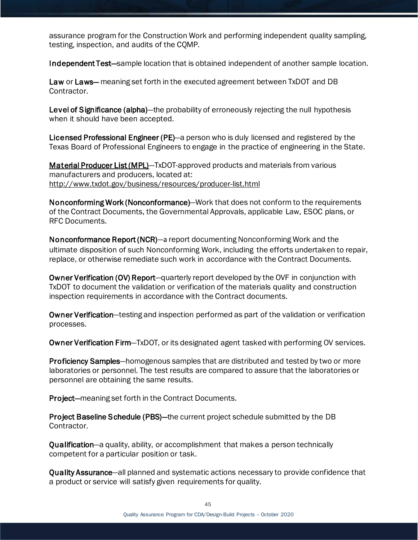assurance program for the Construction Work and performing independent quality sampling, testing, inspection, and audits of the CQMP.

Independent Test-sample location that is obtained independent of another sample location.

Law or Laws— meaning set forth in the executed agreement between TxDOT and DB Contractor.

Level of Significance (alpha)—the probability of erroneously rejecting the null hypothesis when it should have been accepted.

Licensed Professional Engineer (PE)—a person who is duly licensed and registered by the Texas Board of Professional Engineers to engage in the practice of engineering in the State.

[Material Producer List](http://www.txdot.gov/business/resources/producer-list.html) (MPL)—TxDOT-approved products and materials from various manufacturers and producers, located at: <http://www.txdot.gov/business/resources/producer-list.html>

Nonconforming Work (Nonconformance)—Work that does not conform to the requirements of the Contract Documents, the Governmental Approvals, applicable Law, ESOC plans, or RFC Documents.

Nonconformance Report (NCR)—a report documenting Nonconforming Work and the ultimate disposition of such Nonconforming Work, including the efforts undertaken to repair, replace, or otherwise remediate such work in accordance with the Contract Documents.

Owner Verification (OV) Report—quarterly report developed by the OVF in conjunction with TxDOT to document the validation or verification of the materials quality and construction inspection requirements in accordance with the Contract documents.

Owner Verification—testing and inspection performed as part of the validation or verification processes.

Owner Verification Firm—TxDOT, or its designated agent tasked with performing OV services.

Proficiency Samples—homogenous samples that are distributed and tested by two or more laboratories or personnel. The test results are compared to assure that the laboratories or personnel are obtaining the same results.

Project—meaning set forth in the Contract Documents.

Project Baseline Schedule (PBS)—the current project schedule submitted by the DB Contractor.

Qualification—a quality, ability, or accomplishment that makes a person technically competent for a particular position or task.

Quality Assurance—all planned and systematic actions necessary to provide confidence that a product or service will satisfy given requirements for quality.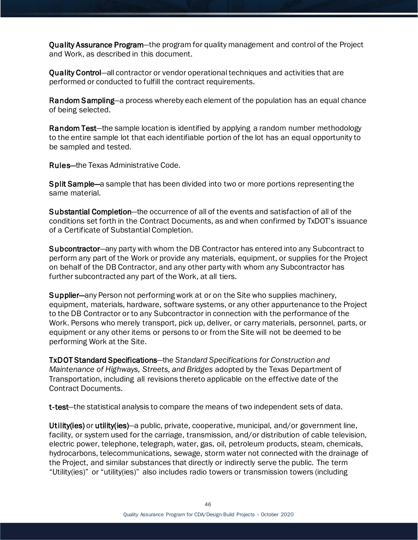Quality Assurance Program—the program for quality management and control of the Project and Work, as described in this document.

Quality Control—all contractor or vendor operational techniques and activities that are performed or conducted to fulfill the contract requirements.

Random Sampling—a process whereby each element of the population has an equal chance of being selected.

Random Test—the sample location is identified by applying a random number methodology to the entire sample lot that each identifiable portion of the lot has an equal opportunity to be sampled and tested.

Rules—the Texas Administrative Code.

Split Sample—a sample that has been divided into two or more portions representing the same material.

Substantial Completion—the occurrence of all of the events and satisfaction of all of the conditions set forth in the Contract Documents, as and when confirmed by TxDOT's issuance of a Certificate of Substantial Completion.

Subcontractor—any party with whom the DB Contractor has entered into any Subcontract to perform any part of the Work or provide any materials, equipment, or supplies for the Project on behalf of the DB Contractor, and any other party with whom any Subcontractor has further subcontracted any part of the Work, at all tiers.

Supplier—any Person not performing work at or on the Site who supplies machinery, equipment, materials, hardware, software systems, or any other appurtenance to the Project to the DB Contractor or to any Subcontractor in connection with the performance of the Work. Persons who merely transport, pick up, deliver, or carry materials, personnel, parts, or equipment or any other items or persons to or from the Site will not be deemed to be performing Work at the Site.

TxDOT Standard Specifications—the *Standard Specifications for Construction and Maintenance of Highways, Streets, and Bridges* adopted by the Texas Department of Transportation, including all revisions thereto applicable on the effective date of the Contract Documents.

t-test—the statistical analysis to compare the means of two independent sets of data.

Utility(ies) or utility(ies)—a public, private, cooperative, municipal, and/or government line, facility, or system used for the carriage, transmission, and/or distribution of cable television, electric power, telephone, telegraph, water, gas, oil, petroleum products, steam, chemicals, hydrocarbons, telecommunications, sewage, storm water not connected with the drainage of the Project, and similar substances that directly or indirectly serve the public. The term "Utility(ies)" or "utility(ies)" also includes radio towers or transmission towers (including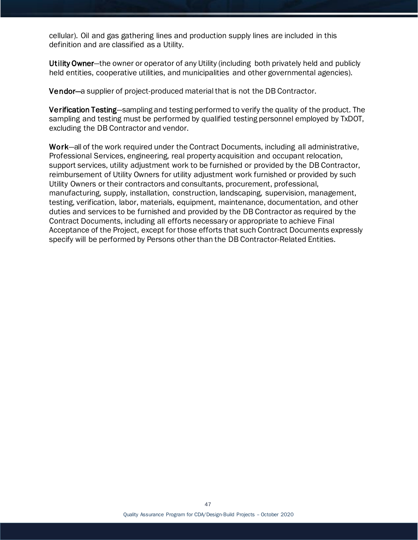cellular). Oil and gas gathering lines and production supply lines are included in this definition and are classified as a Utility.

Utility Owner-the owner or operator of any Utility (including both privately held and publicly held entities, cooperative utilities, and municipalities and other governmental agencies).

Vendor—a supplier of project-produced material that is not the DB Contractor.

Verification Testing—sampling and testing performed to verify the quality of the product. The sampling and testing must be performed by qualified testing personnel employed by TxDOT, excluding the DB Contractor and vendor.

Work—all of the work required under the Contract Documents, including all administrative, Professional Services, engineering, real property acquisition and occupant relocation, support services, utility adjustment work to be furnished or provided by the DB Contractor, reimbursement of Utility Owners for utility adjustment work furnished or provided by such Utility Owners or their contractors and consultants, procurement, professional, manufacturing, supply, installation, construction, landscaping, supervision, management, testing, verification, labor, materials, equipment, maintenance, documentation, and other duties and services to be furnished and provided by the DB Contractor as required by the Contract Documents, including all efforts necessary or appropriate to achieve Final Acceptance of the Project, except for those efforts that such Contract Documents expressly specify will be performed by Persons other than the DB Contractor-Related Entities.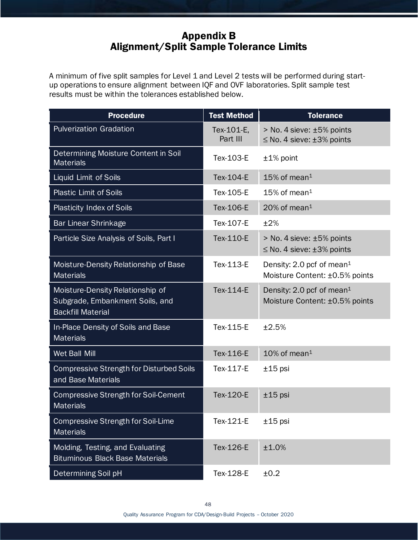## Appendix B Alignment/Split Sample Tolerance Limits

<span id="page-48-0"></span>A minimum of five split samples for Level 1 and Level 2 tests will be performed during startup operations to ensure alignment between IQF and OVF laboratories. Split sample test results must be within the tolerances established below.

| <b>Procedure</b>                                                                                | <b>Test Method</b>     | <b>Tolerance</b>                                                        |
|-------------------------------------------------------------------------------------------------|------------------------|-------------------------------------------------------------------------|
| <b>Pulverization Gradation</b>                                                                  | Tex-101-E.<br>Part III | > No. 4 sieve: ±5% points<br>$\leq$ No. 4 sieve: $\pm$ 3% points        |
| Determining Moisture Content in Soil<br><b>Materials</b>                                        | Tex-103-E              | $±1\%$ point                                                            |
| Liquid Limit of Soils                                                                           | Tex-104-E              | $15\%$ of mean <sup>1</sup>                                             |
| <b>Plastic Limit of Soils</b>                                                                   | Tex-105-E              | 15% of mean <sup>1</sup>                                                |
| <b>Plasticity Index of Soils</b>                                                                | Tex-106-E              | $20\%$ of mean <sup>1</sup>                                             |
| <b>Bar Linear Shrinkage</b>                                                                     | Tex-107-E              | ±2%                                                                     |
| Particle Size Analysis of Soils, Part I                                                         | Tex-110-E              | > No. 4 sieve: ±5% points<br>$\leq$ No. 4 sieve: $\pm$ 3% points        |
| Moisture-Density Relationship of Base<br><b>Materials</b>                                       | Tex-113-E              | Density: 2.0 pcf of mean <sup>1</sup><br>Moisture Content: ±0.5% points |
| Moisture-Density Relationship of<br>Subgrade, Embankment Soils, and<br><b>Backfill Material</b> | Tex-114-E              | Density: 2.0 pcf of mean <sup>1</sup><br>Moisture Content: ±0.5% points |
| In-Place Density of Soils and Base<br><b>Materials</b>                                          | Tex-115-E              | ±2.5%                                                                   |
| Wet Ball Mill                                                                                   | Tex-116-E              | $10\%$ of mean <sup>1</sup>                                             |
| <b>Compressive Strength for Disturbed Soils</b><br>and Base Materials                           | Tex-117-E              | $±15$ psi                                                               |
| Compressive Strength for Soil-Cement<br><b>Materials</b>                                        | <b>Tex-120-E</b>       | $±15$ psi                                                               |
| <b>Compressive Strength for Soil-Lime</b><br><b>Materials</b>                                   | Tex-121-E              | $±15$ psi                                                               |
| Molding, Testing, and Evaluating<br><b>Bituminous Black Base Materials</b>                      | Tex-126-E              | ±1.0%                                                                   |
| Determining Soil pH                                                                             | Tex-128-E              | ±0.2                                                                    |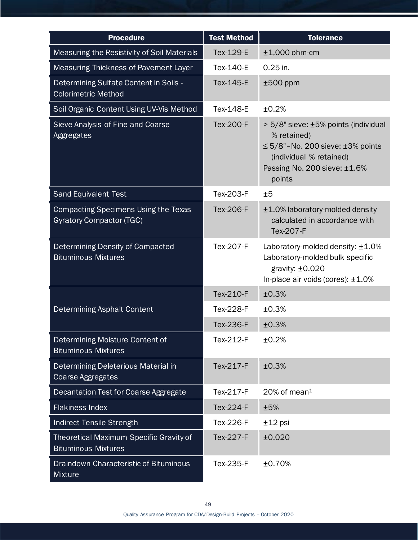| <b>Procedure</b>                                                               | <b>Test Method</b> | <b>Tolerance</b>                                                                                                                                                       |
|--------------------------------------------------------------------------------|--------------------|------------------------------------------------------------------------------------------------------------------------------------------------------------------------|
| Measuring the Resistivity of Soil Materials                                    | Tex-129-E          | $±1,000$ ohm-cm                                                                                                                                                        |
| Measuring Thickness of Pavement Layer                                          | Tex-140-E          | $0.25$ in.                                                                                                                                                             |
| Determining Sulfate Content in Soils -<br><b>Colorimetric Method</b>           | Tex-145-E          | $±500$ ppm                                                                                                                                                             |
| Soil Organic Content Using UV-Vis Method                                       | <b>Tex-148-E</b>   | ±0.2%                                                                                                                                                                  |
| Sieve Analysis of Fine and Coarse<br>Aggregates                                | <b>Tex-200-F</b>   | > 5/8" sieve: ±5% points (individual<br>% retained)<br>$\leq$ 5/8"-No. 200 sieve: $\pm$ 3% points<br>(individual % retained)<br>Passing No. 200 sieve: ±1.6%<br>points |
| <b>Sand Equivalent Test</b>                                                    | Tex-203-F          | ±5                                                                                                                                                                     |
| <b>Compacting Specimens Using the Texas</b><br><b>Gyratory Compactor (TGC)</b> | <b>Tex-206-F</b>   | ±1.0% laboratory-molded density<br>calculated in accordance with<br>Tex-207-F                                                                                          |
| Determining Density of Compacted<br><b>Bituminous Mixtures</b>                 | Tex-207-F          | Laboratory-molded density: $\pm 1.0\%$<br>Laboratory-molded bulk specific<br>gravity: $\pm 0.020$<br>In-place air voids (cores): $\pm 1.0\%$                           |
|                                                                                | Tex-210-F          | ±0.3%                                                                                                                                                                  |
| <b>Determining Asphalt Content</b>                                             | <b>Tex-228-F</b>   | ±0.3%                                                                                                                                                                  |
|                                                                                | <b>Tex-236-F</b>   | ±0.3%                                                                                                                                                                  |
| Determining Moisture Content of<br><b>Bituminous Mixtures</b>                  | Tex-212-F          | ±0.2%                                                                                                                                                                  |
| Determining Deleterious Material in<br><b>Coarse Aggregates</b>                | Tex-217-F          | ±0.3%                                                                                                                                                                  |
| Decantation Test for Coarse Aggregate                                          | Tex-217-F          | $20\%$ of mean <sup>1</sup>                                                                                                                                            |
| <b>Flakiness Index</b>                                                         | Tex-224-F          | ±5%                                                                                                                                                                    |
| Indirect Tensile Strength                                                      | <b>Tex-226-F</b>   | $±12$ psi                                                                                                                                                              |
| Theoretical Maximum Specific Gravity of<br><b>Bituminous Mixtures</b>          | Tex-227-F          | ±0.020                                                                                                                                                                 |
| <b>Draindown Characteristic of Bituminous</b><br>Mixture                       | Tex-235-F          | ±0.70%                                                                                                                                                                 |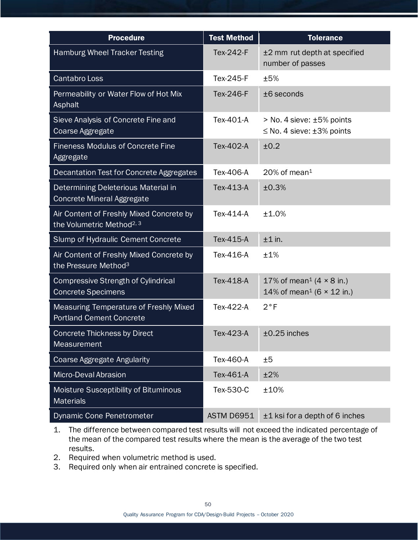| <b>Procedure</b>                                                                  | <b>Test Method</b> | <b>Tolerance</b>                                                                            |
|-----------------------------------------------------------------------------------|--------------------|---------------------------------------------------------------------------------------------|
| Hamburg Wheel Tracker Testing                                                     | Tex-242-F          | ±2 mm rut depth at specified<br>number of passes                                            |
| <b>Cantabro Loss</b>                                                              | Tex-245-F          | ±5%                                                                                         |
| Permeability or Water Flow of Hot Mix<br>Asphalt                                  | Tex-246-F          | $±6$ seconds                                                                                |
| Sieve Analysis of Concrete Fine and<br>Coarse Aggregate                           | Tex-401-A          | > No. 4 sieve: ±5% points<br>$\leq$ No. 4 sieve: $\pm$ 3% points                            |
| <b>Fineness Modulus of Concrete Fine</b><br>Aggregate                             | Tex-402-A          | ±0.2                                                                                        |
| Decantation Test for Concrete Aggregates                                          | Tex-406-A          | $20\%$ of mean <sup>1</sup>                                                                 |
| Determining Deleterious Material in<br><b>Concrete Mineral Aggregate</b>          | Tex-413-A          | ±0.3%                                                                                       |
| Air Content of Freshly Mixed Concrete by<br>the Volumetric Method <sup>2, 3</sup> | Tex-414-A          | ±1.0%                                                                                       |
| Slump of Hydraulic Cement Concrete                                                | Tex-415-A          | $±1$ in.                                                                                    |
| Air Content of Freshly Mixed Concrete by<br>the Pressure Method <sup>3</sup>      | Tex-416-A          | ±1%                                                                                         |
| <b>Compressive Strength of Cylindrical</b><br><b>Concrete Specimens</b>           | Tex-418-A          | 17% of mean <sup>1</sup> (4 $\times$ 8 in.)<br>14% of mean <sup>1</sup> (6 $\times$ 12 in.) |
| Measuring Temperature of Freshly Mixed<br><b>Portland Cement Concrete</b>         | Tex-422-A          | $2^{\circ}F$                                                                                |
| <b>Concrete Thickness by Direct</b><br><b>Measurement</b>                         | Tex-423-A          | $±0.25$ inches                                                                              |
| <b>Coarse Aggregate Angularity</b>                                                | Tex-460-A          | ±5                                                                                          |
| Micro-Deval Abrasion                                                              | Tex-461-A          | ±2%                                                                                         |
| Moisture Susceptibility of Bituminous<br><b>Materials</b>                         | Tex-530-C          | ±10%                                                                                        |
| Dynamic Cone Penetrometer                                                         | <b>ASTM D6951</b>  | ±1 ksi for a depth of 6 inches                                                              |

- 1. The difference between compared test results will not exceed the indicated percentage of the mean of the compared test results where the mean is the average of the two test results.
- 2. Required when volumetric method is used.
- 3. Required only when air entrained concrete is specified.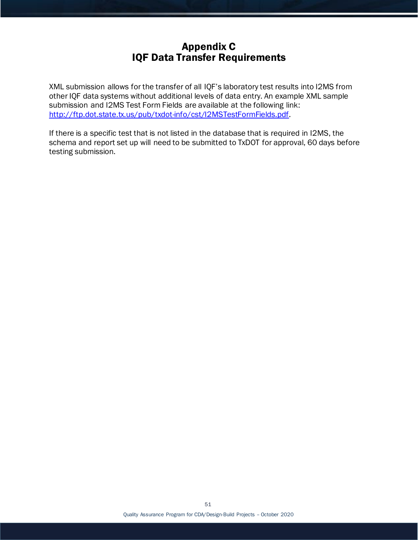# Appendix C IQF Data Transfer Requirements

XML submission allows for the transfer of all IQF's laboratory test results into I2MS from other IQF data systems without additional levels of data entry. An example XML sample submission and I2MS Test Form Fields are available at the following link: <http://ftp.dot.state.tx.us/pub/txdot-info/cst/I2MSTestFormFields.pdf>.

If there is a specific test that is not listed in the database that is required in I2MS, the schema and report set up will need to be submitted to TxDOT for approval, 60 days before testing submission.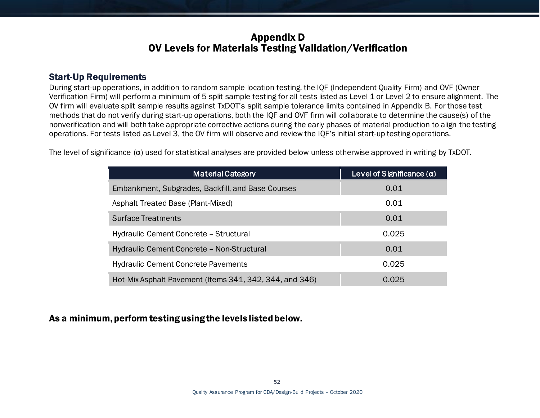# Appendix D OV Levels for Materials Testing Validation/Verification

### Start-Up Requirements

During start-up operations, in addition to random sample location testing, the IQF (Independent Quality Firm) and OVF (Owner Verification Firm) will perform a minimum of 5 split sample testing for all tests listed as Level 1 or Level 2 to ensure alignment. The OV firm will evaluate split sample results against TxDOT's split sample tolerance limits contained in Appendix B. For those test methods that do not verify during start-up operations, both the IQF and OVF firm will collaborate to determine the cause(s) of the nonverification and will both take appropriate corrective actions during the early phases of material production to align the testing operations. For tests listed as Level 3, the OV firm will observe and review the IQF's initial start-up testing operations.

The level of significance  $(\alpha)$  used for statistical analyses are provided below unless otherwise approved in writing by TxDOT.

| <b>Material Category</b>                                | Level of Significance $(\alpha)$ |
|---------------------------------------------------------|----------------------------------|
| Embankment, Subgrades, Backfill, and Base Courses       | 0.01                             |
| Asphalt Treated Base (Plant-Mixed)                      | 0.01                             |
| <b>Surface Treatments</b>                               | 0.01                             |
| Hydraulic Cement Concrete - Structural                  | 0.025                            |
| Hydraulic Cement Concrete - Non-Structural              | 0.01                             |
| <b>Hydraulic Cement Concrete Pavements</b>              | 0.025                            |
| Hot-Mix Asphalt Pavement (Items 341, 342, 344, and 346) | 0.025                            |

As a minimum, perform testing using the levels listed below.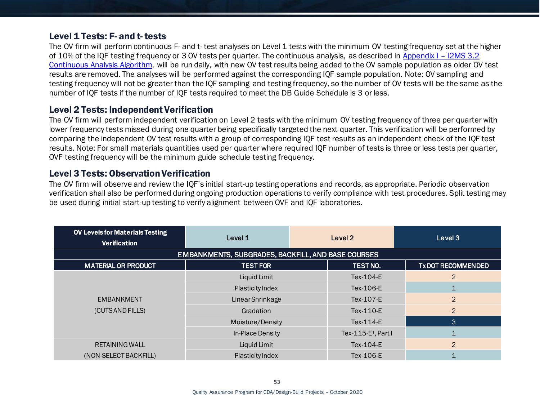### Level 1 Tests: F- and t- tests

The OV firm will perform continuous F- and t- test analyses on Level 1 tests with the minimum OV testing frequency set at the higher of 10% of the IQF testing frequency or 3 OV tests per quarter. The continuous analysis, as described in [Appendix I –](#page-73-0) I2MS 3.2 [Continuous Analysis Algorithm,](#page-73-0) will be run daily, with new OV test results being added to the OV sample population as older OV test results are removed. The analyses will be performed against the corresponding IQF sample population. Note: OV sampling and testing frequency will not be greater than the IQF sampling and testing frequency, so the number of OV tests will be the same as the number of IQF tests if the number of IQF tests required to meet the DB Guide Schedule is 3 or less.

## Level 2 Tests: Independent Verification

The OV firm will perform independent verification on Level 2 tests with the minimum OV testing frequency of three per quarter with lower frequency tests missed during one quarter being specifically targeted the next quarter. This verification will be performed by comparing the independent OV test results with a group of corresponding IQF test results as an independent check of the IQF test results. Note: For small materials quantities used per quarter where required IQF number of tests is three or less tests per quarter, OVF testing frequency will be the minimum guide schedule testing frequency.

### Level 3 Tests: Observation Verification

The OV firm will observe and review the IQF's initial start-up testing operations and records, as appropriate. Periodic observation verification shall also be performed during ongoing production operations to verify compliance with test procedures. Split testing may be used during initial start-up testing to verify alignment between OVF and IQF laboratories.

| <b>OV Levels for Materials Testing</b><br><b>Verification</b> | Level 1                                            | Level 2                         | Level 3                  |
|---------------------------------------------------------------|----------------------------------------------------|---------------------------------|--------------------------|
|                                                               | EMBANKMENTS, SUBGRADES, BACKFILL, AND BASE COURSES |                                 |                          |
| <b>MATERIAL OR PRODUCT</b>                                    | <b>TEST FOR</b>                                    | TEST NO.                        | <b>TXDOT RECOMMENDED</b> |
|                                                               | Liquid Limit                                       | Tex-104-E                       | $\overline{2}$           |
|                                                               | Plasticity Index                                   | Tex-106-E                       |                          |
| <b>EMBANKMENT</b>                                             | <b>Linear Shrinkage</b>                            | Tex-107-E                       | $\overline{2}$           |
| (CUTS AND FILLS)                                              | Gradation                                          | Tex-110-E                       | 2                        |
|                                                               | Moisture/Density                                   | Tex-114-E                       | 3                        |
|                                                               | In-Place Density                                   | Tex-115-E <sub>1</sub> , Part I |                          |
| RETAINING WALL                                                | Liquid Limit                                       | Tex-104-E                       | $\overline{2}$           |
| (NON-SELECT BACKFILL)                                         | Plasticity Index                                   | Tex-106-E                       |                          |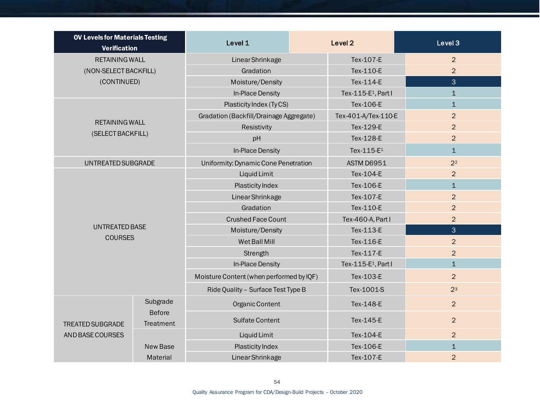| <b>OV Levels for Materials Testing</b><br><b>Verification</b> |                           | Level 1                                  |  | Level <sub>2</sub>              | Level 3        |
|---------------------------------------------------------------|---------------------------|------------------------------------------|--|---------------------------------|----------------|
| <b>RETAINING WALL</b>                                         |                           | <b>Linear Shrinkage</b>                  |  | Tex-107-E                       | $\overline{2}$ |
| (NON-SELECT BACKFILL)                                         |                           | Gradation                                |  | Tex-110-E                       | $\overline{2}$ |
| (CONTINUED)                                                   |                           | Moisture/Density                         |  | Tex-114-E                       | $\overline{3}$ |
|                                                               |                           | In-Place Density                         |  | Tex-115-E <sup>1</sup> , Part I | $\mathbf{1}$   |
|                                                               |                           | Plasticity Index (TyCS)                  |  | Tex-106-E                       | $\mathbf{1}$   |
|                                                               |                           | Gradation (Backfill/Drainage Aggregate)  |  | Tex-401-A/Tex-110-E             | $\overline{2}$ |
| <b>RETAINING WALL</b>                                         |                           | Resistivity                              |  | Tex-129-E                       | 2              |
| (SELECT BACKFILL)                                             |                           | pH                                       |  | Tex-128-E                       | $\overline{2}$ |
|                                                               |                           | In-Place Density                         |  | Tex-115-E <sup>1</sup>          | $\mathbf{1}$   |
| UNTREATED SUBGRADE                                            |                           | Uniformity: Dynamic Cone Penetration     |  | <b>ASTM D6951</b>               | 2 <sup>2</sup> |
|                                                               |                           | Liquid Limit                             |  | Tex-104-E                       | $\overline{2}$ |
|                                                               |                           | Plasticity Index                         |  | Tex-106-E                       | $\mathbf{1}$   |
|                                                               |                           | <b>Linear Shrinkage</b>                  |  | Tex-107-E                       | $\overline{2}$ |
| <b>UNTREATED BASE</b><br><b>COURSES</b>                       |                           | Gradation                                |  | Tex-110-E                       | $\overline{2}$ |
|                                                               |                           | <b>Crushed Face Count</b>                |  | Tex-460-A, Part I               | $\overline{2}$ |
|                                                               |                           | Moisture/Density                         |  | Tex-113-E                       | 3              |
|                                                               |                           | Wet Ball Mill                            |  | Tex-116-E                       | $\overline{2}$ |
|                                                               |                           | Strength                                 |  | Tex-117-E                       | $\overline{2}$ |
|                                                               |                           | In-Place Density                         |  | Tex-115-E <sup>1</sup> , Part I | $\mathbf{1}$   |
|                                                               |                           | Moisture Content (when performed by IQF) |  | Tex-103-E                       | $\overline{2}$ |
|                                                               |                           | Ride Quality - Surface Test Type B       |  | Tex-1001-S                      | 2 <sup>3</sup> |
|                                                               | Subgrade<br><b>Before</b> | Organic Content                          |  | Tex-148-E                       | $\overline{2}$ |
| <b>TREATED SUBGRADE</b>                                       | Treatment                 | <b>Sulfate Content</b>                   |  | Tex-145-E                       | $\overline{2}$ |
| AND BASE COURSES                                              |                           | Liquid Limit                             |  | Tex-104-E                       | 2              |
|                                                               | <b>New Base</b>           | Plasticity Index                         |  | Tex-106-E                       | $\mathbf{1}$   |
|                                                               | Material                  | Linear Shrinkage                         |  | Tex-107-E                       | $\overline{2}$ |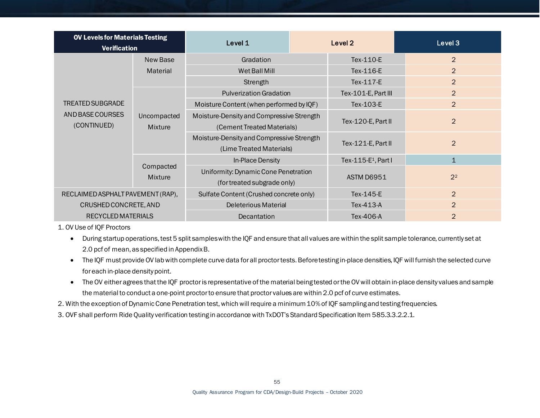| <b>OV Levels for Materials Testing</b><br><b>Verification</b>                |                               | Level 1                                                                          | Level 2   |                                 | Level 3        |
|------------------------------------------------------------------------------|-------------------------------|----------------------------------------------------------------------------------|-----------|---------------------------------|----------------|
| New Base                                                                     |                               | Gradation                                                                        |           | Tex-110-E                       | $\overline{2}$ |
|                                                                              | Material                      | Wet Ball Mill                                                                    |           | Tex-116-E                       | $\overline{2}$ |
|                                                                              |                               | Strength                                                                         |           | Tex-117-E                       | 2              |
|                                                                              |                               | <b>Pulverization Gradation</b>                                                   |           | Tex-101-E, Part III             | $\overline{2}$ |
| <b>TREATED SUBGRADE</b><br>AND BASE COURSES<br>(CONTINUED)                   |                               | Moisture Content (when performed by IQF)                                         |           | Tex-103-E                       | $\overline{2}$ |
|                                                                              | Uncompacted<br><b>Mixture</b> | Moisture-Density and Compressive Strength<br>(Cement Treated Materials)          |           | Tex-120-E, Part II              | $\overline{2}$ |
|                                                                              |                               | Moisture-Density and Compressive Strength<br>(Lime Treated Materials)            |           | Tex-121-E, Part II              | $\overline{2}$ |
|                                                                              |                               | In-Place Density                                                                 |           | Tex-115-E <sup>1</sup> , Part I | $\mathbf{1}$   |
|                                                                              | <b>Mixture</b>                | Compacted<br>Uniformity: Dynamic Cone Penetration<br>(for treated subgrade only) |           | <b>ASTM D6951</b>               | 2 <sup>2</sup> |
| Sulfate Content (Crushed concrete only)<br>RECLAIMED ASPHALT PAVEMENT (RAP), |                               |                                                                                  | Tex-145-E | $\overline{2}$                  |                |
| CRUSHED CONCRETE, AND                                                        |                               | <b>Deleterious Material</b>                                                      |           | Tex-413-A                       | $\overline{2}$ |
| RECYCLED MATERIALS                                                           |                               | Decantation                                                                      |           | Tex-406-A                       | $\overline{2}$ |

1. OV Use of IQF Proctors

- During startup operations, test 5 split samples with the IQF and ensure that all values are within the split sample tolerance, currently set at 2.0 pcf of mean, as specified in Appendix B.
- The IQF must provide OV lab with complete curve data for all proctor tests. Beforetesting in-place densities, IQF will furnish the selected curve for each in-place density point.
- The OV either agrees that the IQF proctor is representative of the material being tested or the OV will obtain in-place density values and sample the material to conduct a one-point proctor to ensure that proctor values are within 2.0 pcf of curve estimates.
- 2. With the exception of Dynamic Cone Penetration test, whichwill require a minimum 10% of IQF sampling and testing frequencies.
- 3. OVF shall perform Ride Quality verification testing in accordance with TxDOT's Standard Specification Item 585.3.3.2.2.1.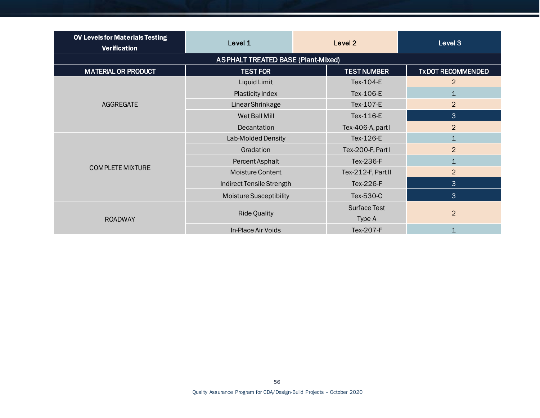| <b>OV Levels for Materials Testing</b><br><b>Verification</b> | Level 1                                   | Level <sub>2</sub>  | Level 3                  |
|---------------------------------------------------------------|-------------------------------------------|---------------------|--------------------------|
|                                                               | <b>ASPHALT TREATED BASE (Plant-Mixed)</b> |                     |                          |
| <b>MATERIAL OR PRODUCT</b>                                    | <b>TEST FOR</b>                           | <b>TEST NUMBER</b>  | <b>TXDOT RECOMMENDED</b> |
|                                                               | Liquid Limit                              | Tex-104-E           | $\overline{2}$           |
|                                                               | Plasticity Index                          | Tex-106-E           | $\mathbf{1}$             |
| AGGREGATE                                                     | Linear Shrinkage                          | Tex-107-E           | $\overline{2}$           |
|                                                               | Wet Ball Mill                             | Tex-116-E           | 3                        |
|                                                               | Decantation                               | Tex-406-A, part I   | $\overline{2}$           |
|                                                               | Lab-Molded Density                        | Tex-126-E           | $\mathbf{1}$             |
|                                                               | Gradation                                 | Tex-200-F, Part I   | $\overline{2}$           |
|                                                               | Percent Asphalt                           | Tex-236-F           | $\mathbf{1}$             |
| <b>COMPLETE MIXTURE</b>                                       | <b>Moisture Content</b>                   | Tex-212-F, Part II  | $\overline{2}$           |
|                                                               | Indirect Tensile Strength                 | Tex-226-F           | 3                        |
|                                                               | <b>Moisture Susceptibility</b>            | Tex-530-C           | 3                        |
| <b>ROADWAY</b>                                                | <b>Ride Quality</b>                       | <b>Surface Test</b> |                          |
|                                                               |                                           | Type A              | $\overline{2}$           |
|                                                               | In-Place Air Voids                        | Tex-207-F           | $\mathbf{1}$             |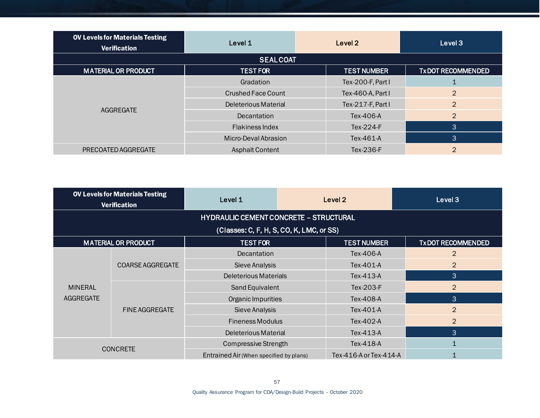| <b>OV Levels for Materials Testing</b><br><b>Verification</b> | Level 1                | Level 2            | Level 3                  |
|---------------------------------------------------------------|------------------------|--------------------|--------------------------|
|                                                               | <b>SEALCOAT</b>        |                    |                          |
| <b>MATERIAL OR PRODUCT</b>                                    | <b>TEST FOR</b>        | <b>TEST NUMBER</b> | <b>TXDOT RECOMMENDED</b> |
|                                                               | Gradation              | Tex-200-F, Part I  |                          |
|                                                               | Crushed Face Count     | Tex-460-A, Part I  | $\overline{2}$           |
| AGGREGATE                                                     | Deleterious Material   | Tex-217-F, Part I  | 2                        |
|                                                               | Decantation            | Tex-406-A          | 2                        |
|                                                               | <b>Flakiness Index</b> | $Tex-224-F$        | 3                        |
|                                                               | Micro-Deval Abrasion   | Tex-461-A          | 3                        |
| PRECOATED AGGREGATE                                           | <b>Asphalt Content</b> | Tex-236-F          | $\overline{2}$           |

| <b>OV Levels for Materials Testing</b><br><b>Verification</b> |                            | Level 1                                       |  | Level 2                | Level 3                  |
|---------------------------------------------------------------|----------------------------|-----------------------------------------------|--|------------------------|--------------------------|
|                                                               |                            | <b>HYDRAULIC CEMENT CONCRETE - STRUCTURAL</b> |  |                        |                          |
|                                                               |                            | (Classes: C, F, H, S, CO, K, LMC, or SS)      |  |                        |                          |
|                                                               | <b>MATERIAL OR PRODUCT</b> | <b>TEST FOR</b>                               |  | <b>TEST NUMBER</b>     | <b>TXDOT RECOMMENDED</b> |
|                                                               | <b>COARSE AGGREGATE</b>    | <b>Decantation</b>                            |  | Tex-406-A              | $\overline{2}$           |
| <b>MINERAL</b>                                                |                            | Sieve Analysis                                |  | Tex-401-A              | $\overline{2}$           |
|                                                               |                            | Deleterious Materials                         |  | Tex-413-A              | 3                        |
|                                                               | <b>FINE AGGREGATE</b>      | Sand Equivalent                               |  | Tex-203-F              | $\overline{2}$           |
| AGGREGATE                                                     |                            | Organic Impurities                            |  | Tex-408-A              | 3                        |
|                                                               |                            | Sieve Analysis                                |  | Tex-401-A              | $\overline{2}$           |
|                                                               |                            | <b>Fineness Modulus</b>                       |  | Tex-402-A              | $\overline{2}$           |
|                                                               |                            | Deleterious Material                          |  | Tex-413-A              | $\lvert 3 \rvert$        |
| <b>CONCRETE</b>                                               |                            | <b>Compressive Strength</b>                   |  | Tex-418-A              |                          |
|                                                               |                            | Entrained Air (When specified by plans)       |  | Tex-416-A or Tex-414-A |                          |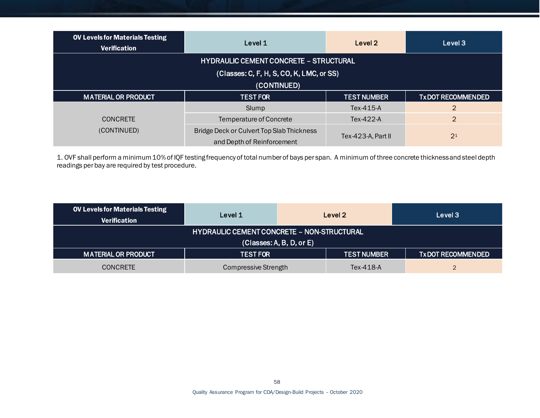| <b>OV Levels for Materials Testing</b><br>Level 1<br><b>Verification</b> |                                                                         | Level 2            | Level 3                  |  |
|--------------------------------------------------------------------------|-------------------------------------------------------------------------|--------------------|--------------------------|--|
| <b>HYDRAULIC CEMENT CONCRETE - STRUCTURAL</b>                            |                                                                         |                    |                          |  |
|                                                                          | (Classes: C, F, H, S, CO, K, LMC, or SS)                                |                    |                          |  |
| (CONTINUED)                                                              |                                                                         |                    |                          |  |
| <b>MATERIAL OR PRODUCT</b><br><b>TEST FOR</b>                            |                                                                         | <b>TEST NUMBER</b> | <b>TXDOT RECOMMENDED</b> |  |
| <b>CONCRETE</b><br>(CONTINUED)                                           | Slump                                                                   | Tex-415-A          | 2                        |  |
|                                                                          | Temperature of Concrete                                                 | Tex-422-A          | $\overline{2}$           |  |
|                                                                          | Bridge Deck or Culvert Top Slab Thickness<br>and Depth of Reinforcement | Tex-423-A, Part II | 2 <sup>1</sup>           |  |

1. OVF shall perform a minimum 10% of IQF testing frequency of total number of bays per span. A minimum of three concrete thickness and steel depth readings per bay are required by test procedure.

| <b>OV Levels for Materials Testing</b><br><b>Verification</b> | Level 1                                           |                    | Level 2                  | Level 3 |
|---------------------------------------------------------------|---------------------------------------------------|--------------------|--------------------------|---------|
|                                                               | <b>HYDRAULIC CEMENT CONCRETE - NON-STRUCTURAL</b> |                    |                          |         |
| (Classes: A, B, D, or E)                                      |                                                   |                    |                          |         |
| <b>MATERIAL OR PRODUCT</b><br><b>TEST FOR</b>                 |                                                   | <b>TEST NUMBER</b> | <b>TXDOT RECOMMENDED</b> |         |
| <b>CONCRETE</b>                                               | Compressive Strength                              |                    | Tex-418-A                |         |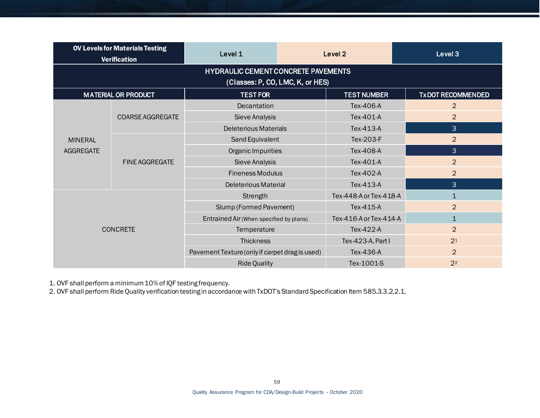| <b>OV Levels for Materials Testing</b><br><b>Verification</b> |                                            | Level 1                                 |                                                | Level <sub>2</sub>     | Level 3                  |  |  |
|---------------------------------------------------------------|--------------------------------------------|-----------------------------------------|------------------------------------------------|------------------------|--------------------------|--|--|
|                                                               | <b>HYDRAULIC CEMENT CONCRETE PAVEMENTS</b> |                                         |                                                |                        |                          |  |  |
|                                                               |                                            | (Classes: P, CO, LMC, K, or HES)        |                                                |                        |                          |  |  |
|                                                               | <b>MATERIAL OR PRODUCT</b>                 | <b>TEST FOR</b>                         |                                                | <b>TEST NUMBER</b>     | <b>TXDOT RECOMMENDED</b> |  |  |
|                                                               |                                            | Decantation                             |                                                | Tex-406-A              | $\overline{2}$           |  |  |
|                                                               | <b>COARSE AGGREGATE</b>                    | Sieve Analysis                          |                                                | Tex-401-A              | $\overline{2}$           |  |  |
|                                                               |                                            | <b>Deleterious Materials</b>            |                                                | Tex-413-A              | 3                        |  |  |
| <b>MINERAL</b>                                                |                                            | Sand Equivalent                         |                                                | Tex-203-F              | $\overline{2}$           |  |  |
| <b>AGGREGATE</b>                                              | <b>FINE AGGREGATE</b>                      | Organic Impurities                      |                                                | Tex-408-A              | 3                        |  |  |
|                                                               |                                            | Sieve Analysis                          |                                                | Tex-401-A              | $\overline{2}$           |  |  |
|                                                               |                                            | <b>Fineness Modulus</b>                 |                                                | Tex-402-A              | $\overline{2}$           |  |  |
|                                                               |                                            | <b>Deleterious Material</b>             |                                                | Tex-413-A              | 3                        |  |  |
|                                                               |                                            | Strength                                |                                                | Tex-448-A or Tex-418-A | $\mathbf{1}$             |  |  |
| <b>CONCRETE</b>                                               |                                            | Slump (Formed Pavement)                 |                                                | Tex-415-A              | $\overline{2}$           |  |  |
|                                                               |                                            | Entrained Air (When specified by plans) |                                                | Tex-416-A or Tex-414-A | $\mathbf{1}$             |  |  |
|                                                               |                                            | Temperature                             |                                                | Tex-422-A              | $\overline{2}$           |  |  |
|                                                               |                                            | <b>Thickness</b>                        |                                                | Tex-423-A, Part I      | 2 <sup>1</sup>           |  |  |
|                                                               |                                            |                                         | Pavement Texture (only if carpet drag is used) |                        | $\overline{2}$           |  |  |
|                                                               |                                            | <b>Ride Quality</b>                     |                                                | Tex-1001-S             | 2 <sup>2</sup>           |  |  |

1. OVF shall perform a minimum 10% of IQF testing frequency.

2. OVF shall perform Ride Quality verification testing in accordance with TxDOT's Standard Specification Item 585.3.3.2.2.1.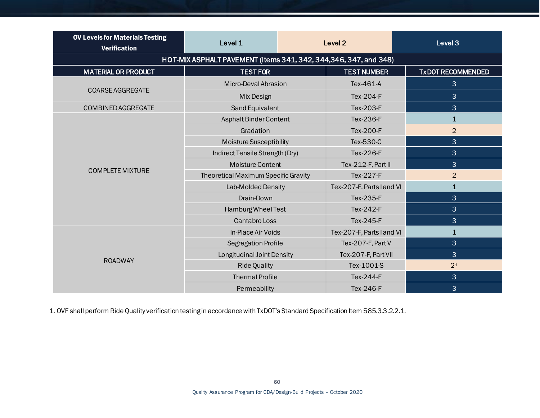| <b>OV Levels for Materials Testing</b><br><b>Verification</b> | Level 1                                                           |  | Level <sub>2</sub>        | Level 3                  |
|---------------------------------------------------------------|-------------------------------------------------------------------|--|---------------------------|--------------------------|
|                                                               | HOT-MIX ASPHALT PAVEMENT (Items 341, 342, 344, 346, 347, and 348) |  |                           |                          |
| <b>MATERIAL OR PRODUCT</b>                                    | <b>TEST FOR</b>                                                   |  | <b>TEST NUMBER</b>        | <b>TXDOT RECOMMENDED</b> |
|                                                               | Micro-Deval Abrasion                                              |  | Tex-461-A                 | 3                        |
| <b>COARSE AGGREGATE</b>                                       | Mix Design                                                        |  | Tex-204-F                 | 3                        |
| COMBINED AGGREGATE                                            | Sand Equivalent                                                   |  | Tex-203-F                 | 3                        |
|                                                               | Asphalt Binder Content                                            |  | Tex-236-F                 | $\mathbf{1}$             |
|                                                               | Gradation                                                         |  | Tex-200-F                 | $\overline{2}$           |
|                                                               | <b>Moisture Susceptibility</b>                                    |  | Tex-530-C                 | 3                        |
|                                                               | Indirect Tensile Strength (Dry)                                   |  | Tex-226-F                 | 3                        |
|                                                               | <b>Moisture Content</b>                                           |  | Tex-212-F, Part II        | 3                        |
| <b>COMPLETE MIXTURE</b>                                       | Theoretical Maximum Specific Gravity                              |  | Tex-227-F                 | $\overline{2}$           |
|                                                               | Lab-Molded Density                                                |  | Tex-207-F, Parts l and VI | $\mathbf{1}$             |
|                                                               | Drain-Down                                                        |  | Tex-235-F                 | 3                        |
|                                                               | Hamburg Wheel Test                                                |  | Tex-242-F                 | 3                        |
|                                                               | <b>Cantabro Loss</b>                                              |  | Tex-245-F                 | 3                        |
|                                                               | In-Place Air Voids                                                |  | Tex-207-F, Parts I and VI | $\mathbf{1}$             |
|                                                               | Segregation Profile                                               |  | Tex-207-F, Part V         | 3                        |
|                                                               | Longitudinal Joint Density                                        |  | Tex-207-F, Part VII       | 3                        |
| <b>ROADWAY</b>                                                | <b>Ride Quality</b>                                               |  | Tex-1001-S                | 2 <sup>1</sup>           |
|                                                               | <b>Thermal Profile</b>                                            |  | Tex-244-F                 | 3                        |
|                                                               | Permeability                                                      |  | Tex-246-F                 | 3                        |

1. OVF shall perform Ride Quality verification testing in accordance with TxDOT's Standard Specification Item 585.3.3.2.2.1.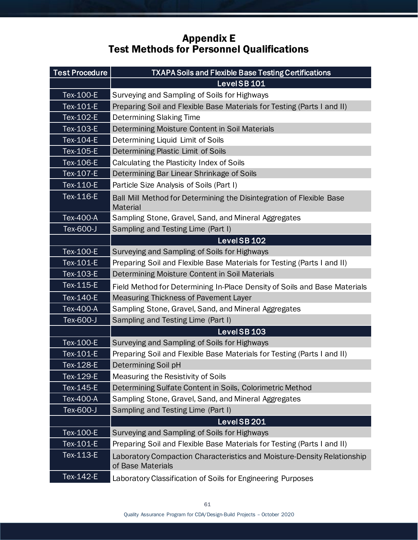# Appendix E Test Methods for Personnel Qualifications

| <b>Test Procedure</b> | <b>TXAPA Soils and Flexible Base Testing Certifications</b>                                  |
|-----------------------|----------------------------------------------------------------------------------------------|
|                       | LevelSB <sub>101</sub>                                                                       |
| Tex-100-E             | Surveying and Sampling of Soils for Highways                                                 |
| Tex-101-E             | Preparing Soil and Flexible Base Materials for Testing (Parts I and II)                      |
| Tex-102-E             | <b>Determining Slaking Time</b>                                                              |
| Tex-103-E             | Determining Moisture Content in Soil Materials                                               |
| Tex-104-E             | Determining Liquid Limit of Soils                                                            |
| Tex-105-E             | Determining Plastic Limit of Soils                                                           |
| Tex-106-E             | Calculating the Plasticity Index of Soils                                                    |
| Tex-107-E             | Determining Bar Linear Shrinkage of Soils                                                    |
| Tex-110-E             | Particle Size Analysis of Soils (Part I)                                                     |
| Tex-116-E             | Ball Mill Method for Determining the Disintegration of Flexible Base<br><b>Material</b>      |
| Tex-400-A             | Sampling Stone, Gravel, Sand, and Mineral Aggregates                                         |
| Tex-600-J             | Sampling and Testing Lime (Part I)                                                           |
|                       | LevelSB <sub>102</sub>                                                                       |
| Tex-100-E             | Surveying and Sampling of Soils for Highways                                                 |
| Tex-101-E             | Preparing Soil and Flexible Base Materials for Testing (Parts I and II)                      |
| Tex-103-E             | Determining Moisture Content in Soil Materials                                               |
| Tex-115-E             | Field Method for Determining In-Place Density of Soils and Base Materials                    |
| Tex-140-E             | <b>Measuring Thickness of Pavement Layer</b>                                                 |
| Tex-400-A             | Sampling Stone, Gravel, Sand, and Mineral Aggregates                                         |
| Tex-600-J             | Sampling and Testing Lime (Part I)                                                           |
|                       | LevelSB <sub>103</sub>                                                                       |
| Tex-100-E             | Surveying and Sampling of Soils for Highways                                                 |
| Tex-101-E             | Preparing Soil and Flexible Base Materials for Testing (Parts I and II)                      |
| Tex-128-E             | Determining Soil pH                                                                          |
| Tex-129-E             | Measuring the Resistivity of Soils                                                           |
| Tex-145-E             | Determining Sulfate Content in Soils, Colorimetric Method                                    |
| Tex-400-A             | Sampling Stone, Gravel, Sand, and Mineral Aggregates                                         |
| Tex-600-J             | Sampling and Testing Lime (Part I)                                                           |
|                       | LevelSB201                                                                                   |
| Tex-100-E             | Surveying and Sampling of Soils for Highways                                                 |
| Tex-101-E             | Preparing Soil and Flexible Base Materials for Testing (Parts I and II)                      |
| Tex-113-E             | Laboratory Compaction Characteristics and Moisture-Density Relationship<br>of Base Materials |
| Tex-142-E             | Laboratory Classification of Soils for Engineering Purposes                                  |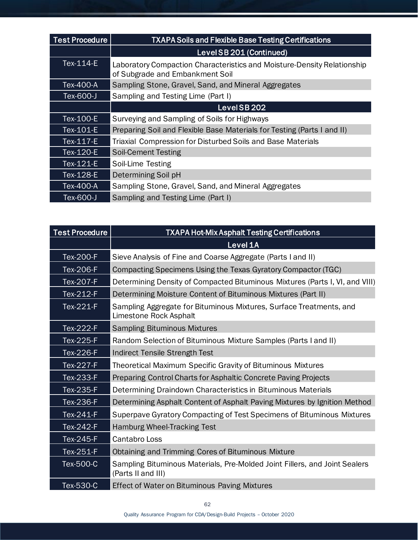| <b>Test Procedure</b> | <b>TXAPA Soils and Flexible Base Testing Certifications</b>                                                |  |  |
|-----------------------|------------------------------------------------------------------------------------------------------------|--|--|
|                       | Level SB 201 (Continued)                                                                                   |  |  |
| Tex-114-E             | Laboratory Compaction Characteristics and Moisture-Density Relationship<br>of Subgrade and Embankment Soil |  |  |
| Tex-400-A             | Sampling Stone, Gravel, Sand, and Mineral Aggregates                                                       |  |  |
| Tex-600-J             | Sampling and Testing Lime (Part I)                                                                         |  |  |
|                       | LevelSB202                                                                                                 |  |  |
| Tex-100-E             | Surveying and Sampling of Soils for Highways                                                               |  |  |
| Tex-101-E             | Preparing Soil and Flexible Base Materials for Testing (Parts I and II)                                    |  |  |
| Tex-117-E             | Triaxial Compression for Disturbed Soils and Base Materials                                                |  |  |
| Tex-120-E             | <b>Soil-Cement Testing</b>                                                                                 |  |  |
| Tex-121-E             | Soil-Lime Testing                                                                                          |  |  |
| Tex-128-E             | Determining Soil pH                                                                                        |  |  |
| Tex-400-A             | Sampling Stone, Gravel, Sand, and Mineral Aggregates                                                       |  |  |
| Tex-600-J             | Sampling and Testing Lime (Part I)                                                                         |  |  |

| <b>Test Procedure</b> | <b>TXAPA Hot-Mix Asphalt Testing Certifications</b>                                              |
|-----------------------|--------------------------------------------------------------------------------------------------|
|                       | Level 1A                                                                                         |
| Tex-200-F             | Sieve Analysis of Fine and Coarse Aggregate (Parts I and II)                                     |
| Tex-206-F             | Compacting Specimens Using the Texas Gyratory Compactor (TGC)                                    |
| Tex-207-F             | Determining Density of Compacted Bituminous Mixtures (Parts I, VI, and VIII)                     |
| Tex-212-F             | Determining Moisture Content of Bituminous Mixtures (Part II)                                    |
| Tex-221-F             | Sampling Aggregate for Bituminous Mixtures, Surface Treatments, and<br>Limestone Rock Asphalt    |
| Tex-222-F             | <b>Sampling Bituminous Mixtures</b>                                                              |
| Tex-225-F             | Random Selection of Bituminous Mixture Samples (Parts I and II)                                  |
| Tex-226-F             | <b>Indirect Tensile Strength Test</b>                                                            |
| Tex-227-F             | <b>Theoretical Maximum Specific Gravity of Bituminous Mixtures</b>                               |
| Tex-233-F             | Preparing Control Charts for Asphaltic Concrete Paving Projects                                  |
| Tex-235-F             | Determining Draindown Characteristics in Bituminous Materials                                    |
| Tex-236-F             | Determining Asphalt Content of Asphalt Paving Mixtures by Ignition Method                        |
| $Tex-241-F$           | Superpave Gyratory Compacting of Test Specimens of Bituminous Mixtures                           |
| Tex-242-F             | <b>Hamburg Wheel-Tracking Test</b>                                                               |
| Tex-245-F             | Cantabro Loss                                                                                    |
| Tex-251-F             | Obtaining and Trimming Cores of Bituminous Mixture                                               |
| Tex-500-C             | Sampling Bituminous Materials, Pre-Molded Joint Fillers, and Joint Sealers<br>(Parts II and III) |
| Tex-530-C             | <b>Effect of Water on Bituminous Paving Mixtures</b>                                             |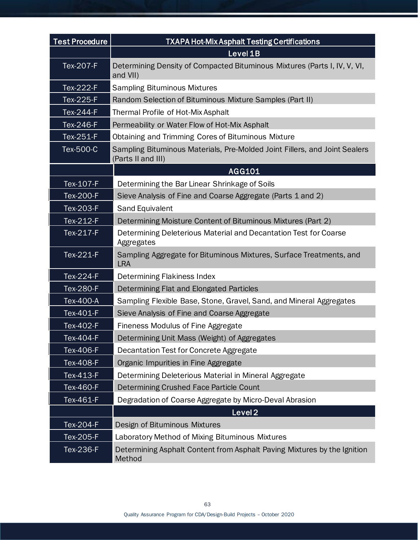| <b>Test Procedure</b> | TXAPA Hot-Mix Asphalt Testing Certifications                                                     |
|-----------------------|--------------------------------------------------------------------------------------------------|
|                       | Level 1B                                                                                         |
| <b>Tex-207-F</b>      | Determining Density of Compacted Bituminous Mixtures (Parts I, IV, V, VI,<br>and VII)            |
| Tex-222-F             | <b>Sampling Bituminous Mixtures</b>                                                              |
| Tex-225-F             | Random Selection of Bituminous Mixture Samples (Part II)                                         |
| Tex-244-F             | Thermal Profile of Hot-Mix Asphalt                                                               |
| Tex-246-F             | Permeability or Water Flow of Hot-Mix Asphalt                                                    |
| Tex-251-F             | Obtaining and Trimming Cores of Bituminous Mixture                                               |
| Tex-500-C             | Sampling Bituminous Materials, Pre-Molded Joint Fillers, and Joint Sealers<br>(Parts II and III) |
|                       | AGG101                                                                                           |
| Tex-107-F             | Determining the Bar Linear Shrinkage of Soils                                                    |
| Tex-200-F             | Sieve Analysis of Fine and Coarse Aggregate (Parts 1 and 2)                                      |
| Tex-203-F             | Sand Equivalent                                                                                  |
| Tex-212-F             | Determining Moisture Content of Bituminous Mixtures (Part 2)                                     |
| Tex-217-F             | Determining Deleterious Material and Decantation Test for Coarse<br>Aggregates                   |
| Tex-221-F             | Sampling Aggregate for Bituminous Mixtures, Surface Treatments, and<br><b>LRA</b>                |
| Tex-224-F             | Determining Flakiness Index                                                                      |
| Tex-280-F             | Determining Flat and Elongated Particles                                                         |
| Tex-400-A             | Sampling Flexible Base, Stone, Gravel, Sand, and Mineral Aggregates                              |
| Tex-401-F             | Sieve Analysis of Fine and Coarse Aggregate                                                      |
| Tex-402-F             | <b>Fineness Modulus of Fine Aggregate</b>                                                        |
| Tex-404-F             | Determining Unit Mass (Weight) of Aggregates                                                     |
| Tex-406-F             | Decantation Test for Concrete Aggregate                                                          |
| Tex-408-F             | Organic Impurities in Fine Aggregate                                                             |
| Tex-413-F             | Determining Deleterious Material in Mineral Aggregate                                            |
| Tex-460-F             | Determining Crushed Face Particle Count                                                          |
| Tex-461-F             | Degradation of Coarse Aggregate by Micro-Deval Abrasion                                          |
|                       | Level <sub>2</sub>                                                                               |
| Tex-204-F             | Design of Bituminous Mixtures                                                                    |
| Tex-205-F             | Laboratory Method of Mixing Bituminous Mixtures                                                  |
| Tex-236-F             | Determining Asphalt Content from Asphalt Paving Mixtures by the Ignition<br>Method               |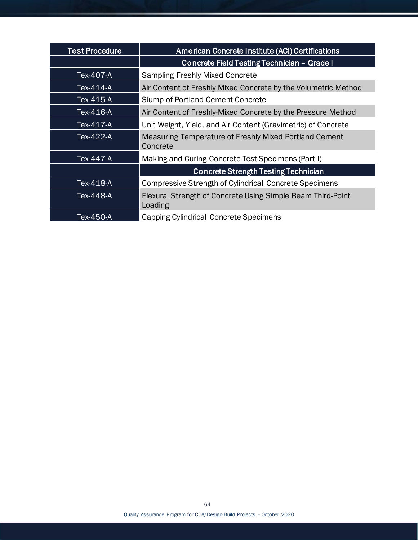| <b>Test Procedure</b> | American Concrete Institute (ACI) Certifications                       |  |  |
|-----------------------|------------------------------------------------------------------------|--|--|
|                       | Concrete Field Testing Technician - Grade I                            |  |  |
| Tex-407-A             | <b>Sampling Freshly Mixed Concrete</b>                                 |  |  |
| Tex-414-A             | Air Content of Freshly Mixed Concrete by the Volumetric Method         |  |  |
| Tex-415-A             | Slump of Portland Cement Concrete                                      |  |  |
| Tex-416-A             | Air Content of Freshly-Mixed Concrete by the Pressure Method           |  |  |
| Tex-417-A             | Unit Weight, Yield, and Air Content (Gravimetric) of Concrete          |  |  |
| Tex-422-A             | Measuring Temperature of Freshly Mixed Portland Cement<br>Concrete     |  |  |
| Tex-447-A             | Making and Curing Concrete Test Specimens (Part I)                     |  |  |
|                       | <b>Concrete Strength Testing Technician</b>                            |  |  |
| Tex-418-A             | <b>Compressive Strength of Cylindrical Concrete Specimens</b>          |  |  |
| Tex-448-A             | Flexural Strength of Concrete Using Simple Beam Third-Point<br>Loading |  |  |
| Tex-450-A             | Capping Cylindrical Concrete Specimens                                 |  |  |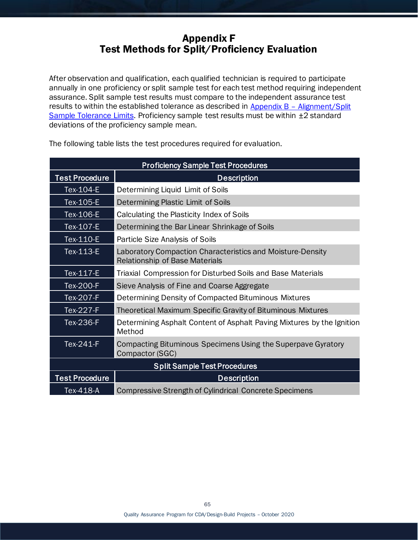# Appendix F Test Methods for Split/Proficiency Evaluation

After observation and qualification, each qualified technician is required to participate annually in one proficiency or split sample test for each test method requiring independent assurance. Split sample test results must compare to the independent assurance test results to within the established tolerance as described in  $\Delta p$  and  $\Delta p$  – Alignment/Split [Sample Tolerance Limits.](#page-48-0) Proficiency sample test results must be within  $\pm 2$  standard deviations of the proficiency sample mean.

|                       | <b>Proficiency Sample Test Procedures</b>                                                           |
|-----------------------|-----------------------------------------------------------------------------------------------------|
| <b>Test Procedure</b> | <b>Description</b>                                                                                  |
| Tex-104-E             | Determining Liquid Limit of Soils                                                                   |
| Tex-105-E             | Determining Plastic Limit of Soils                                                                  |
| Tex-106-E             | Calculating the Plasticity Index of Soils                                                           |
| Tex-107-E             | Determining the Bar Linear Shrinkage of Soils                                                       |
| Tex-110-E             | Particle Size Analysis of Soils                                                                     |
| Tex-113-E             | Laboratory Compaction Characteristics and Moisture-Density<br><b>Relationship of Base Materials</b> |
| Tex-117-E             | Triaxial Compression for Disturbed Soils and Base Materials                                         |
| Tex-200-F             | Sieve Analysis of Fine and Coarse Aggregate                                                         |
| Tex-207-F             | Determining Density of Compacted Bituminous Mixtures                                                |
| Tex-227-F             | <b>Theoretical Maximum Specific Gravity of Bituminous Mixtures</b>                                  |
| Tex-236-F             | Determining Asphalt Content of Asphalt Paving Mixtures by the Ignition<br>Method                    |
| Tex-241-F             | Compacting Bituminous Specimens Using the Superpave Gyratory<br>Compactor (SGC)                     |
|                       | <b>Split Sample Test Procedures</b>                                                                 |
| <b>Test Procedure</b> | <b>Description</b>                                                                                  |
| Tex-418-A             | <b>Compressive Strength of Cylindrical Concrete Specimens</b>                                       |

The following table lists the test procedures required for evaluation.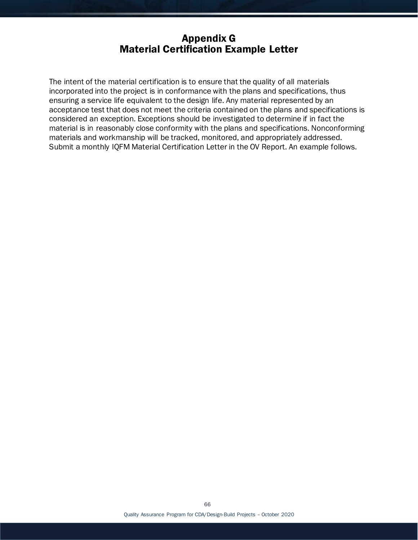## Appendix G Material Certification Example Letter

The intent of the material certification is to ensure that the quality of all materials incorporated into the project is in conformance with the plans and specifications, thus ensuring a service life equivalent to the design life. Any material represented by an acceptance test that does not meet the criteria contained on the plans and specifications is considered an exception. Exceptions should be investigated to determine if in fact the material is in reasonably close conformity with the plans and specifications. Nonconforming materials and workmanship will be tracked, monitored, and appropriately addressed. Submit a monthly IQFM Material Certification Letter in the OV Report. An example follows.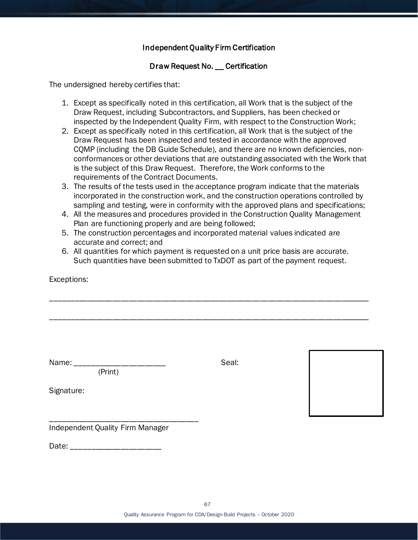### Independent Quality Firm Certification

### Draw Request No. \_\_ Certification

The undersigned hereby certifies that:

- 1. Except as specifically noted in this certification, all Work that is the subject of the Draw Request, including Subcontractors, and Suppliers, has been checked or inspected by the Independent Quality Firm, with respect to the Construction Work;
- 2. Except as specifically noted in this certification, all Work that is the subject of the Draw Request has been inspected and tested in accordance with the approved CQMP (including the DB Guide Schedule), and there are no known deficiencies, nonconformances or other deviations that are outstanding associated with the Work that is the subject of this Draw Request. Therefore, the Work conforms to the requirements of the Contract Documents.
- 3. The results of the tests used in the acceptance program indicate that the materials incorporated in the construction work, and the construction operations controlled by sampling and testing, were in conformity with the approved plans and specifications;
- 4. All the measures and procedures provided in the Construction Quality Management Plan are functioning properly and are being followed;
- 5. The construction percentages and incorporated material values indicated are accurate and correct; and
- 6. All quantities for which payment is requested on a unit price basis are accurate. Such quantities have been submitted to TxDOT as part of the payment request.

\_\_\_\_\_\_\_\_\_\_\_\_\_\_\_\_\_\_\_\_\_\_\_\_\_\_\_\_\_\_\_\_\_\_\_\_\_\_\_\_\_\_\_\_\_\_\_\_\_\_\_\_\_\_\_\_\_\_\_\_\_\_\_\_\_\_\_\_\_\_\_\_\_\_\_\_\_\_

\_\_\_\_\_\_\_\_\_\_\_\_\_\_\_\_\_\_\_\_\_\_\_\_\_\_\_\_\_\_\_\_\_\_\_\_\_\_\_\_\_\_\_\_\_\_\_\_\_\_\_\_\_\_\_\_\_\_\_\_\_\_\_\_\_\_\_\_\_\_\_\_\_\_\_\_\_\_

Exceptions:

Signature:

Name: \_\_\_\_\_\_\_\_\_\_\_\_\_\_\_\_\_\_\_\_\_\_ Seal: (Print)



\_\_\_\_\_\_\_\_\_\_\_\_\_\_\_\_\_\_\_\_\_\_\_\_\_\_\_\_\_\_\_\_\_\_\_\_ Independent Quality Firm Manager

Date: \_\_\_\_\_\_\_\_\_\_\_\_\_\_\_\_\_\_\_\_\_\_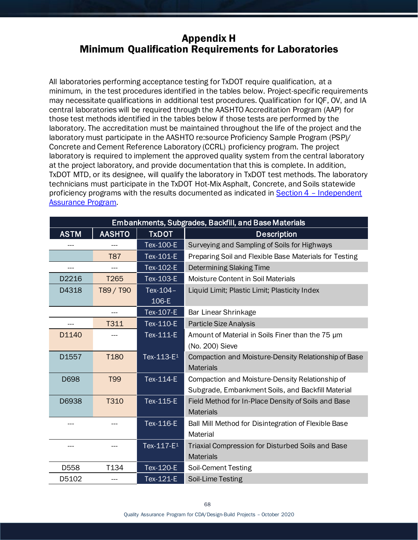## <span id="page-68-0"></span>Appendix H Minimum Qualification Requirements for Laboratories

All laboratories performing acceptance testing for TxDOT require qualification, at a minimum, in the test procedures identified in the tables below. Project-specific requirements may necessitate qualifications in additional test procedures. Qualification for IQF, OV, and IA central laboratories will be required through the AASHTO Accreditation Program (AAP) for those test methods identified in the tables below if those tests are performed by the laboratory. The accreditation must be maintained throughout the life of the project and the laboratory must participate in the AASHTO re:source Proficiency Sample Program (PSP)/ Concrete and Cement Reference Laboratory (CCRL) proficiency program. The project laboratory is required to implement the approved quality system from the central laboratory at the project laboratory, and provide documentation that this is complete. In addition, TxDOT MTD, or its designee, will qualify the laboratory in TxDOT test methods. The laboratory technicians must participate in the TxDOT Hot-Mix Asphalt, Concrete, and Soils statewide proficiency programs with the results documented as indicated in **Section 4 - Independent** [Assurance Program.](#page-19-0)

| Embankments, Subgrades, Backfill, and Base Materials |                  |                        |                                                                                                      |
|------------------------------------------------------|------------------|------------------------|------------------------------------------------------------------------------------------------------|
| <b>ASTM</b>                                          | <b>AASHTO</b>    | <b>TxDOT</b>           | <b>Description</b>                                                                                   |
|                                                      |                  | Tex-100-E              | Surveying and Sampling of Soils for Highways                                                         |
|                                                      | T87              | Tex-101-E              | Preparing Soil and Flexible Base Materials for Testing                                               |
| ---                                                  |                  | Tex-102-E              | Determining Slaking Time                                                                             |
| D2216                                                | T <sub>265</sub> | Tex-103-E              | Moisture Content in Soil Materials                                                                   |
| D4318                                                | T89 / T90        | Tex-104-<br>106-E      | Liquid Limit; Plastic Limit; Plasticity Index                                                        |
|                                                      | $---$            | Tex-107-E              | Bar Linear Shrinkage                                                                                 |
|                                                      | T311             | Tex-110-E              | <b>Particle Size Analysis</b>                                                                        |
| D1140                                                |                  | Tex-111-E              | Amount of Material in Soils Finer than the 75 um<br>(No. 200) Sieve                                  |
| D1557                                                | T <sub>180</sub> | Tex-113-E <sub>1</sub> | Compaction and Moisture-Density Relationship of Base<br><b>Materials</b>                             |
| D698                                                 | <b>T99</b>       | Tex-114-E              | Compaction and Moisture-Density Relationship of<br>Subgrade, Embankment Soils, and Backfill Material |
| D6938                                                | T310             | Tex-115-E              | Field Method for In-Place Density of Soils and Base<br><b>Materials</b>                              |
| ---                                                  |                  | Tex-116-E              | Ball Mill Method for Disintegration of Flexible Base<br>Material                                     |
|                                                      |                  | Tex-117-E <sup>1</sup> | Triaxial Compression for Disturbed Soils and Base<br><b>Materials</b>                                |
| D558                                                 | T134             | Tex-120-E              | Soil-Cement Testing                                                                                  |
| D5102                                                |                  | Tex-121-E              | Soil-Lime Testing                                                                                    |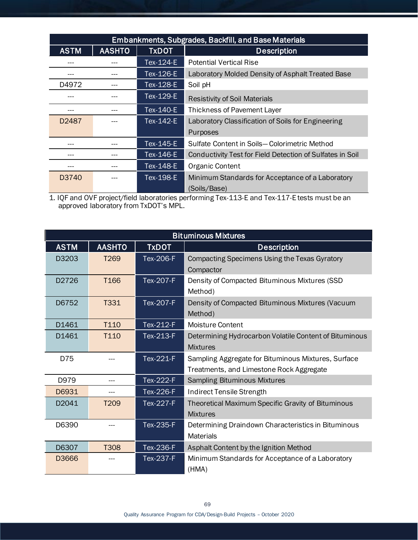| <b>Embankments, Subgrades, Backfill, and Base Materials</b> |               |              |                                                           |
|-------------------------------------------------------------|---------------|--------------|-----------------------------------------------------------|
| <b>ASTM</b>                                                 | <b>AASHTO</b> | <b>TxDOT</b> | <b>Description</b>                                        |
|                                                             |               | Tex-124-E    | <b>Potential Vertical Rise</b>                            |
| ---                                                         |               | Tex-126-E    | Laboratory Molded Density of Asphalt Treated Base         |
| D4972                                                       |               | Tex-128-E    | Soil pH                                                   |
|                                                             |               | Tex-129-E    | <b>Resistivity of Soil Materials</b>                      |
| ---                                                         |               | Tex-140-E    | Thickness of Pavement Layer                               |
| D <sub>2487</sub>                                           |               | Tex-142-E    | Laboratory Classification of Soils for Engineering        |
|                                                             |               |              | Purposes                                                  |
| ---                                                         |               | Tex-145-E    | Sulfate Content in Soils-Colorimetric Method              |
|                                                             |               | Tex-146-E    | Conductivity Test for Field Detection of Sulfates in Soil |
| ---                                                         |               | Tex-148-E    | Organic Content                                           |
| D3740                                                       |               | Tex-198-E    | Minimum Standards for Acceptance of a Laboratory          |
|                                                             |               |              | (Soils/Base)                                              |

1. IQF and OVF project/field laboratories performing Tex-113-E and Tex-117-E tests must be an approved laboratory from TxDOT's MPL.

| <b>Bituminous Mixtures</b> |                  |                  |                                                                                                 |
|----------------------------|------------------|------------------|-------------------------------------------------------------------------------------------------|
| <b>ASTM</b>                | <b>AASHTO</b>    | <b>TxDOT</b>     | <b>Description</b>                                                                              |
| D3203                      | T <sub>269</sub> | <b>Tex-206-F</b> | Compacting Specimens Using the Texas Gyratory<br>Compactor                                      |
| D2726                      | T <sub>166</sub> | <b>Tex-207-F</b> | Density of Compacted Bituminous Mixtures (SSD<br>Method)                                        |
| D6752                      | T331             | Tex-207-F        | Density of Compacted Bituminous Mixtures (Vacuum<br>Method)                                     |
| D1461                      | T <sub>110</sub> | Tex-212-F        | <b>Moisture Content</b>                                                                         |
| D1461                      | T110             | Tex-213-F        | Determining Hydrocarbon Volatile Content of Bituminous<br><b>Mixtures</b>                       |
| D75                        |                  | Tex-221-F        | Sampling Aggregate for Bituminous Mixtures, Surface<br>Treatments, and Limestone Rock Aggregate |
| D979                       | ---              | Tex-222-F        | <b>Sampling Bituminous Mixtures</b>                                                             |
| D6931                      |                  | <b>Tex-226-F</b> | Indirect Tensile Strength                                                                       |
| D2041                      | T <sub>209</sub> | <b>Tex-227-F</b> | Theoretical Maximum Specific Gravity of Bituminous<br><b>Mixtures</b>                           |
| D6390                      |                  | <b>Tex-235-F</b> | Determining Draindown Characteristics in Bituminous<br><b>Materials</b>                         |
| D6307                      | T308             | Tex-236-F        | Asphalt Content by the Ignition Method                                                          |
| D3666                      |                  | <b>Tex-237-F</b> | Minimum Standards for Acceptance of a Laboratory<br>(HMA)                                       |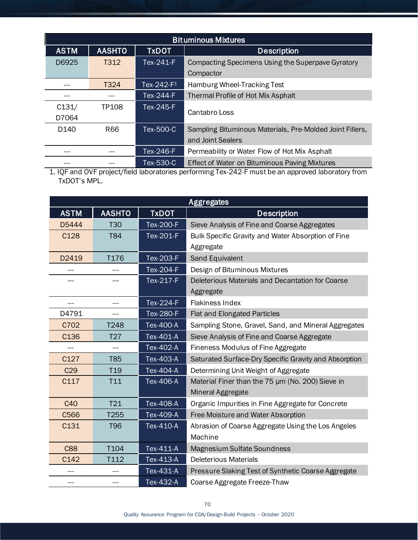| <b>Bituminous Mixtures</b> |               |               |                                                          |
|----------------------------|---------------|---------------|----------------------------------------------------------|
| <b>ASTM</b>                | <b>AASHTO</b> | <b>TxDOT</b>  | <b>Description</b>                                       |
| D6925                      | T312          | Tex-241-F     | Compacting Specimens Using the Superpave Gyratory        |
|                            |               |               | Compactor                                                |
|                            | T324          | Tex-242- $F1$ | Hamburg Wheel-Tracking Test                              |
|                            |               | Tex-244-F     | Thermal Profile of Hot Mix Asphalt                       |
| C131/                      | TP108         | Tex-245-F     | Cantabro Loss                                            |
| D7064                      |               |               |                                                          |
| D <sub>140</sub>           | R66           | Tex-500-C     | Sampling Bituminous Materials, Pre-Molded Joint Fillers, |
|                            |               |               | and Joint Sealers                                        |
|                            |               | Tex-246-F     | Permeability or Water Flow of Hot Mix Asphalt            |
| ---                        |               | Tex-530-C     | <b>Effect of Water on Bituminous Paving Mixtures</b>     |

1. IQF and OVF project/field laboratories performing Tex-242-F must be an approved laboratory from TxDOT's MPL.

| <b>Aggregates</b> |                 |                  |                                                       |
|-------------------|-----------------|------------------|-------------------------------------------------------|
| <b>ASTM</b>       | <b>AASHTO</b>   | <b>TxDOT</b>     | <b>Description</b>                                    |
| D5444             | <b>T30</b>      | <b>Tex-200-F</b> | Sieve Analysis of Fine and Coarse Aggregates          |
| C128              | <b>T84</b>      | Tex-201-F        | Bulk Specific Gravity and Water Absorption of Fine    |
|                   |                 |                  | Aggregate                                             |
| D2419             | T176            | <b>Tex-203-F</b> | Sand Equivalent                                       |
|                   |                 | <b>Tex-204-F</b> | Design of Bituminous Mixtures                         |
|                   |                 | Tex-217-F        | Deleterious Materials and Decantation for Coarse      |
|                   |                 |                  | Aggregate                                             |
| ---               | ---             | $Tex-224-F$      | <b>Flakiness Index</b>                                |
| D4791             |                 | <b>Tex-280-F</b> | <b>Flat and Elongated Particles</b>                   |
| C702              | T248            | Tex-400-A        | Sampling Stone, Gravel, Sand, and Mineral Aggregates  |
| C136              | T <sub>27</sub> | Tex-401-A        | Sieve Analysis of Fine and Coarse Aggregate           |
|                   |                 | Tex-402-A        | Fineness Modulus of Fine Aggregate                    |
| C127              | <b>T85</b>      | Tex-403-A        | Saturated Surface-Dry Specific Gravity and Absorption |
| C29               | T <sub>19</sub> | Tex-404-A        | Determining Unit Weight of Aggregate                  |
| C117              | T <sub>11</sub> | Tex-406-A        | Material Finer than the 75 µm (No. 200) Sieve in      |
|                   |                 |                  | Mineral Aggregate                                     |
| C40               | <b>T21</b>      | Tex-408-A        | Organic Impurities in Fine Aggregate for Concrete     |
| C566              | T255            | Tex-409-A        | Free Moisture and Water Absorption                    |
| C131              | <b>T96</b>      | Tex-410-A        | Abrasion of Coarse Aggregate Using the Los Angeles    |
|                   |                 |                  | Machine                                               |
| <b>C88</b>        | T104            | Tex-411-A        | Magnesium Sulfate Soundness                           |
| C142              | T112            | Tex-413-A        | <b>Deleterious Materials</b>                          |
|                   |                 | Tex-431-A        | Pressure Slaking Test of Synthetic Coarse Aggregate   |
| ---               |                 | Tex-432-A        | Coarse Aggregate Freeze-Thaw                          |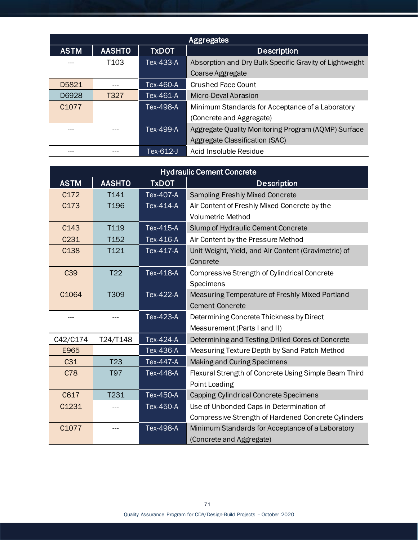| Aggregates        |               |                  |                                                         |
|-------------------|---------------|------------------|---------------------------------------------------------|
| <b>ASTM</b>       | <b>AASHTO</b> | <b>TxDOT</b>     | <b>Description</b>                                      |
|                   | T103          | Tex-433-A        | Absorption and Dry Bulk Specific Gravity of Lightweight |
|                   |               |                  | Coarse Aggregate                                        |
| D5821             |               | Tex-460-A        | <b>Crushed Face Count</b>                               |
| D6928             | T327          | Tex-461-A        | Micro-Deval Abrasion                                    |
| C <sub>1077</sub> |               | <b>Tex-498-A</b> | Minimum Standards for Acceptance of a Laboratory        |
|                   |               |                  | (Concrete and Aggregate)                                |
| ---               |               | Tex-499-A        | Aggregate Quality Monitoring Program (AQMP) Surface     |
|                   |               |                  | Aggregate Classification (SAC)                          |
|                   |               | Tex-612-J        | Acid Insoluble Residue                                  |

| <b>Hydraulic Cement Concrete</b> |                  |                  |                                                       |
|----------------------------------|------------------|------------------|-------------------------------------------------------|
| <b>ASTM</b>                      | <b>AASHTO</b>    | <b>TxDOT</b>     | <b>Description</b>                                    |
| C172                             | T141             | Tex-407-A        | <b>Sampling Freshly Mixed Concrete</b>                |
| C173                             | T <sub>196</sub> | Tex-414-A        | Air Content of Freshly Mixed Concrete by the          |
|                                  |                  |                  | <b>Volumetric Method</b>                              |
| C143                             | T119             | Tex-415-A        | Slump of Hydraulic Cement Concrete                    |
| C231                             | T152             | Tex-416-A        | Air Content by the Pressure Method                    |
| C138                             | T121             | Tex-417-A        | Unit Weight, Yield, and Air Content (Gravimetric) of  |
|                                  |                  |                  | Concrete                                              |
| C <sub>39</sub>                  | T <sub>22</sub>  | Tex-418-A        | Compressive Strength of Cylindrical Concrete          |
|                                  |                  |                  | Specimens                                             |
| C1064                            | T309             | <b>Tex-422-A</b> | Measuring Temperature of Freshly Mixed Portland       |
|                                  |                  |                  | <b>Cement Concrete</b>                                |
|                                  |                  | Tex-423-A        | Determining Concrete Thickness by Direct              |
|                                  |                  |                  | Measurement (Parts I and II)                          |
| C42/C174                         | T24/T148         | Tex-424-A        | Determining and Testing Drilled Cores of Concrete     |
| E965                             |                  | Tex-436-A        | Measuring Texture Depth by Sand Patch Method          |
| C <sub>31</sub>                  | T <sub>23</sub>  | Tex-447-A        | Making and Curing Specimens                           |
| C78                              | T97              | Tex-448-A        | Flexural Strength of Concrete Using Simple Beam Third |
|                                  |                  |                  | Point Loading                                         |
| C617                             | T231             | Tex-450-A        | Capping Cylindrical Concrete Specimens                |
| C1231                            |                  | Tex-450-A        | Use of Unbonded Caps in Determination of              |
|                                  |                  |                  | Compressive Strength of Hardened Concrete Cylinders   |
| C1077                            |                  | Tex-498-A        | Minimum Standards for Acceptance of a Laboratory      |
|                                  |                  |                  | (Concrete and Aggregate)                              |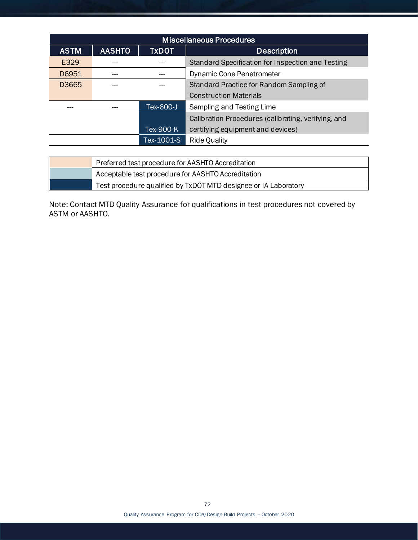| <b>Miscellaneous Procedures</b> |               |              |                                                     |
|---------------------------------|---------------|--------------|-----------------------------------------------------|
| <b>ASTM</b>                     | <b>AASHTO</b> | <b>TxDOT</b> | <b>Description</b>                                  |
| E329                            |               |              | Standard Specification for Inspection and Testing   |
| D6951                           |               |              | Dynamic Cone Penetrometer                           |
| D3665                           |               |              | Standard Practice for Random Sampling of            |
|                                 |               |              | <b>Construction Materials</b>                       |
|                                 |               | Tex-600-J    | Sampling and Testing Lime                           |
|                                 |               |              | Calibration Procedures (calibrating, verifying, and |
|                                 |               | Tex-900-K    | certifying equipment and devices)                   |
|                                 |               | Tex-1001-S   | <b>Ride Quality</b>                                 |

| Preferred test procedure for AASHTO Accreditation               |  |
|-----------------------------------------------------------------|--|
| Acceptable test procedure for AASHTO Accreditation              |  |
| Test procedure qualified by TxDOT MTD designee or IA Laboratory |  |

Note: Contact MTD Quality Assurance for qualifications in test procedures not covered by ASTM or AASHTO.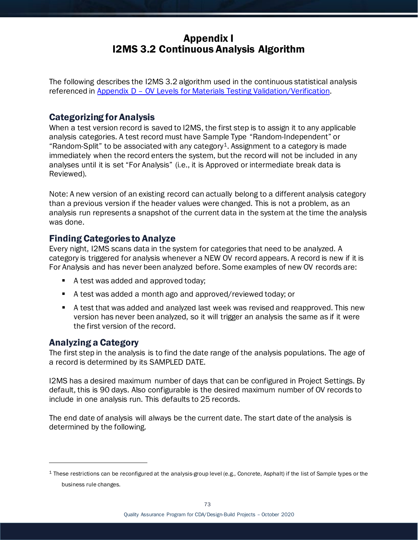## Appendix I I2MS 3.2 Continuous Analysis Algorithm

The following describes the I2MS 3.2 algorithm used in the continuous statistical analysis referenced in Appendix D – [OV Levels for Materials Testing Validation/Verification.](#page-52-0)

### Categorizing for Analysis

When a test version record is saved to I2MS, the first step is to assign it to any applicable analysis categories. A test record must have Sample Type "Random-Independent" or "Random-Split" to be associated with any category<sup>1</sup>. Assignment to a category is made immediately when the record enters the system, but the record will not be included in any analyses until it is set "For Analysis" (i.e., it is Approved or intermediate break data is Reviewed).

Note: A new version of an existing record can actually belong to a different analysis category than a previous version if the header values were changed. This is not a problem, as an analysis run represents a snapshot of the current data in the system at the time the analysis was done.

### Finding Categories to Analyze

Every night, I2MS scans data in the system for categories that need to be analyzed. A category is triggered for analysis whenever a NEW OV record appears. A record is new if it is For Analysis and has never been analyzed before. Some examples of new OV records are:

- A test was added and approved today;
- A test was added a month ago and approved/reviewed today; or
- A test that was added and analyzed last week was revised and reapproved. This new version has never been analyzed, so it will trigger an analysis the same as if it were the first version of the record.

### Analyzing a Category

 $\overline{a}$ 

The first step in the analysis is to find the date range of the analysis populations. The age of a record is determined by its SAMPLED DATE.

I2MS has a desired maximum number of days that can be configured in Project Settings. By default, this is 90 days. Also configurable is the desired maximum number of OV records to include in one analysis run. This defaults to 25 records.

The end date of analysis will always be the current date. The start date of the analysis is determined by the following.

<span id="page-73-0"></span> $1$  These restrictions can be reconfigured at the analysis-group level (e.g., Concrete, Asphalt) if the list of Sample types or the business rule changes.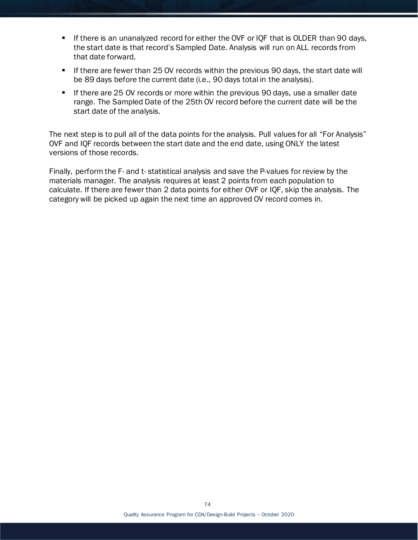- **If there is an unanalyzed record for either the OVF or IQF that is OLDER than 90 days,** the start date is that record's Sampled Date. Analysis will run on ALL records from that date forward.
- If there are fewer than 25 OV records within the previous 90 days, the start date will be 89 days before the current date (i.e., 90 days total in the analysis).
- If there are 25 OV records or more within the previous 90 days, use a smaller date range. The Sampled Date of the 25th OV record before the current date will be the start date of the analysis.

The next step is to pull all of the data points for the analysis. Pull values for all "For Analysis" OVF and IQF records between the start date and the end date, using ONLY the latest versions of those records.

Finally, perform the F- and t- statistical analysis and save the P-values for review by the materials manager. The analysis requires at least 2 points from each population to calculate. If there are fewer than 2 data points for either OVF or IQF, skip the analysis. The category will be picked up again the next time an approved OV record comes in.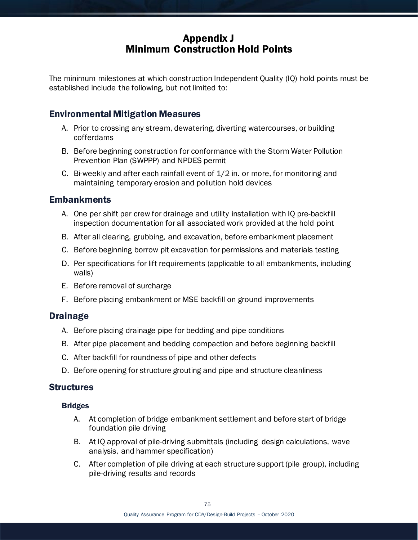# Appendix J Minimum Construction Hold Points

The minimum milestones at which construction Independent Quality (IQ) hold points must be established include the following, but not limited to:

### Environmental Mitigation Measures

- A. Prior to crossing any stream, dewatering, diverting watercourses, or building cofferdams
- B. Before beginning construction for conformance with the Storm Water Pollution Prevention Plan (SWPPP) and NPDES permit
- C. Bi-weekly and after each rainfall event of 1/2 in. or more, for monitoring and maintaining temporary erosion and pollution hold devices

### Embankments

- A. One per shift per crew for drainage and utility installation with IQ pre-backfill inspection documentation for all associated work provided at the hold point
- B. After all clearing, grubbing, and excavation, before embankment placement
- C. Before beginning borrow pit excavation for permissions and materials testing
- D. Per specifications for lift requirements (applicable to all embankments, including walls)
- E. Before removal of surcharge
- F. Before placing embankment or MSE backfill on ground improvements

### Drainage

- A. Before placing drainage pipe for bedding and pipe conditions
- B. After pipe placement and bedding compaction and before beginning backfill
- C. After backfill for roundness of pipe and other defects
- D. Before opening for structure grouting and pipe and structure cleanliness

#### **Structures**

#### Bridges

- A. At completion of bridge embankment settlement and before start of bridge foundation pile driving
- B. At IQ approval of pile-driving submittals (including design calculations, wave analysis, and hammer specification)
- C. After completion of pile driving at each structure support (pile group), including pile-driving results and records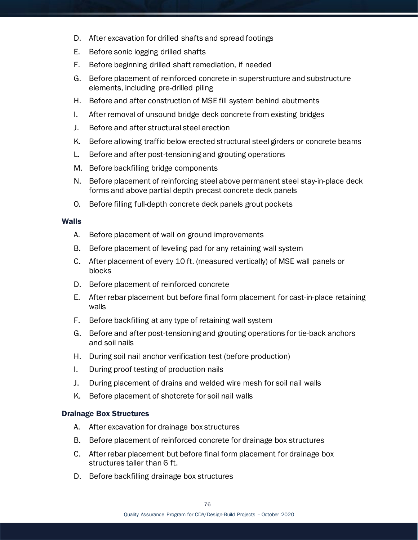- D. After excavation for drilled shafts and spread footings
- E. Before sonic logging drilled shafts
- F. Before beginning drilled shaft remediation, if needed
- G. Before placement of reinforced concrete in superstructure and substructure elements, including pre-drilled piling
- H. Before and after construction of MSE fill system behind abutments
- I. After removal of unsound bridge deck concrete from existing bridges
- J. Before and after structural steel erection
- K. Before allowing traffic below erected structural steel girders or concrete beams
- L. Before and after post-tensioning and grouting operations
- M. Before backfilling bridge components
- N. Before placement of reinforcing steel above permanent steel stay-in-place deck forms and above partial depth precast concrete deck panels
- O. Before filling full-depth concrete deck panels grout pockets

#### Walls

- A. Before placement of wall on ground improvements
- B. Before placement of leveling pad for any retaining wall system
- C. After placement of every 10 ft. (measured vertically) of MSE wall panels or blocks
- D. Before placement of reinforced concrete
- E. After rebar placement but before final form placement for cast-in-place retaining walls
- F. Before backfilling at any type of retaining wall system
- G. Before and after post-tensioning and grouting operations for tie-back anchors and soil nails
- H. During soil nail anchor verification test (before production)
- I. During proof testing of production nails
- J. During placement of drains and welded wire mesh for soil nail walls
- K. Before placement of shotcrete for soil nail walls

#### Drainage Box Structures

- A. After excavation for drainage box structures
- B. Before placement of reinforced concrete for drainage box structures
- C. After rebar placement but before final form placement for drainage box structures taller than 6 ft.
- D. Before backfilling drainage box structures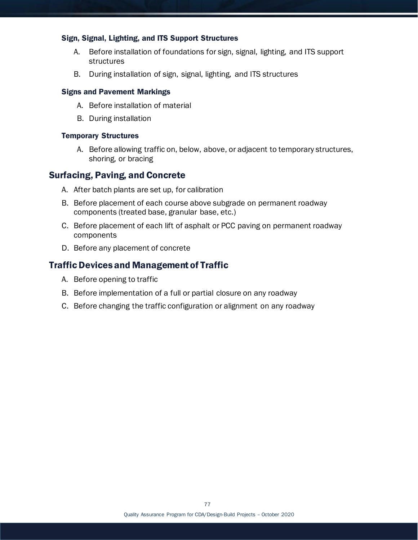#### Sign, Signal, Lighting, and ITS Support Structures

- A. Before installation of foundations for sign, signal, lighting, and ITS support structures
- B. During installation of sign, signal, lighting, and ITS structures

#### Signs and Pavement Markings

- A. Before installation of material
- B. During installation

#### Temporary Structures

A. Before allowing traffic on, below, above, or adjacent to temporary structures, shoring, or bracing

#### Surfacing, Paving, and Concrete

- A. After batch plants are set up, for calibration
- B. Before placement of each course above subgrade on permanent roadway components (treated base, granular base, etc.)
- C. Before placement of each lift of asphalt or PCC paving on permanent roadway components
- D. Before any placement of concrete

#### Traffic Devices and Management of Traffic

- A. Before opening to traffic
- B. Before implementation of a full or partial closure on any roadway
- C. Before changing the traffic configuration or alignment on any roadway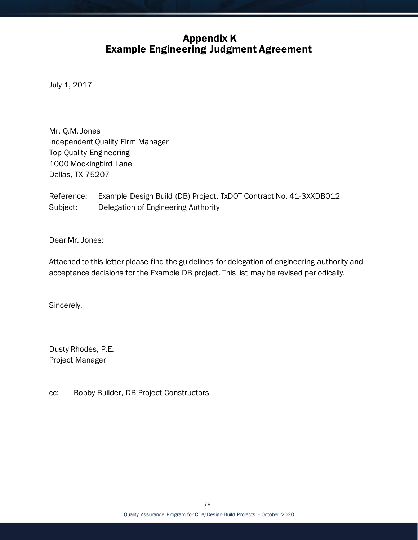# Appendix K Example Engineering Judgment Agreement

July 1, 2017

Mr. Q.M. Jones Independent Quality Firm Manager Top Quality Engineering 1000 Mockingbird Lane Dallas, TX 75207

Reference: Example Design Build (DB) Project, TxDOT Contract No. 41-3XXDB012 Subject: Delegation of Engineering Authority

Dear Mr. Jones:

Attached to this letter please find the guidelines for delegation of engineering authority and acceptance decisions for the Example DB project. This list may be revised periodically.

Sincerely,

Dusty Rhodes, P.E. Project Manager

cc: Bobby Builder, DB Project Constructors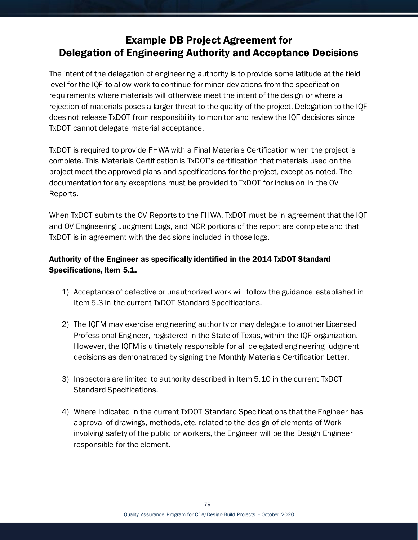# Example DB Project Agreement for Delegation of Engineering Authority and Acceptance Decisions

The intent of the delegation of engineering authority is to provide some latitude at the field level for the IQF to allow work to continue for minor deviations from the specification requirements where materials will otherwise meet the intent of the design or where a rejection of materials poses a larger threat to the quality of the project. Delegation to the IQF does not release TxDOT from responsibility to monitor and review the IQF decisions since TxDOT cannot delegate material acceptance.

TxDOT is required to provide FHWA with a Final Materials Certification when the project is complete. This Materials Certification is TxDOT's certification that materials used on the project meet the approved plans and specifications for the project, except as noted. The documentation for any exceptions must be provided to TxDOT for inclusion in the OV Reports.

When TxDOT submits the OV Reports to the FHWA, TxDOT must be in agreement that the IQF and OV Engineering Judgment Logs, and NCR portions of the report are complete and that TxDOT is in agreement with the decisions included in those logs.

### Authority of the Engineer as specifically identified in the 2014 TxDOT Standard Specifications, Item 5.1.

- 1) Acceptance of defective or unauthorized work will follow the guidance established in Item 5.3 in the current TxDOT Standard Specifications.
- 2) The IQFM may exercise engineering authority or may delegate to another Licensed Professional Engineer, registered in the State of Texas, within the IQF organization. However, the IQFM is ultimately responsible for all delegated engineering judgment decisions as demonstrated by signing the Monthly Materials Certification Letter.
- 3) Inspectors are limited to authority described in Item 5.10 in the current TxDOT Standard Specifications.
- 4) Where indicated in the current TxDOT Standard Specifications that the Engineer has approval of drawings, methods, etc. related to the design of elements of Work involving safety of the public or workers, the Engineer will be the Design Engineer responsible for the element.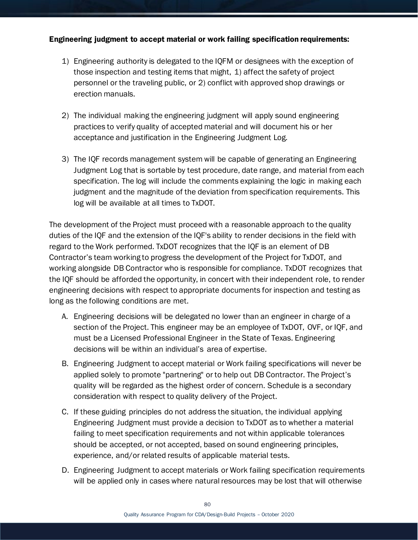#### Engineering judgment to accept material or work failing specification requirements:

- 1) Engineering authority is delegated to the IQFM or designees with the exception of those inspection and testing items that might, 1) affect the safety of project personnel or the traveling public, or 2) conflict with approved shop drawings or erection manuals.
- 2) The individual making the engineering judgment will apply sound engineering practices to verify quality of accepted material and will document his or her acceptance and justification in the Engineering Judgment Log.
- 3) The IQF records management system will be capable of generating an Engineering Judgment Log that is sortable by test procedure, date range, and material from each specification. The log will include the comments explaining the logic in making each judgment and the magnitude of the deviation from specification requirements. This log will be available at all times to TxDOT.

The development of the Project must proceed with a reasonable approach to the quality duties of the IQF and the extension of the IQF's ability to render decisions in the field with regard to the Work performed. TxDOT recognizes that the IQF is an element of DB Contractor's team working to progress the development of the Project for TxDOT, and working alongside DB Contractor who is responsible for compliance. TxDOT recognizes that the IQF should be afforded the opportunity, in concert with their independent role, to render engineering decisions with respect to appropriate documents for inspection and testing as long as the following conditions are met.

- A. Engineering decisions will be delegated no lower than an engineer in charge of a section of the Project. This engineer may be an employee of TxDOT, OVF, or IQF, and must be a Licensed Professional Engineer in the State of Texas. Engineering decisions will be within an individual's area of expertise.
- B. Engineering Judgment to accept material or Work failing specifications will never be applied solely to promote "partnering" or to help out DB Contractor. The Project's quality will be regarded as the highest order of concern. Schedule is a secondary consideration with respect to quality delivery of the Project.
- C. If these guiding principles do not address the situation, the individual applying Engineering Judgment must provide a decision to TxDOT as to whether a material failing to meet specification requirements and not within applicable tolerances should be accepted, or not accepted, based on sound engineering principles, experience, and/or related results of applicable material tests.
- D. Engineering Judgment to accept materials or Work failing specification requirements will be applied only in cases where natural resources may be lost that will otherwise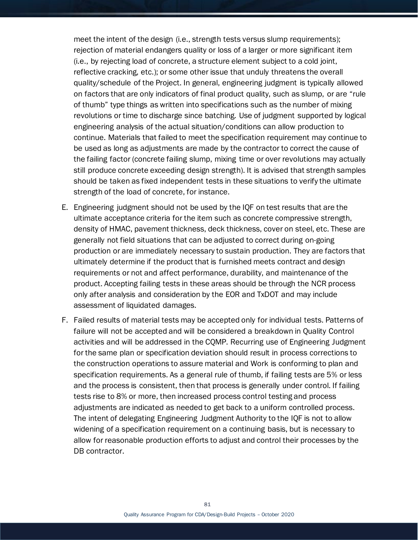meet the intent of the design (i.e., strength tests versus slump requirements); rejection of material endangers quality or loss of a larger or more significant item (i.e., by rejecting load of concrete, a structure element subject to a cold joint, reflective cracking, etc.); or some other issue that unduly threatens the overall quality/schedule of the Project. In general, engineering judgment is typically allowed on factors that are only indicators of final product quality, such as slump, or are "rule of thumb" type things as written into specifications such as the number of mixing revolutions or time to discharge since batching. Use of judgment supported by logical engineering analysis of the actual situation/conditions can allow production to continue. Materials that failed to meet the specification requirement may continue to be used as long as adjustments are made by the contractor to correct the cause of the failing factor (concrete failing slump, mixing time or over revolutions may actually still produce concrete exceeding design strength). It is advised that strength samples should be taken as fixed independent tests in these situations to verify the ultimate strength of the load of concrete, for instance.

- E. Engineering judgment should not be used by the IQF on test results that are the ultimate acceptance criteria for the item such as concrete compressive strength, density of HMAC, pavement thickness, deck thickness, cover on steel, etc. These are generally not field situations that can be adjusted to correct during on-going production or are immediately necessary to sustain production. They are factors that ultimately determine if the product that is furnished meets contract and design requirements or not and affect performance, durability, and maintenance of the product. Accepting failing tests in these areas should be through the NCR process only after analysis and consideration by the EOR and TxDOT and may include assessment of liquidated damages.
- F. Failed results of material tests may be accepted only for individual tests. Patterns of failure will not be accepted and will be considered a breakdown in Quality Control activities and will be addressed in the CQMP. Recurring use of Engineering Judgment for the same plan or specification deviation should result in process corrections to the construction operations to assure material and Work is conforming to plan and specification requirements. As a general rule of thumb, if failing tests are 5% or less and the process is consistent, then that process is generally under control. If failing tests rise to 8% or more, then increased process control testing and process adjustments are indicated as needed to get back to a uniform controlled process. The intent of delegating Engineering Judgment Authority to the IQF is not to allow widening of a specification requirement on a continuing basis, but is necessary to allow for reasonable production efforts to adjust and control their processes by the DB contractor.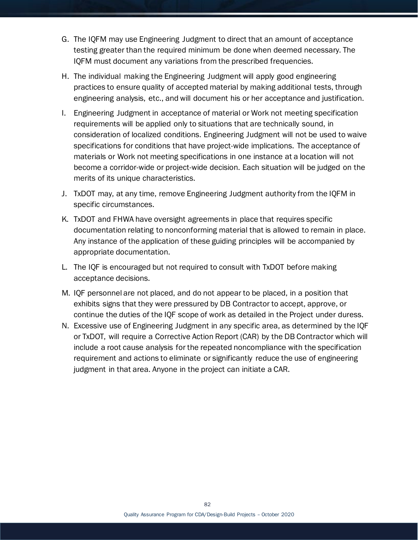- G. The IQFM may use Engineering Judgment to direct that an amount of acceptance testing greater than the required minimum be done when deemed necessary. The IQFM must document any variations from the prescribed frequencies.
- H. The individual making the Engineering Judgment will apply good engineering practices to ensure quality of accepted material by making additional tests, through engineering analysis, etc., and will document his or her acceptance and justification.
- I. Engineering Judgment in acceptance of material or Work not meeting specification requirements will be applied only to situations that are technically sound, in consideration of localized conditions. Engineering Judgment will not be used to waive specifications for conditions that have project-wide implications. The acceptance of materials or Work not meeting specifications in one instance at a location will not become a corridor-wide or project-wide decision. Each situation will be judged on the merits of its unique characteristics.
- J. TxDOT may, at any time, remove Engineering Judgment authority from the IQFM in specific circumstances.
- K. TxDOT and FHWA have oversight agreements in place that requires specific documentation relating to nonconforming material that is allowed to remain in place. Any instance of the application of these guiding principles will be accompanied by appropriate documentation.
- L. The IQF is encouraged but not required to consult with TxDOT before making acceptance decisions.
- M. IQF personnel are not placed, and do not appear to be placed, in a position that exhibits signs that they were pressured by DB Contractor to accept, approve, or continue the duties of the IQF scope of work as detailed in the Project under duress.
- N. Excessive use of Engineering Judgment in any specific area, as determined by the IQF or TxDOT, will require a Corrective Action Report (CAR) by the DB Contractor which will include a root cause analysis for the repeated noncompliance with the specification requirement and actions to eliminate or significantly reduce the use of engineering judgment in that area. Anyone in the project can initiate a CAR.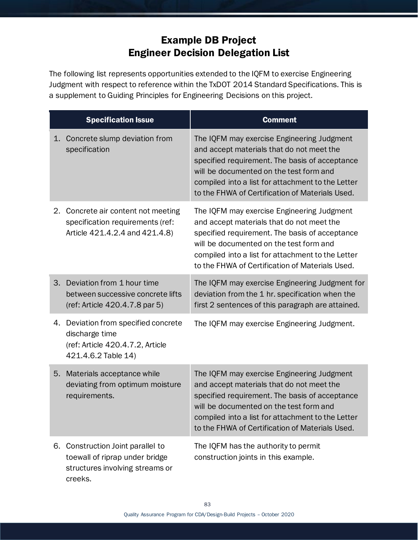# Example DB Project Engineer Decision Delegation List

The following list represents opportunities extended to the IQFM to exercise Engineering Judgment with respect to reference within the TxDOT 2014 Standard Specifications. This is a supplement to Guiding Principles for Engineering Decisions on this project.

| <b>Specification Issue</b> |                                                                                                                   | <b>Comment</b>                                                                                                                                                                                                                                                                               |
|----------------------------|-------------------------------------------------------------------------------------------------------------------|----------------------------------------------------------------------------------------------------------------------------------------------------------------------------------------------------------------------------------------------------------------------------------------------|
|                            | 1. Concrete slump deviation from<br>specification                                                                 | The IQFM may exercise Engineering Judgment<br>and accept materials that do not meet the<br>specified requirement. The basis of acceptance<br>will be documented on the test form and<br>compiled into a list for attachment to the Letter<br>to the FHWA of Certification of Materials Used. |
|                            | 2. Concrete air content not meeting<br>specification requirements (ref:<br>Article 421.4.2.4 and 421.4.8)         | The IQFM may exercise Engineering Judgment<br>and accept materials that do not meet the<br>specified requirement. The basis of acceptance<br>will be documented on the test form and<br>compiled into a list for attachment to the Letter<br>to the FHWA of Certification of Materials Used. |
|                            | 3. Deviation from 1 hour time<br>between successive concrete lifts<br>(ref: Article 420.4.7.8 par 5)              | The IQFM may exercise Engineering Judgment for<br>deviation from the 1 hr. specification when the<br>first 2 sentences of this paragraph are attained.                                                                                                                                       |
|                            | 4. Deviation from specified concrete<br>discharge time<br>(ref: Article 420.4.7.2, Article<br>421.4.6.2 Table 14) | The IQFM may exercise Engineering Judgment.                                                                                                                                                                                                                                                  |
|                            | 5. Materials acceptance while<br>deviating from optimum moisture<br>requirements.                                 | The IQFM may exercise Engineering Judgment<br>and accept materials that do not meet the<br>specified requirement. The basis of acceptance<br>will be documented on the test form and<br>compiled into a list for attachment to the Letter<br>to the FHWA of Certification of Materials Used. |
|                            | 6. Construction Joint parallel to<br>toewall of riprap under bridge<br>structures involving streams or<br>creeks. | The IQFM has the authority to permit<br>construction joints in this example.                                                                                                                                                                                                                 |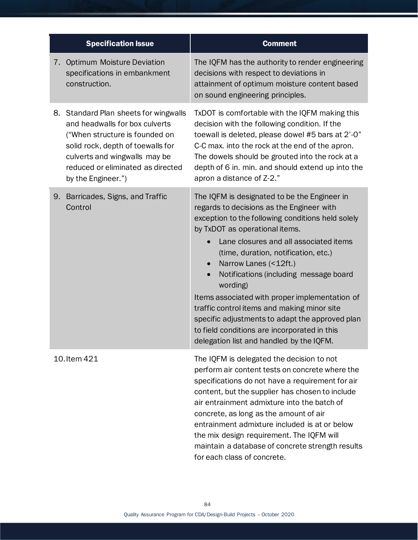| <b>Specification Issue</b>                                                                                                                                                                                                                 | <b>Comment</b>                                                                                                                                                                                                                                                                                                                                                                                                                                                                                                                                                                                                 |
|--------------------------------------------------------------------------------------------------------------------------------------------------------------------------------------------------------------------------------------------|----------------------------------------------------------------------------------------------------------------------------------------------------------------------------------------------------------------------------------------------------------------------------------------------------------------------------------------------------------------------------------------------------------------------------------------------------------------------------------------------------------------------------------------------------------------------------------------------------------------|
| 7. Optimum Moisture Deviation<br>specifications in embankment<br>construction.                                                                                                                                                             | The IQFM has the authority to render engineering<br>decisions with respect to deviations in<br>attainment of optimum moisture content based<br>on sound engineering principles.                                                                                                                                                                                                                                                                                                                                                                                                                                |
| 8. Standard Plan sheets for wingwalls<br>and headwalls for box culverts<br>("When structure is founded on<br>solid rock, depth of toewalls for<br>culverts and wingwalls may be<br>reduced or eliminated as directed<br>by the Engineer.") | TxDOT is comfortable with the IQFM making this<br>decision with the following condition. If the<br>toewall is deleted, please dowel #5 bars at 2'-0"<br>C-C max. into the rock at the end of the apron.<br>The dowels should be grouted into the rock at a<br>depth of 6 in. min. and should extend up into the<br>apron a distance of Z-2."                                                                                                                                                                                                                                                                   |
| 9. Barricades, Signs, and Traffic<br>Control                                                                                                                                                                                               | The IQFM is designated to be the Engineer in<br>regards to decisions as the Engineer with<br>exception to the following conditions held solely<br>by TxDOT as operational items.<br>Lane closures and all associated items<br>(time, duration, notification, etc.)<br>Narrow Lanes (<12ft.)<br>$\bullet$<br>Notifications (including message board<br>wording)<br>Items associated with proper implementation of<br>traffic control items and making minor site<br>specific adjustments to adapt the approved plan<br>to field conditions are incorporated in this<br>delegation list and handled by the IQFM. |
| 10. Item 421                                                                                                                                                                                                                               | The IQFM is delegated the decision to not<br>perform air content tests on concrete where the<br>specifications do not have a requirement for air<br>content, but the supplier has chosen to include<br>air entrainment admixture into the batch of<br>concrete, as long as the amount of air<br>entrainment admixture included is at or below<br>the mix design requirement. The IQFM will<br>maintain a database of concrete strength results<br>for each class of concrete.                                                                                                                                  |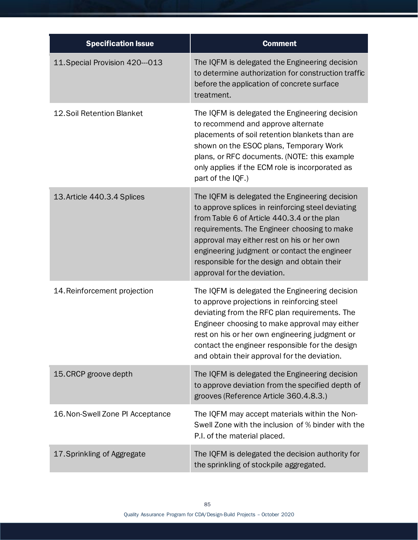| <b>Specification Issue</b>       | <b>Comment</b>                                                                                                                                                                                                                                                                                                                                                                |
|----------------------------------|-------------------------------------------------------------------------------------------------------------------------------------------------------------------------------------------------------------------------------------------------------------------------------------------------------------------------------------------------------------------------------|
| 11. Special Provision 420--013   | The IQFM is delegated the Engineering decision<br>to determine authorization for construction traffic<br>before the application of concrete surface<br>treatment.                                                                                                                                                                                                             |
| <b>12.Soil Retention Blanket</b> | The IQFM is delegated the Engineering decision<br>to recommend and approve alternate<br>placements of soil retention blankets than are<br>shown on the ESOC plans, Temporary Work<br>plans, or RFC documents. (NOTE: this example<br>only applies if the ECM role is incorporated as<br>part of the IQF.)                                                                     |
| 13. Article 440.3.4 Splices      | The IQFM is delegated the Engineering decision<br>to approve splices in reinforcing steel deviating<br>from Table 6 of Article 440.3.4 or the plan<br>requirements. The Engineer choosing to make<br>approval may either rest on his or her own<br>engineering judgment or contact the engineer<br>responsible for the design and obtain their<br>approval for the deviation. |
| 14. Reinforcement projection     | The IQFM is delegated the Engineering decision<br>to approve projections in reinforcing steel<br>deviating from the RFC plan requirements. The<br>Engineer choosing to make approval may either<br>rest on his or her own engineering judgment or<br>contact the engineer responsible for the design<br>and obtain their approval for the deviation.                          |
| 15. CRCP groove depth            | The IQFM is delegated the Engineering decision<br>to approve deviation from the specified depth of<br>grooves (Reference Article 360.4.8.3.)                                                                                                                                                                                                                                  |
| 16. Non-Swell Zone PI Acceptance | The IQFM may accept materials within the Non-<br>Swell Zone with the inclusion of % binder with the<br>P.I. of the material placed.                                                                                                                                                                                                                                           |
| 17. Sprinkling of Aggregate      | The IQFM is delegated the decision authority for<br>the sprinkling of stockpile aggregated.                                                                                                                                                                                                                                                                                   |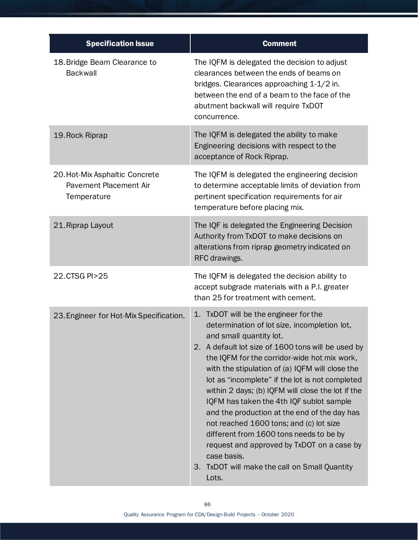| <b>Specification Issue</b>                                                     | <b>Comment</b>                                                                                                                                                                                                                                                                                                                                                                                                                                                                                                                                                                                                                                                                                   |
|--------------------------------------------------------------------------------|--------------------------------------------------------------------------------------------------------------------------------------------------------------------------------------------------------------------------------------------------------------------------------------------------------------------------------------------------------------------------------------------------------------------------------------------------------------------------------------------------------------------------------------------------------------------------------------------------------------------------------------------------------------------------------------------------|
| 18. Bridge Beam Clearance to<br><b>Backwall</b>                                | The IQFM is delegated the decision to adjust<br>clearances between the ends of beams on<br>bridges. Clearances approaching 1-1/2 in.<br>between the end of a beam to the face of the<br>abutment backwall will require TxDOT<br>concurrence.                                                                                                                                                                                                                                                                                                                                                                                                                                                     |
| 19. Rock Riprap                                                                | The IQFM is delegated the ability to make<br>Engineering decisions with respect to the<br>acceptance of Rock Riprap.                                                                                                                                                                                                                                                                                                                                                                                                                                                                                                                                                                             |
| 20. Hot-Mix Asphaltic Concrete<br><b>Pavement Placement Air</b><br>Temperature | The IQFM is delegated the engineering decision<br>to determine acceptable limits of deviation from<br>pertinent specification requirements for air<br>temperature before placing mix.                                                                                                                                                                                                                                                                                                                                                                                                                                                                                                            |
| 21. Riprap Layout                                                              | The IQF is delegated the Engineering Decision<br>Authority from TxDOT to make decisions on<br>alterations from riprap geometry indicated on<br>RFC drawings.                                                                                                                                                                                                                                                                                                                                                                                                                                                                                                                                     |
| 22.CTSG PI>25                                                                  | The IQFM is delegated the decision ability to<br>accept subgrade materials with a P.I. greater<br>than 25 for treatment with cement.                                                                                                                                                                                                                                                                                                                                                                                                                                                                                                                                                             |
| 23. Engineer for Hot-Mix Specification.                                        | TxDOT will be the engineer for the<br>1.<br>determination of lot size, incompletion lot,<br>and small quantity lot.<br>2. A default lot size of 1600 tons will be used by<br>the IQFM for the corridor-wide hot mix work,<br>with the stipulation of (a) IQFM will close the<br>lot as "incomplete" if the lot is not completed<br>within 2 days; (b) IQFM will close the lot if the<br>IQFM has taken the 4th IQF sublot sample<br>and the production at the end of the day has<br>not reached 1600 tons; and (c) lot size<br>different from 1600 tons needs to be by<br>request and approved by TxDOT on a case by<br>case basis.<br>TxDOT will make the call on Small Quantity<br>3.<br>Lots. |